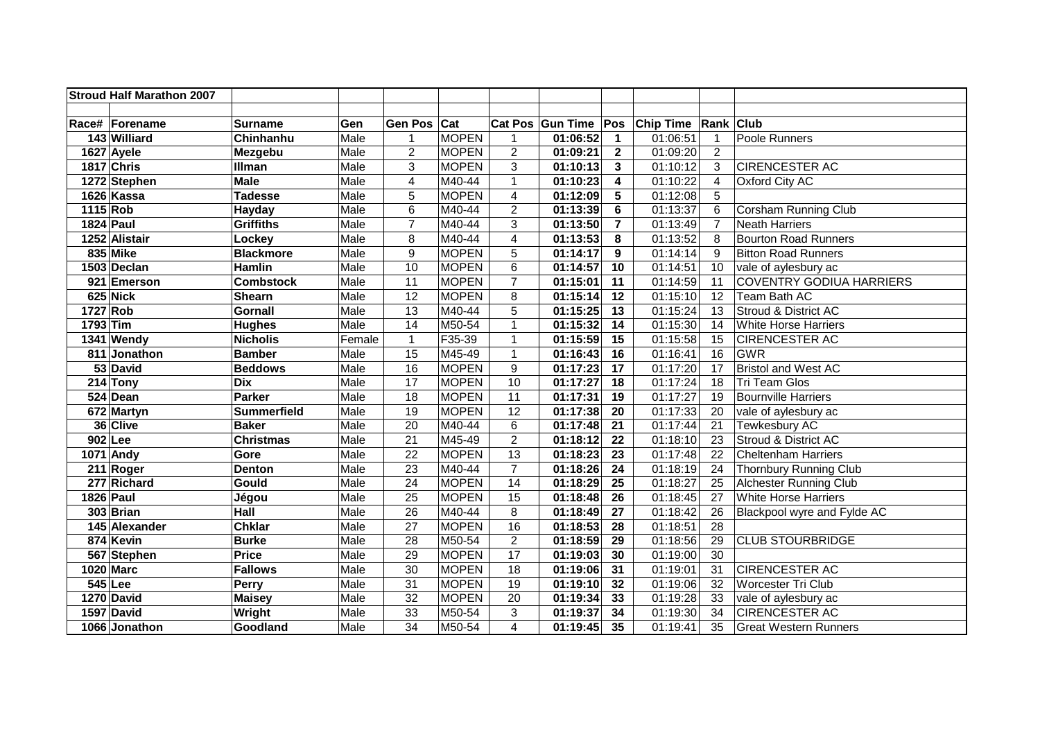|           | <b>Stroud Half Marathon 2007</b> |                    |        |                  |              |                |                       |                 |                  |                  |                                 |
|-----------|----------------------------------|--------------------|--------|------------------|--------------|----------------|-----------------------|-----------------|------------------|------------------|---------------------------------|
|           |                                  |                    |        |                  |              |                |                       |                 |                  |                  |                                 |
|           | Race# Forename                   | <b>Surname</b>     | Gen    | Gen Pos Cat      |              |                | Cat Pos Gun Time Pos  |                 | <b>Chip Time</b> | <b>Rank Club</b> |                                 |
|           | 143 Williard                     | Chinhanhu          | Male   | $\mathbf{1}$     | <b>MOPEN</b> | $\mathbf{1}$   | 01:06:52              | $\mathbf{1}$    | 01:06:51         | $\mathbf{1}$     | Poole Runners                   |
|           | 1627 Ayele                       | Mezgebu            | Male   | $\overline{2}$   | <b>MOPEN</b> | $\overline{2}$ | 01:09:21              | $\overline{2}$  | 01:09:20         | $\overline{2}$   |                                 |
|           | 1817 Chris                       | Illman             | Male   | 3                | <b>MOPEN</b> | 3              | 01:10:13              | $\mathbf{3}$    | 01:10:12         | 3                | <b>CIRENCESTER AC</b>           |
|           | 1272 Stephen                     | <b>Male</b>        | Male   | 4                | M40-44       | $\mathbf{1}$   | 01:10:23              | 4               | 01:10:22         | $\overline{4}$   | Oxford City AC                  |
|           | 1626 Kassa                       | <b>Tadesse</b>     | Male   | 5                | <b>MOPEN</b> | 4              | 01:12:09              | $5\phantom{.0}$ | 01:12:08         | $\overline{5}$   |                                 |
| 1115 Rob  |                                  | Hayday             | Male   | 6                | M40-44       | $\overline{2}$ | 01:13:39              | 6               | 01:13:37         | $6\phantom{1}$   | Corsham Running Club            |
| 1824 Paul |                                  | <b>Griffiths</b>   | Male   | $\overline{7}$   | M40-44       | 3              | 01:13:50              | $\overline{7}$  | 01:13:49         | $\overline{7}$   | Neath Harriers                  |
|           | 1252 Alistair                    | Lockey             | Male   | 8                | M40-44       | 4              | 01:13:53              | 8               | 01:13:52         | 8                | <b>Bourton Road Runners</b>     |
|           | 835 Mike                         | <b>Blackmore</b>   | Male   | $\boldsymbol{9}$ | <b>MOPEN</b> | 5              | 01:14:17              | 9               | 01:14:14         | 9                | <b>Bitton Road Runners</b>      |
|           | 1503 Declan                      | Hamlin             | Male   | 10               | <b>MOPEN</b> | $6\phantom{a}$ | 01:14:57              | 10              | 01:14:51         | 10               | vale of aylesbury ac            |
|           | 921 Emerson                      | <b>Combstock</b>   | Male   | 11               | <b>MOPEN</b> | $\overline{7}$ | 01:15:01              | 11              | 01:14:59         | 11               | <b>COVENTRY GODIUA HARRIERS</b> |
|           | 625 Nick                         | <b>Shearn</b>      | Male   | 12               | <b>MOPEN</b> | 8              | 01:15:14              | 12              | 01:15:10         | 12               | Team Bath AC                    |
| 1727 Rob  |                                  | <b>Gornall</b>     | Male   | 13               | M40-44       | 5              | 01:15:25              | 13              | 01:15:24         | 13               | Stroud & District AC            |
| 1793 Tim  |                                  | <b>Hughes</b>      | Male   | 14               | M50-54       | 1              | 01:15:32              | 14              | 01:15:30         | 14               | <b>White Horse Harriers</b>     |
|           | 1341 Wendy                       | <b>Nicholis</b>    | Female | $\mathbf{1}$     | F35-39       | $\mathbf{1}$   | 01:15:59              | 15              | 01:15:58         | 15               | <b>CIRENCESTER AC</b>           |
|           | 811 Jonathon                     | <b>Bamber</b>      | Male   | 15               | M45-49       | $\mathbf{1}$   | 01:16:43              | 16              | 01:16:41         | 16               | <b>GWR</b>                      |
|           | 53 David                         | <b>Beddows</b>     | Male   | 16               | <b>MOPEN</b> | 9              | 01:17:23              | 17              | 01:17:20         | 17               | <b>Bristol and West AC</b>      |
|           | $214$ Tony                       | <b>Dix</b>         | Male   | 17               | <b>MOPEN</b> | 10             | 01:17:27              | 18              | 01:17:24         | 18               | <b>Tri Team Glos</b>            |
|           | 524 Dean                         | <b>Parker</b>      | Male   | 18               | <b>MOPEN</b> | 11             | 01:17:31              | 19              | 01:17:27         | 19               | <b>Bournville Harriers</b>      |
|           | 672 Martyn                       | <b>Summerfield</b> | Male   | 19               | <b>MOPEN</b> | 12             | 01:17:38              | 20              | 01:17:33         | 20               | vale of aylesbury ac            |
|           | 36 Clive                         | <b>Baker</b>       | Male   | $\overline{20}$  | M40-44       | $6\phantom{a}$ | 01:17:48              | 21              | 01:17:44         | $\overline{21}$  | Tewkesbury AC                   |
|           | 902 Lee                          | <b>Christmas</b>   | Male   | $\overline{21}$  | M45-49       | $\overline{2}$ | 01:18:12              | 22              | 01:18:10         | $\overline{23}$  | Stroud & District AC            |
|           | 1071 Andy                        | Gore               | Male   | 22               | <b>MOPEN</b> | 13             | 01:18:23              | 23              | 01:17:48         | 22               | <b>Cheltenham Harriers</b>      |
|           | $\overline{2}11$ Roger           | Denton             | Male   | $\overline{23}$  | M40-44       | $\overline{7}$ | 01:18:26              | 24              | 01:18:19         | 24               | Thornbury Running Club          |
|           | 277 Richard                      | Gould              | Male   | 24               | <b>MOPEN</b> | 14             | 01:18:29              | 25              | 01:18:27         | 25               | Alchester Running Club          |
| 1826 Paul |                                  | Jégou              | Male   | $\overline{25}$  | <b>MOPEN</b> | 15             | 01:18:48              | $\overline{26}$ | 01:18:45         | $\overline{27}$  | <b>White Horse Harriers</b>     |
|           | 303 Brian                        | <b>Hall</b>        | Male   | 26               | M40-44       | 8              | $\overline{01:18:49}$ | 27              | 01:18:42         | 26               | Blackpool wyre and Fylde AC     |
|           | 145 Alexander                    | <b>Chklar</b>      | Male   | 27               | <b>MOPEN</b> | 16             | 01:18:53              | 28              | 01:18:51         | 28               |                                 |
|           | 874 Kevin                        | <b>Burke</b>       | Male   | 28               | M50-54       | $\overline{c}$ | 01:18:59              | 29              | 01:18:56         | 29               | <b>CLUB STOURBRIDGE</b>         |
|           | 567 Stephen                      | <b>Price</b>       | Male   | 29               | <b>MOPEN</b> | 17             | 01:19:03              | 30              | 01:19:00         | 30               |                                 |
|           | 1020 Marc                        | <b>Fallows</b>     | Male   | 30               | <b>MOPEN</b> | 18             | 01:19:06              | 31              | 01:19:01         | 31               | <b>CIRENCESTER AC</b>           |
|           | 545 Lee                          | Perry              | Male   | 31               | <b>MOPEN</b> | 19             | 01:19:10              | 32              | 01:19:06         | 32               | Worcester Tri Club              |
|           | 1270 David                       | <b>Maisey</b>      | Male   | 32               | <b>MOPEN</b> | 20             | 01:19:34              | 33              | 01:19:28         | 33               | vale of aylesbury ac            |
|           | 1597 David                       | Wright             | Male   | 33               | M50-54       | 3              | 01:19:37              | 34              | 01:19:30         | 34               | <b>CIRENCESTER AC</b>           |
|           | 1066 Jonathon                    | Goodland           | Male   | 34               | M50-54       | 4              | 01:19:45              | 35              | 01:19:41         | 35               | <b>Great Western Runners</b>    |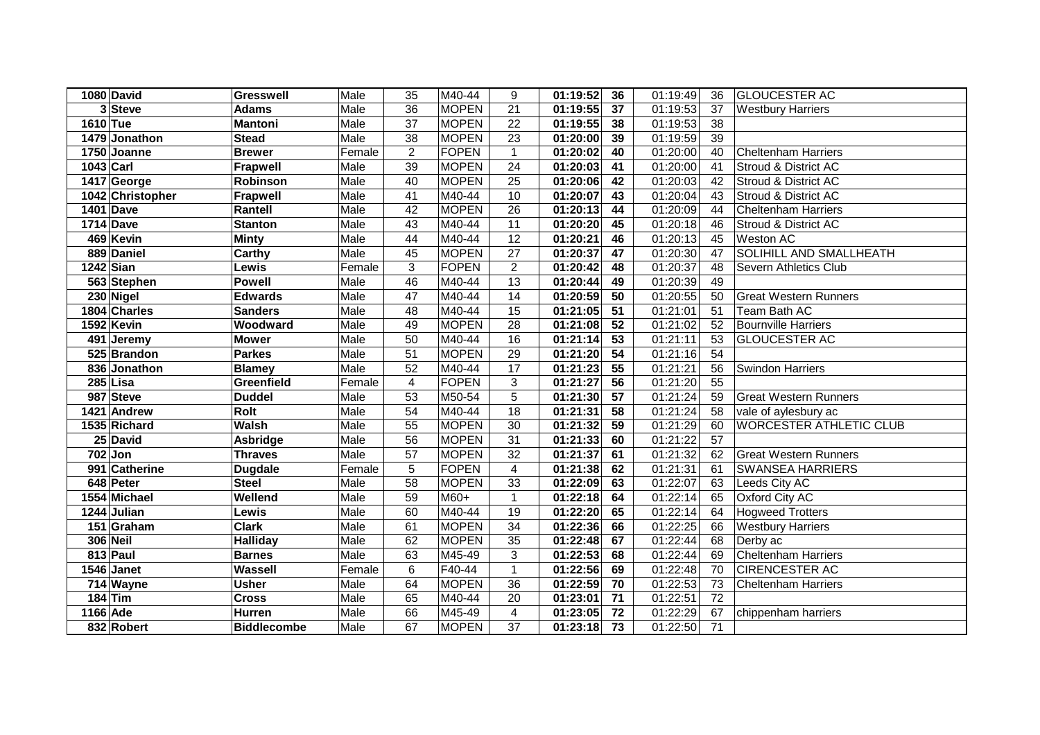|           | 1080 David       | <b>Gresswell</b>   | Male   | 35                      | M40-44       | 9              | 01:19:52 | 36 | 01:19:49 | 36              | <b>GLOUCESTER AC</b>           |
|-----------|------------------|--------------------|--------|-------------------------|--------------|----------------|----------|----|----------|-----------------|--------------------------------|
|           | 3 Steve          | <b>Adams</b>       | Male   | $\overline{36}$         | <b>MOPEN</b> | 21             | 01:19:55 | 37 | 01:19:53 | 37              | <b>Westbury Harriers</b>       |
| 1610 Tue  |                  | <b>Mantoni</b>     | Male   | $\overline{37}$         | <b>MOPEN</b> | 22             | 01:19:55 | 38 | 01:19:53 | $\overline{38}$ |                                |
|           | 1479 Jonathon    | <b>Stead</b>       | Male   | $\overline{38}$         | <b>MOPEN</b> | 23             | 01:20:00 | 39 | 01:19:59 | 39              |                                |
|           | $1750$ Joanne    | <b>Brewer</b>      | Female | $\overline{2}$          | <b>FOPEN</b> | $\mathbf{1}$   | 01:20:02 | 40 | 01:20:00 | 40              | <b>Cheltenham Harriers</b>     |
| 1043 Carl |                  | <b>Frapwell</b>    | Male   | 39                      | <b>MOPEN</b> | 24             | 01:20:03 | 41 | 01:20:00 | 41              | Stroud & District AC           |
|           | 1417 George      | Robinson           | Male   | 40                      | <b>MOPEN</b> | 25             | 01:20:06 | 42 | 01:20:03 | 42              | Stroud & District AC           |
|           | 1042 Christopher | <b>Frapwell</b>    | Male   | 41                      | M40-44       | 10             | 01:20:07 | 43 | 01:20:04 | 43              | Stroud & District AC           |
|           | 1401 Dave        | Rantell            | Male   | 42                      | <b>MOPEN</b> | 26             | 01:20:13 | 44 | 01:20:09 | 44              | <b>Cheltenham Harriers</b>     |
|           | 1714 Dave        | <b>Stanton</b>     | Male   | 43                      | M40-44       | 11             | 01:20:20 | 45 | 01:20:18 | 46              | Stroud & District AC           |
|           | 469 Kevin        | <b>Minty</b>       | Male   | 44                      | M40-44       | 12             | 01:20:21 | 46 | 01:20:13 | 45              | <b>Weston AC</b>               |
|           | 889 Daniel       | Carthy             | Male   | 45                      | <b>MOPEN</b> | 27             | 01:20:37 | 47 | 01:20:30 | 47              | SOLIHILL AND SMALLHEATH        |
|           | $1242$ Sian      | Lewis              | Female | 3                       | <b>FOPEN</b> | $\overline{2}$ | 01:20:42 | 48 | 01:20:37 | 48              | Severn Athletics Club          |
|           | 563 Stephen      | <b>Powell</b>      | Male   | 46                      | M40-44       | 13             | 01:20:44 | 49 | 01:20:39 | 49              |                                |
|           | 230 Nigel        | <b>Edwards</b>     | Male   | 47                      | M40-44       | 14             | 01:20:59 | 50 | 01:20:55 | 50              | Great Western Runners          |
|           | 1804 Charles     | <b>Sanders</b>     | Male   | 48                      | M40-44       | 15             | 01:21:05 | 51 | 01:21:01 | 51              | Team Bath AC                   |
|           | 1592 Kevin       | Woodward           | Male   | 49                      | <b>MOPEN</b> | 28             | 01:21:08 | 52 | 01:21:02 | 52              | <b>Bournville Harriers</b>     |
|           | 491 Jeremy       | <b>Mower</b>       | Male   | 50                      | M40-44       | 16             | 01:21:14 | 53 | 01:21:11 | 53              | <b>GLOUCESTER AC</b>           |
|           | 525 Brandon      | <b>Parkes</b>      | Male   | 51                      | <b>MOPEN</b> | 29             | 01:21:20 | 54 | 01:21:16 | 54              |                                |
|           | 836 Jonathon     | <b>Blamey</b>      | Male   | 52                      | M40-44       | 17             | 01:21:23 | 55 | 01:21:21 | 56              | <b>Swindon Harriers</b>        |
|           | $285$ Lisa       | Greenfield         | Female | $\overline{\mathbf{4}}$ | <b>FOPEN</b> | 3              | 01:21:27 | 56 | 01:21:20 | 55              |                                |
|           | 987 Steve        | <b>Duddel</b>      | Male   | 53                      | M50-54       | 5              | 01:21:30 | 57 | 01:21:24 | 59              | <b>Great Western Runners</b>   |
|           | 1421 Andrew      | Rolt               | Male   | $\overline{54}$         | M40-44       | 18             | 01:21:31 | 58 | 01:21:24 | 58              | vale of aylesbury ac           |
|           | 1535 Richard     | <b>Walsh</b>       | Male   | 55                      | <b>MOPEN</b> | 30             | 01:21:32 | 59 | 01:21:29 | 60              | <b>WORCESTER ATHLETIC CLUB</b> |
|           | 25 David         | Asbridge           | Male   | 56                      | <b>MOPEN</b> | 31             | 01:21:33 | 60 | 01:21:22 | 57              |                                |
|           | $702$ Jon        | <b>Thraves</b>     | Male   | 57                      | <b>MOPEN</b> | 32             | 01:21:37 | 61 | 01:21:32 | 62              | <b>Great Western Runners</b>   |
|           | 991 Catherine    | <b>Dugdale</b>     | Female | 5                       | <b>FOPEN</b> | 4              | 01:21:38 | 62 | 01:21:31 | 61              | <b>SWANSEA HARRIERS</b>        |
|           | 648 Peter        | <b>Steel</b>       | Male   | $\overline{58}$         | <b>MOPEN</b> | 33             | 01:22:09 | 63 | 01:22:07 | 63              | Leeds City AC                  |
|           | 1554 Michael     | Wellend            | Male   | 59                      | M60+         | $\mathbf{1}$   | 01:22:18 | 64 | 01:22:14 | 65              | Oxford City AC                 |
|           | 1244 Julian      | Lewis              | Male   | 60                      | M40-44       | 19             | 01:22:20 | 65 | 01:22:14 | 64              | <b>Hogweed Trotters</b>        |
|           | 151 Graham       | <b>Clark</b>       | Male   | 61                      | <b>MOPEN</b> | 34             | 01:22:36 | 66 | 01:22:25 | 66              | <b>Westbury Harriers</b>       |
|           | <b>306 Neil</b>  | <b>Halliday</b>    | Male   | 62                      | <b>MOPEN</b> | 35             | 01:22:48 | 67 | 01:22:44 | 68              | Derby ac                       |
|           | 813 Paul         | <b>Barnes</b>      | Male   | 63                      | M45-49       | 3              | 01:22:53 | 68 | 01:22:44 | 69              | Cheltenham Harriers            |
|           | 1546 Janet       | Wassell            | Female | 6                       | F40-44       | $\mathbf{1}$   | 01:22:56 | 69 | 01:22:48 | 70              | <b>CIRENCESTER AC</b>          |
|           | 714 Wayne        | <b>Usher</b>       | Male   | 64                      | <b>MOPEN</b> | 36             | 01:22:59 | 70 | 01:22:53 | 73              | <b>Cheltenham Harriers</b>     |
|           | $184$ Tim        | <b>Cross</b>       | Male   | 65                      | M40-44       | 20             | 01:23:01 | 71 | 01:22:51 | 72              |                                |
| 1166 Ade  |                  | Hurren             | Male   | 66                      | M45-49       | 4              | 01:23:05 | 72 | 01:22:29 | 67              | chippenham harriers            |
|           | 832 Robert       | <b>Biddlecombe</b> | Male   | 67                      | <b>MOPEN</b> | 37             | 01:23:18 | 73 | 01:22:50 | 71              |                                |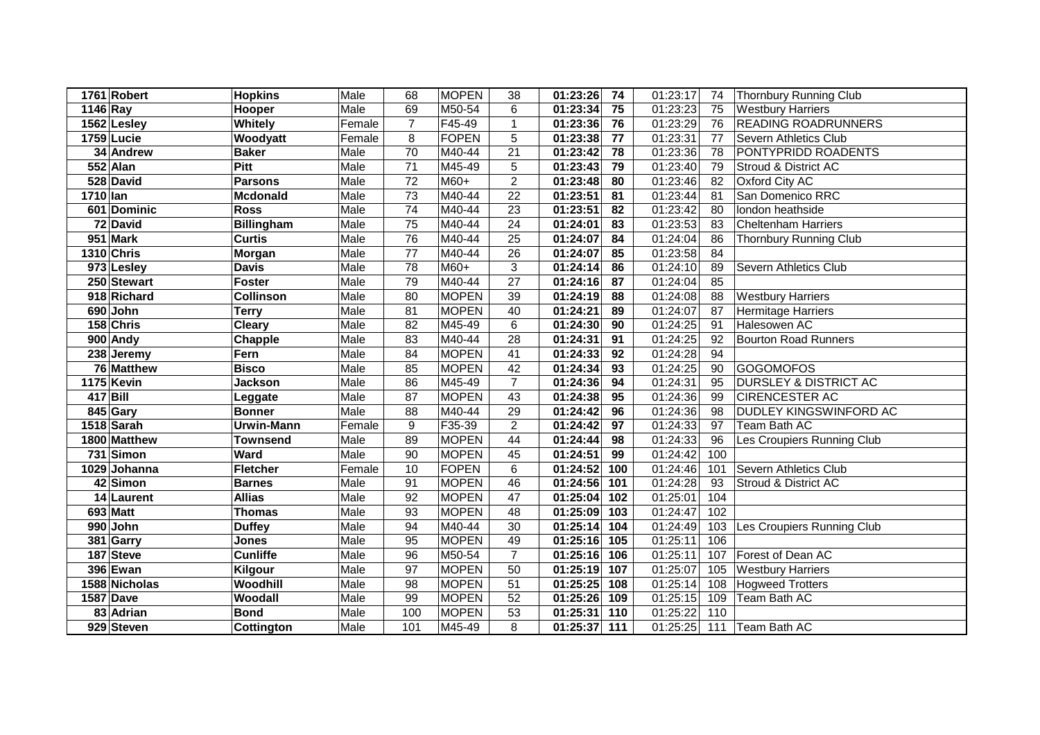|                        | 1761 Robert      | <b>Hopkins</b>    | Male   | 68               | <b>MOPEN</b> | 38             | 01:23:26<br>74  | 01:23:17 | 74  | <b>Thornbury Running Club</b>    |
|------------------------|------------------|-------------------|--------|------------------|--------------|----------------|-----------------|----------|-----|----------------------------------|
| $\overline{11}$ 46 Ray |                  | Hooper            | Male   | 69               | M50-54       | 6              | 01:23:34<br>75  | 01:23:23 | 75  | <b>Westbury Harriers</b>         |
|                        | 1562 Lesley      | Whitely           | Female | $\overline{7}$   | F45-49       | $\mathbf{1}$   | 01:23:36<br>76  | 01:23:29 | 76  | <b>READING ROADRUNNERS</b>       |
|                        | 1759 Lucie       | Woodyatt          | Female | 8                | <b>FOPEN</b> | 5              | 01:23:38<br>77  | 01:23:31 | 77  | Severn Athletics Club            |
|                        | 34 Andrew        | <b>Baker</b>      | Male   | 70               | M40-44       | 21             | 01:23:42<br>78  | 01:23:36 | 78  | PONTYPRIDD ROADENTS              |
|                        | 552 Alan         | Pitt              | Male   | $\overline{71}$  | M45-49       | 5              | 01:23:43<br>79  | 01:23:40 | 79  | Stroud & District AC             |
|                        | 528 David        | <b>Parsons</b>    | Male   | $\overline{72}$  | M60+         | $\overline{2}$ | 01:23:48<br>80  | 01:23:46 | 82  | Oxford City AC                   |
| 1710 lan               |                  | <b>Mcdonald</b>   | Male   | $\overline{73}$  | M40-44       | 22             | 01:23:51<br>81  | 01:23:44 | 81  | San Domenico RRC                 |
|                        | 601 Dominic      | <b>Ross</b>       | Male   | 74               | M40-44       | 23             | 01:23:51<br>82  | 01:23:42 | 80  | london heathside                 |
|                        | 72 David         | <b>Billingham</b> | Male   | 75               | M40-44       | 24             | 01:24:01<br>83  | 01:23:53 | 83  | <b>Cheltenham Harriers</b>       |
|                        | 951 Mark         | <b>Curtis</b>     | Male   | 76               | M40-44       | 25             | 01:24:07<br>84  | 01:24:04 | 86  | <b>Thornbury Running Club</b>    |
|                        | 1310 Chris       | Morgan            | Male   | $\overline{77}$  | M40-44       | 26             | 01:24:07<br>85  | 01:23:58 | 84  |                                  |
|                        | 973 Lesley       | <b>Davis</b>      | Male   | 78               | $M60+$       | 3              | 01:24:14<br>86  | 01:24:10 | 89  | Severn Athletics Club            |
|                        | 250 Stewart      | <b>Foster</b>     | Male   | 79               | M40-44       | 27             | 01:24:16<br>87  | 01:24:04 | 85  |                                  |
|                        | 918 Richard      | <b>Collinson</b>  | Male   | 80               | <b>MOPEN</b> | 39             | 01:24:19<br>88  | 01:24:08 | 88  | <b>Westbury Harriers</b>         |
|                        | 690 John         | <b>Terry</b>      | Male   | 81               | <b>MOPEN</b> | 40             | 01:24:21<br>89  | 01:24:07 | 87  | <b>Hermitage Harriers</b>        |
|                        | 158 Chris        | <b>Cleary</b>     | Male   | 82               | M45-49       | 6              | 01:24:30<br>90  | 01:24:25 | 91  | Halesowen AC                     |
|                        | 900 Andy         | Chapple           | Male   | 83               | M40-44       | 28             | 01:24:31<br>91  | 01:24:25 | 92  | <b>Bourton Road Runners</b>      |
|                        | 238 Jeremy       | Fern              | Male   | 84               | <b>MOPEN</b> | 41             | 01:24:33<br>92  | 01:24:28 | 94  |                                  |
|                        | 76 Matthew       | <b>Bisco</b>      | Male   | 85               | <b>MOPEN</b> | 42             | 01:24:34<br>93  | 01:24:25 | 90  | <b>GOGOMOFOS</b>                 |
|                        | 1175 Kevin       | <b>Jackson</b>    | Male   | 86               | M45-49       | $\overline{7}$ | 01:24:36<br>94  | 01:24:31 | 95  | <b>DURSLEY &amp; DISTRICT AC</b> |
|                        | $417$ Bill       | Leggate           | Male   | 87               | <b>MOPEN</b> | 43             | 95<br>01:24:38  | 01:24:36 | 99  | <b>CIRENCESTER AC</b>            |
|                        | 845 Gary         | <b>Bonner</b>     | Male   | 88               | M40-44       | 29             | 01:24:42<br>96  | 01:24:36 | 98  | DUDLEY KINGSWINFORD AC           |
|                        | 1518 Sarah       | Urwin-Mann        | Female | $\boldsymbol{9}$ | F35-39       | $\overline{2}$ | 01:24:42<br>97  | 01:24:33 | 97  | Team Bath AC                     |
|                        | 1800 Matthew     | <b>Townsend</b>   | Male   | 89               | <b>MOPEN</b> | 44             | 01:24:44<br>98  | 01:24:33 | 96  | Les Croupiers Running Club       |
|                        | 731 Simon        | Ward              | Male   | 90               | <b>MOPEN</b> | 45             | 01:24:51<br>99  | 01:24:42 | 100 |                                  |
|                        | 1029 Johanna     | <b>Fletcher</b>   | Female | 10               | <b>FOPEN</b> | $6\phantom{a}$ | 01:24:52<br>100 | 01:24:46 | 101 | Severn Athletics Club            |
|                        | 42 Simon         | <b>Barnes</b>     | Male   | 91               | <b>MOPEN</b> | 46             | 01:24:56 101    | 01:24:28 | 93  | Stroud & District AC             |
|                        | 14 Laurent       | <b>Allias</b>     | Male   | 92               | <b>MOPEN</b> | 47             | 01:25:04<br>102 | 01:25:01 | 104 |                                  |
|                        | 693 Matt         | <b>Thomas</b>     | Male   | 93               | <b>MOPEN</b> | 48             | 01:25:09 103    | 01:24:47 | 102 |                                  |
|                        | 990 John         | <b>Duffey</b>     | Male   | 94               | M40-44       | 30             | 01:25:14<br>104 | 01:24:49 | 103 | Les Croupiers Running Club       |
|                        | 381 Garry        | <b>Jones</b>      | Male   | 95               | <b>MOPEN</b> | 49             | 01:25:16 105    | 01:25:11 | 106 |                                  |
|                        | 187 Steve        | <b>Cunliffe</b>   | Male   | 96               | M50-54       | $\overline{7}$ | 01:25:16 106    | 01:25:11 | 107 | Forest of Dean AC                |
|                        | 396 Ewan         | Kilgour           | Male   | 97               | <b>MOPEN</b> | 50             | 01:25:19 107    | 01:25:07 | 105 | <b>Westbury Harriers</b>         |
|                        | 1588 Nicholas    | Woodhill          | Male   | 98               | <b>MOPEN</b> | 51             | $01:25:25$ 108  | 01:25:14 | 108 | <b>Hogweed Trotters</b>          |
|                        | <b>1587 Dave</b> | Woodall           | Male   | 99               | <b>MOPEN</b> | 52             | 01:25:26<br>109 | 01:25:15 | 109 | Team Bath AC                     |
|                        | 83 Adrian        | <b>Bond</b>       | Male   | 100              | <b>MOPEN</b> | 53             | 01:25:31<br>110 | 01:25:22 | 110 |                                  |
|                        | 929 Steven       | Cottington        | Male   | 101              | M45-49       | 8              | 01:25:37 111    | 01:25:25 |     | 111 Team Bath AC                 |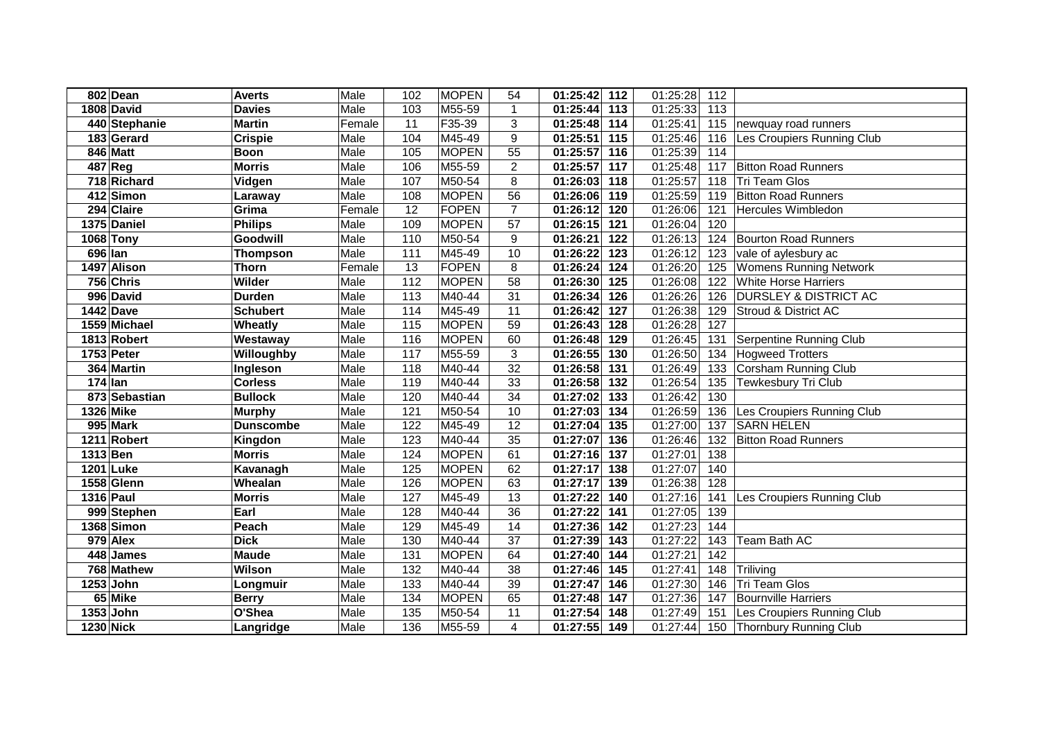|           | 802 Dean               | <b>Averts</b>    | Male   | 102             | <b>MOPEN</b> | 54              | 01:25:42     | 112               | 01:25:28 | 112               |                                  |
|-----------|------------------------|------------------|--------|-----------------|--------------|-----------------|--------------|-------------------|----------|-------------------|----------------------------------|
|           | 1808 David             | <b>Davies</b>    | Male   | 103             | M55-59       | 1               | 01:25:44     | $\frac{113}{113}$ | 01:25:33 | $\frac{113}{113}$ |                                  |
|           | 440 Stephanie          | <b>Martin</b>    | Female | $\overline{11}$ | F35-39       | $\mathfrak{S}$  | 01:25:48     | 114               | 01:25:41 | 115               | newquay road runners             |
|           | 183 Gerard             | <b>Crispie</b>   | Male   | 104             | M45-49       | 9               | 01:25:51     | 115               | 01:25:46 | 116               | Les Croupiers Running Club       |
|           | 846 Matt               | <b>Boon</b>      | Male   | 105             | <b>MOPEN</b> | $\overline{55}$ | 01:25:57     | 116               | 01:25:39 | 114               |                                  |
|           | 487 Reg                | <b>Morris</b>    | Male   | 106             | M55-59       | $\overline{2}$  | 01:25:57     | $\frac{117}{117}$ | 01:25:48 | 117               | <b>Bitton Road Runners</b>       |
|           | 718 Richard            | Vidgen           | Male   | 107             | M50-54       | 8               | 01:26:03     | 118               | 01:25:57 | 118               | Tri Team Glos                    |
|           | 412 Simon              | Laraway          | Male   | 108             | <b>MOPEN</b> | 56              | 01:26:06     | 119               | 01:25:59 | 119               | <b>Bitton Road Runners</b>       |
|           | 294 Claire             | Grima            | Female | $\overline{12}$ | <b>FOPEN</b> | $\overline{7}$  | 01:26:12     | 120               | 01:26:06 | 121               | <b>Hercules Wimbledon</b>        |
|           | 1375 Daniel            | <b>Philips</b>   | Male   | 109             | <b>MOPEN</b> | 57              | 01:26:15     | 121               | 01:26:04 | 120               |                                  |
|           | 1068 Tony              | Goodwill         | Male   | 110             | M50-54       | 9               | 01:26:21     | 122               | 01:26:13 | 124               | <b>Bourton Road Runners</b>      |
| 696 Ian   |                        | <b>Thompson</b>  | Male   | 111             | M45-49       | 10              | 01:26:22     | 123               | 01:26:12 | 123               | vale of aylesbury ac             |
|           | 1497 Alison            | <b>Thorn</b>     | Female | 13              | <b>FOPEN</b> | 8               | 01:26:24     | 124               | 01:26:20 | 125               | <b>Womens Running Network</b>    |
|           | 756 Chris              | Wilder           | Male   | 112             | <b>MOPEN</b> | 58              | 01:26:30     | 125               | 01:26:08 | 122               | <b>White Horse Harriers</b>      |
|           | 996 David              | <b>Durden</b>    | Male   | 113             | M40-44       | 31              | 01:26:34     | 126               | 01:26:26 | 126               | <b>DURSLEY &amp; DISTRICT AC</b> |
|           | $\overline{1442}$ Dave | <b>Schubert</b>  | Male   | 114             | M45-49       | 11              | 01:26:42     | 127               | 01:26:38 | 129               | Stroud & District AC             |
|           | 1559 Michael           | Wheatly          | Male   | 115             | <b>MOPEN</b> | 59              | 01:26:43     | 128               | 01:26:28 | 127               |                                  |
|           | 1813 Robert            | Westaway         | Male   | 116             | <b>MOPEN</b> | 60              | 01:26:48     | 129               | 01:26:45 | 131               | Serpentine Running Club          |
|           | 1753 Peter             | Willoughby       | Male   | 117             | M55-59       | $\sqrt{3}$      | 01:26:55     | 130               | 01:26:50 | 134               | <b>Hogweed Trotters</b>          |
|           | 364 Martin             | Ingleson         | Male   | 118             | M40-44       | 32              | 01:26:58     | 131               | 01:26:49 | 133               | Corsham Running Club             |
| $174$ lan |                        | <b>Corless</b>   | Male   | 119             | M40-44       | 33              | 01:26:58     | 132               | 01:26:54 | 135               | Tewkesbury Tri Club              |
|           | 873 Sebastian          | <b>Bullock</b>   | Male   | 120             | M40-44       | 34              | 01:27:02     | 133               | 01:26:42 | 130               |                                  |
|           | 1326 Mike              | <b>Murphy</b>    | Male   | 121             | M50-54       | 10              | 01:27:03     | 134               | 01:26:59 | 136               | Les Croupiers Running Club       |
|           | 995 Mark               | <b>Dunscombe</b> | Male   | 122             | M45-49       | 12              | 01:27:04     | 135               | 01:27:00 | 137               | <b>SARN HELEN</b>                |
|           | 1211 Robert            | Kingdon          | Male   | 123             | M40-44       | $\overline{35}$ | 01:27:07     | $\frac{1}{136}$   | 01:26:46 | 132               | <b>Bitton Road Runners</b>       |
| 1313 Ben  |                        | <b>Morris</b>    | Male   | 124             | <b>MOPEN</b> | 61              | 01:27:16     | 137               | 01:27:01 | 138               |                                  |
|           | <b>1201 Luke</b>       | Kavanagh         | Male   | 125             | <b>MOPEN</b> | 62              | 01:27:17     | 138               | 01:27:07 | 140               |                                  |
|           | 1558 Glenn             | Whealan          | Male   | 126             | <b>MOPEN</b> | 63              | 01:27:17     | 139               | 01:26:38 | 128               |                                  |
| 1316 Paul |                        | <b>Morris</b>    | Male   | 127             | M45-49       | 13              | 01:27:22     | 140               | 01:27:16 | 141               | Les Croupiers Running Club       |
|           | 999 Stephen            | Earl             | Male   | 128             | M40-44       | $\overline{36}$ | 01:27:22     | $\overline{141}$  | 01:27:05 | 139               |                                  |
|           | 1368 Simon             | Peach            | Male   | 129             | M45-49       | 14              | 01:27:36     | 142               | 01:27:23 | 144               |                                  |
|           | 979 Alex               | <b>Dick</b>      | Male   | 130             | M40-44       | 37              | 01:27:39     | 143               | 01:27:22 | 143               | Team Bath AC                     |
|           | 448 James              | <b>Maude</b>     | Male   | 131             | <b>MOPEN</b> | 64              | 01:27:40     | 144               | 01:27:21 | 142               |                                  |
|           | 768 Mathew             | Wilson           | Male   | 132             | M40-44       | 38              | 01:27:46     | 145               | 01:27:41 | 148               | Triliving                        |
|           | 1253 John              | Longmuir         | Male   | 133             | M40-44       | 39              | 01:27:47     | 146               | 01:27:30 | 146               | <b>Tri Team Glos</b>             |
|           | 65 Mike                | <b>Berry</b>     | Male   | 134             | <b>MOPEN</b> | 65              | 01:27:48     | 147               | 01:27:36 | 147               | <b>Bournville Harriers</b>       |
|           | $\overline{1353}$ John | O'Shea           | Male   | 135             | M50-54       | 11              | 01:27:54     | 148               | 01:27:49 | 151               | Les Croupiers Running Club       |
|           | 1230 Nick              | Langridge        | Male   | 136             | M55-59       | 4               | 01:27:55 149 |                   | 01:27:44 |                   | 150 Thornbury Running Club       |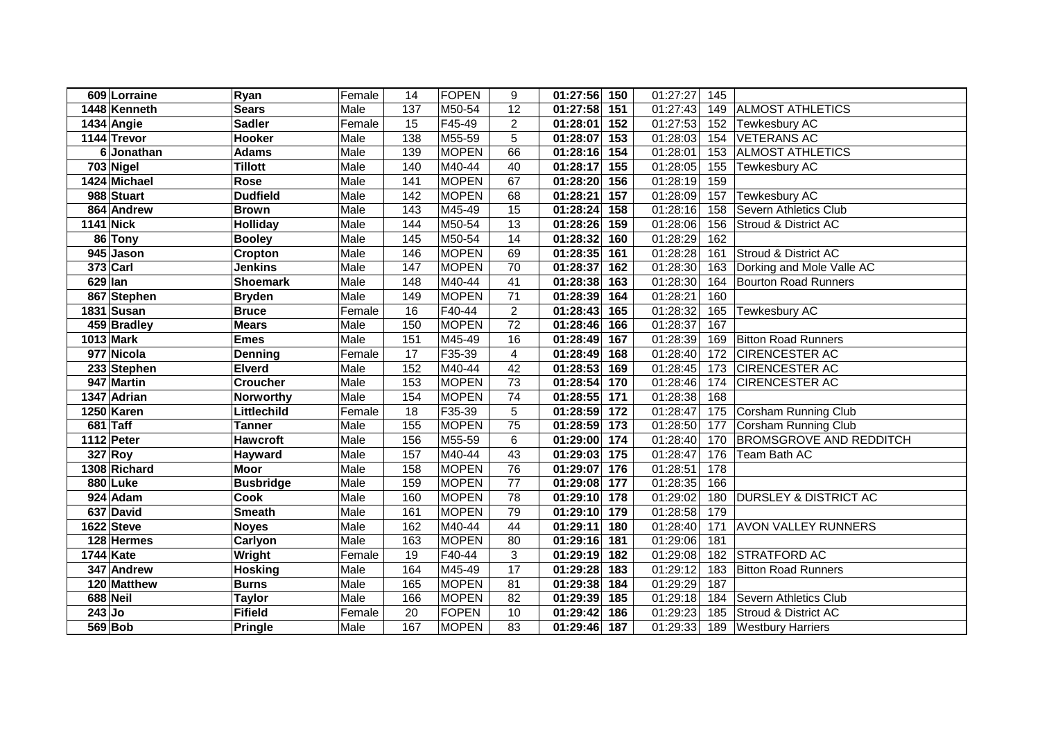|          | 609 Lorraine     | Ryan             | Female | 14              | <b>FOPEN</b> | 9                       | 01:27:56 150                  | 01:27:27 | 145 |                                  |
|----------|------------------|------------------|--------|-----------------|--------------|-------------------------|-------------------------------|----------|-----|----------------------------------|
|          | 1448 Kenneth     | <b>Sears</b>     | Male   | 137             | M50-54       | 12                      | 01:27:58<br>151               | 01:27:43 | 149 | <b>ALMOST ATHLETICS</b>          |
|          | 1434 Angie       | <b>Sadler</b>    | Female | 15              | F45-49       | $\overline{2}$          | 01:28:01<br>152               | 01:27:53 | 152 | Tewkesbury AC                    |
|          | 1144 Trevor      | <b>Hooker</b>    | Male   | 138             | M55-59       | 5                       | 01:28:07 153                  | 01:28:03 | 154 | <b>VETERANS AC</b>               |
|          | 6 Jonathan       | <b>Adams</b>     | Male   | 139             | <b>MOPEN</b> | 66                      | 01:28:16 154                  | 01:28:01 | 153 | <b>ALMOST ATHLETICS</b>          |
|          | 703 Nigel        | <b>Tillott</b>   | Male   | 140             | M40-44       | 40                      | 01:28:17 155                  | 01:28:05 | 155 | Tewkesbury AC                    |
|          | 1424 Michael     | Rose             | Male   | 141             | <b>MOPEN</b> | 67                      | 01:28:20 156                  | 01:28:19 | 159 |                                  |
|          | 988 Stuart       | <b>Dudfield</b>  | Male   | $\frac{142}{2}$ | <b>MOPEN</b> | 68                      | $\overline{01:28:21}$<br>157  | 01:28:09 | 157 | <b>Tewkesbury AC</b>             |
|          | 864 Andrew       | <b>Brown</b>     | Male   | 143             | M45-49       | 15                      | 01:28:24 158                  | 01:28:16 | 158 | Severn Athletics Club            |
|          | <b>1141 Nick</b> | <b>Holliday</b>  | Male   | 144             | M50-54       | 13                      | 01:28:26 159                  | 01:28:06 | 156 | Stroud & District AC             |
|          | 86 Tony          | <b>Booley</b>    | Male   | 145             | M50-54       | 14                      | 01:28:32 160                  | 01:28:29 | 162 |                                  |
|          | 945 Jason        | Cropton          | Male   | 146             | <b>MOPEN</b> | 69                      | 01:28:35 161                  | 01:28:28 | 161 | Stroud & District AC             |
|          | $373$ Carl       | <b>Jenkins</b>   | Male   | 147             | <b>MOPEN</b> | 70                      | $\overline{0}$ 1:28:37<br>162 | 01:28:30 | 163 | Dorking and Mole Valle AC        |
| 629 Ian  |                  | <b>Shoemark</b>  | Male   | 148             | M40-44       | 41                      | 01:28:38<br>163               | 01:28:30 | 164 | <b>Bourton Road Runners</b>      |
|          | 867 Stephen      | <b>Bryden</b>    | Male   | 149             | <b>MOPEN</b> | 71                      | 01:28:39<br>164               | 01:28:21 | 160 |                                  |
|          | 1831 Susan       | <b>Bruce</b>     | Female | 16              | F40-44       | $\overline{2}$          | 01:28:43<br>165               | 01:28:32 | 165 | <b>Tewkesbury AC</b>             |
|          | 459 Bradley      | <b>Mears</b>     | Male   | 150             | <b>MOPEN</b> | 72                      | 01:28:46<br>166               | 01:28:37 | 167 |                                  |
|          | 1013 Mark        | <b>Emes</b>      | Male   | 151             | M45-49       | 16                      | 01:28:49<br>167               | 01:28:39 | 169 | <b>Bitton Road Runners</b>       |
|          | 977 Nicola       | Denning          | Female | 17              | F35-39       | $\overline{\mathbf{4}}$ | 01:28:49<br>168               | 01:28:40 | 172 | <b>CIRENCESTER AC</b>            |
|          | 233 Stephen      | <b>Elverd</b>    | Male   | 152             | M40-44       | 42                      | 01:28:53<br>169               | 01:28:45 | 173 | <b>CIRENCESTER AC</b>            |
|          | 947 Martin       | <b>Croucher</b>  | Male   | 153             | <b>MOPEN</b> | 73                      | 01:28:54<br>170               | 01:28:46 | 174 | <b>CIRENCESTER AC</b>            |
|          | 1347 Adrian      | Norworthy        | Male   | 154             | <b>MOPEN</b> | 74                      | 01:28:55<br>171               | 01:28:38 | 168 |                                  |
|          | 1250 Karen       | Littlechild      | Female | 18              | F35-39       | 5                       | 01:28:59<br>172               | 01:28:47 | 175 | Corsham Running Club             |
|          | $681$ Taff       | <b>Tanner</b>    | Male   | 155             | <b>MOPEN</b> | 75                      | 01:28:59<br>173               | 01:28:50 | 177 | Corsham Running Club             |
|          | 1112 Peter       | <b>Hawcroft</b>  | Male   | 156             | M55-59       | $6\phantom{1}$          | 01:29:00<br>174               | 01:28:40 | 170 | <b>BROMSGROVE AND REDDITCH</b>   |
|          | 327 Roy          | Hayward          | Male   | 157             | M40-44       | 43                      | 01:29:03<br>175               | 01:28:47 | 176 | Team Bath AC                     |
|          | 1308 Richard     | <b>Moor</b>      | Male   | 158             | <b>MOPEN</b> | 76                      | 01:29:07<br>176               | 01:28:51 | 178 |                                  |
|          | 880 Luke         | <b>Busbridge</b> | Male   | 159             | <b>MOPEN</b> | 77                      | 01:29:08 177                  | 01:28:35 | 166 |                                  |
|          | 924 Adam         | <b>Cook</b>      | Male   | 160             | <b>MOPEN</b> | 78                      | 01:29:10 178                  | 01:29:02 | 180 | <b>DURSLEY &amp; DISTRICT AC</b> |
|          | 637 David        | <b>Smeath</b>    | Male   | 161             | <b>MOPEN</b> | 79                      | 01:29:10 179                  | 01:28:58 | 179 |                                  |
|          | 1622 Steve       | <b>Noyes</b>     | Male   | 162             | M40-44       | 44                      | 01:29:11 180                  | 01:28:40 | 171 | <b>AVON VALLEY RUNNERS</b>       |
|          | 128 Hermes       | Carlyon          | Male   | 163             | <b>MOPEN</b> | 80                      | 01:29:16 181                  | 01:29:06 | 181 |                                  |
|          | 1744 Kate        | Wright           | Female | 19              | F40-44       | 3                       | 01:29:19 182                  | 01:29:08 | 182 | <b>STRATFORD AC</b>              |
|          | 347 Andrew       | <b>Hosking</b>   | Male   | 164             | M45-49       | 17                      | 01:29:28<br>183               | 01:29:12 | 183 | <b>Bitton Road Runners</b>       |
|          | 120 Matthew      | <b>Burns</b>     | Male   | 165             | <b>MOPEN</b> | 81                      | 01:29:38 184                  | 01:29:29 | 187 |                                  |
|          | 688 Neil         | <b>Taylor</b>    | Male   | 166             | <b>MOPEN</b> | 82                      | 01:29:39<br>185               | 01:29:18 | 184 | Severn Athletics Club            |
| $243$ Jo |                  | <b>Fifield</b>   | Female | 20              | <b>FOPEN</b> | 10                      | 01:29:42<br>186               | 01:29:23 | 185 | Stroud & District AC             |
|          | $569$ Bob        | <b>Pringle</b>   | Male   | 167             | <b>MOPEN</b> | 83                      | 01:29:46 187                  | 01:29:33 |     | 189 Westbury Harriers            |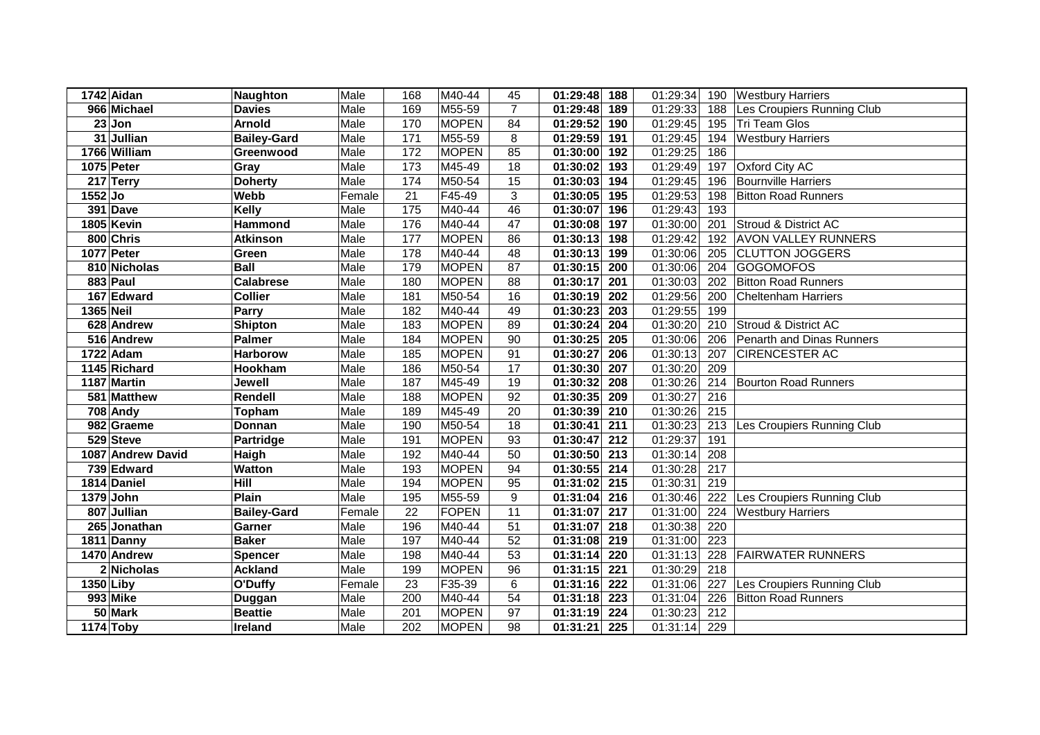|           | 1742 Aidan        | <b>Naughton</b>    | Male   | 168             | M40-44       | 45             | 01:29:48<br>188              | 01:29:34 | 190 | <b>Westbury Harriers</b>    |
|-----------|-------------------|--------------------|--------|-----------------|--------------|----------------|------------------------------|----------|-----|-----------------------------|
|           | 966 Michael       | <b>Davies</b>      | Male   | 169             | M55-59       | $\overline{7}$ | 01:29:48<br>189              | 01:29:33 | 188 | Les Croupiers Running Club  |
|           | $23$ Jon          | <b>Arnold</b>      | Male   | 170             | <b>MOPEN</b> | 84             | 01:29:52<br>190              | 01:29:45 | 195 | Tri Team Glos               |
|           | 31 Jullian        | <b>Bailey-Gard</b> | Male   | 171             | M55-59       | 8              | 01:29:59<br>191              | 01:29:45 | 194 | <b>Westbury Harriers</b>    |
|           | 1766 William      | Greenwood          | Male   | 172             | <b>MOPEN</b> | 85             | 01:30:00<br>192              | 01:29:25 | 186 |                             |
|           | 1075 Peter        | Gray               | Male   | $\frac{1}{173}$ | M45-49       | 18             | 01:30:02<br>193              | 01:29:49 | 197 | <b>Oxford City AC</b>       |
|           | 217 Terry         | <b>Doherty</b>     | Male   | 174             | M50-54       | 15             | 01:30:03<br>194              | 01:29:45 | 196 | <b>Bournville Harriers</b>  |
| 1552 Jo   |                   | Webb               | Female | $\overline{21}$ | F45-49       | 3              | 01:30:05 195                 | 01:29:53 | 198 | <b>Bitton Road Runners</b>  |
|           | 391 Dave          | <b>Kelly</b>       | Male   | 175             | M40-44       | 46             | 01:30:07<br>196              | 01:29:43 | 193 |                             |
|           | 1805 Kevin        | Hammond            | Male   | 176             | M40-44       | 47             | 01:30:08<br>197              | 01:30:00 | 201 | Stroud & District AC        |
|           | 800 Chris         | <b>Atkinson</b>    | Male   | 177             | <b>MOPEN</b> | 86             | 01:30:13<br>198              | 01:29:42 | 192 | <b>AVON VALLEY RUNNERS</b>  |
|           | 1077 Peter        | Green              | Male   | 178             | M40-44       | 48             | 01:30:13<br>199              | 01:30:06 | 205 | <b>CLUTTON JOGGERS</b>      |
|           | 810 Nicholas      | <b>Ball</b>        | Male   | 179             | <b>MOPEN</b> | 87             | 01:30:15<br>200              | 01:30:06 | 204 | <b>GOGOMOFOS</b>            |
|           | 883 Paul          | <b>Calabrese</b>   | Male   | 180             | <b>MOPEN</b> | 88             | 01:30:17<br>201              | 01:30:03 | 202 | <b>Bitton Road Runners</b>  |
|           | 167 Edward        | <b>Collier</b>     | Male   | 181             | M50-54       | 16             | 01:30:19<br>202              | 01:29:56 | 200 | <b>Cheltenham Harriers</b>  |
| 1365 Neil |                   | Parry              | Male   | 182             | M40-44       | 49             | 01:30:23<br>203              | 01:29:55 | 199 |                             |
|           | 628 Andrew        | <b>Shipton</b>     | Male   | 183             | <b>MOPEN</b> | 89             | 01:30:24<br>204              | 01:30:20 | 210 | Stroud & District AC        |
|           | 516 Andrew        | <b>Palmer</b>      | Male   | 184             | <b>MOPEN</b> | 90             | 01:30:25<br>205              | 01:30:06 | 206 | Penarth and Dinas Runners   |
|           | 1722 Adam         | <b>Harborow</b>    | Male   | 185             | <b>MOPEN</b> | 91             | 01:30:27<br>206              | 01:30:13 | 207 | <b>CIRENCESTER AC</b>       |
|           | 1145 Richard      | Hookham            | Male   | 186             | M50-54       | 17             | 01:30:30<br>207              | 01:30:20 | 209 |                             |
|           | 1187 Martin       | Jewell             | Male   | 187             | M45-49       | 19             | 208<br>01:30:32              | 01:30:26 | 214 | <b>Bourton Road Runners</b> |
|           | 581 Matthew       | Rendell            | Male   | 188             | <b>MOPEN</b> | 92             | 209<br>01:30:35              | 01:30:27 | 216 |                             |
|           | 708 Andy          | Topham             | Male   | 189             | M45-49       | 20             | 01:30:39<br>210              | 01:30:26 | 215 |                             |
|           | 982 Graeme        | Donnan             | Male   | 190             | M50-54       | 18             | 01:30:41<br>211              | 01:30:23 | 213 | Les Croupiers Running Club  |
|           | 529 Steve         | Partridge          | Male   | 191             | <b>MOPEN</b> | 93             | 01:30:47<br>$\overline{212}$ | 01:29:37 | 191 |                             |
|           | 1087 Andrew David | Haigh              | Male   | 192             | M40-44       | 50             | 01:30:50<br>213              | 01:30:14 | 208 |                             |
|           | 739 Edward        | <b>Watton</b>      | Male   | 193             | <b>MOPEN</b> | 94             | 01:30:55<br>214              | 01:30:28 | 217 |                             |
|           | 1814 Daniel       | Hill               | Male   | 194             | <b>MOPEN</b> | 95             | 01:31:02<br>215              | 01:30:31 | 219 |                             |
|           | 1379 John         | Plain              | Male   | 195             | M55-59       | 9              | 01:31:04<br>216              | 01:30:46 | 222 | Les Croupiers Running Club  |
|           | 807 Jullian       | <b>Bailey-Gard</b> | Female | $\overline{22}$ | <b>FOPEN</b> | 11             | 01:31:07<br>217              | 01:31:00 | 224 | <b>Westbury Harriers</b>    |
|           | 265 Jonathan      | Garner             | Male   | 196             | M40-44       | 51             | 01:31:07 218                 | 01:30:38 | 220 |                             |
|           | 1811 Danny        | <b>Baker</b>       | Male   | 197             | M40-44       | 52             | 01:31:08 219                 | 01:31:00 | 223 |                             |
|           | 1470 Andrew       | <b>Spencer</b>     | Male   | 198             | M40-44       | 53             | 01:31:14<br>220              | 01:31:13 | 228 | <b>FAIRWATER RUNNERS</b>    |
|           | 2 Nicholas        | <b>Ackland</b>     | Male   | 199             | <b>MOPEN</b> | 96             | 01:31:15<br>221              | 01:30:29 | 218 |                             |
| 1350 Liby |                   | O'Duffy            | Female | 23              | F35-39       | 6              | 01:31:16<br>222              | 01:31:06 | 227 | Les Croupiers Running Club  |
|           | 993 Mike          | Duggan             | Male   | 200             | M40-44       | 54             | 01:31:18<br>223              | 01:31:04 | 226 | <b>Bitton Road Runners</b>  |
|           | 50 Mark           | <b>Beattie</b>     | Male   | 201             | <b>MOPEN</b> | 97             | 224<br>01:31:19              | 01:30:23 | 212 |                             |
|           | 1174 Toby         | Ireland            | Male   | 202             | <b>MOPEN</b> | 98             | 01:31:21<br>225              | 01:31:14 | 229 |                             |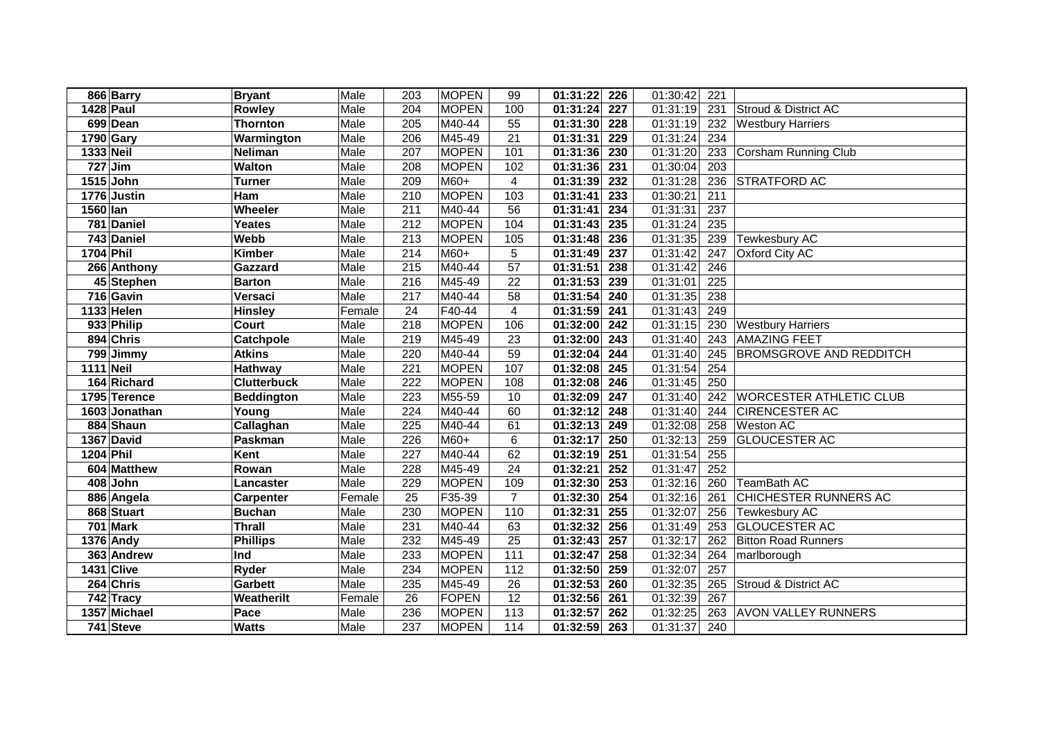|                  | 866 Barry     | <b>Bryant</b>      | Male   | 203              | <b>MOPEN</b>         | 99             | 01:31:22 226          |                  | 01:30:42              | 221              |                                |
|------------------|---------------|--------------------|--------|------------------|----------------------|----------------|-----------------------|------------------|-----------------------|------------------|--------------------------------|
|                  | 1428 Paul     | <b>Rowley</b>      | Male   | 204              | <b>MOPEN</b>         | 100            | 01:31:24              | $\overline{227}$ | 01:31:19              | 231              | Stroud & District AC           |
|                  | 699 Dean      | <b>Thornton</b>    | Male   | 205              | M40-44               | 55             | 01:31:30              | 228              | 01:31:19              | 232              | <b>Westbury Harriers</b>       |
|                  | 1790 Gary     | Warmington         | Male   | 206              | M45-49               | 21             | 01:31:31              | 229              | 01:31:24              | 234              |                                |
| 1333 Neil        |               | <b>Neliman</b>     | Male   | 207              | <b>MOPEN</b>         | 101            | 01:31:36              | 230              | 01:31:20              | 233              | Corsham Running Club           |
|                  | $727$ Jim     | <b>Walton</b>      | Male   | 208              | <b>MOPEN</b>         | 102            | $\overline{01:31:36}$ | $\overline{231}$ | 01:30:04              | $\overline{203}$ |                                |
|                  | 1515 John     | <b>Turner</b>      | Male   | 209              | $M60+$               | 4              | 01:31:39              | $\overline{232}$ | 01:31:28              | 236              | <b>STRATFORD AC</b>            |
|                  | 1776 Justin   | Ham                | Male   | 210              | <b>MOPEN</b>         | 103            | 01:31:41              | 233              | 01:30:21              | 211              |                                |
| 1560 lan         |               | Wheeler            | Male   | $\overline{211}$ | M40-44               | 56             | 01:31:41              | 234              | 01:31:31              | 237              |                                |
|                  | 781 Daniel    | Yeates             | Male   | 212              | <b>MOPEN</b>         | 104            | 01:31:43              | 235              | 01:31:24              | 235              |                                |
|                  | 743 Daniel    | Webb               | Male   | $\overline{213}$ | <b>MOPEN</b>         | 105            | 01:31:48              | 236              | 01:31:35              | 239              | Tewkesbury AC                  |
| 1704 Phil        |               | <b>Kimber</b>      | Male   | 214              | $M60+$               | 5              | 01:31:49              | 237              | $\overline{01:}31:42$ | 247              | Oxford City AC                 |
|                  | 266 Anthony   | Gazzard            | Male   | 215              | M40-44               | 57             | 01:31:51              | 238              | $\overline{01:}31:42$ | 246              |                                |
|                  | 45 Stephen    | <b>Barton</b>      | Male   | 216              | M45-49               | 22             | 01:31:53              | 239              | 01:31:01              | 225              |                                |
|                  | 716 Gavin     | Versaci            | Male   | 217              | M40-44               | 58             | 01:31:54              | 240              | 01:31:35              | 238              |                                |
|                  | 1133 Helen    | <b>Hinsley</b>     | Female | 24               | $\overline{F}$ 40-44 | $\overline{4}$ | 01:31:59              | 241              | 01:31:43              | 249              |                                |
|                  | 933 Philip    | Court              | Male   | 218              | <b>MOPEN</b>         | 106            | 01:32:00              | 242              | 01:31:15              | 230              | <b>Westbury Harriers</b>       |
|                  | 894 Chris     | Catchpole          | Male   | 219              | M45-49               | 23             | 01:32:00              | 243              | 01:31:40              | 243              | <b>AMAZING FEET</b>            |
|                  | 799 Jimmy     | <b>Atkins</b>      | Male   | 220              | M40-44               | 59             | 01:32:04              | 244              | 01:31:40              | 245              | <b>BROMSGROVE AND REDDITCH</b> |
| <b>1111 Neil</b> |               | Hathway            | Male   | 221              | <b>MOPEN</b>         | 107            | 01:32:08              | 245              | 01:31:54              | 254              |                                |
|                  | 164 Richard   | <b>Clutterbuck</b> | Male   | 222              | <b>MOPEN</b>         | 108            | 01:32:08              | 246              | 01:31:45              | 250              |                                |
|                  | 1795 Terence  | <b>Beddington</b>  | Male   | 223              | M55-59               | 10             | 01:32:09              | 247              | 01:31:40              | 242              | <b>WORCESTER ATHLETIC CLUB</b> |
|                  | 1603 Jonathan | Young              | Male   | 224              | M40-44               | 60             | 01:32:12              | 248              | 01:31:40              | 244              | <b>CIRENCESTER AC</b>          |
|                  | 884 Shaun     | Callaghan          | Male   | 225              | M40-44               | 61             | 01:32:13              | 249              | 01:32:08              | 258              | <b>Weston AC</b>               |
|                  | 1367 David    | Paskman            | Male   | $\overline{226}$ | $M60+$               | $\,6$          | 01:32:17              | 250              | 01:32:13              | 259              | <b>GLOUCESTER AC</b>           |
| <b>1204 Phil</b> |               | Kent               | Male   | 227              | M40-44               | 62             | 01:32:19              | 251              | 01:31:54              | 255              |                                |
|                  | 604 Matthew   | Rowan              | Male   | 228              | M45-49               | 24             | 01:32:21              | 252              | 01:31:47              | 252              |                                |
|                  | 408 John      | Lancaster          | Male   | 229              | <b>MOPEN</b>         | 109            | 01:32:30              | 253              | 01:32:16              | 260              | TeamBath AC                    |
|                  | 886 Angela    | <b>Carpenter</b>   | Female | 25               | F35-39               | $\overline{7}$ | 01:32:30              | 254              | 01:32:16              | 261              | <b>CHICHESTER RUNNERS AC</b>   |
|                  | 868 Stuart    | <b>Buchan</b>      | Male   | 230              | <b>MOPEN</b>         | 110            | 01:32:31              | $\overline{255}$ | 01:32:07              | 256              | <b>Tewkesbury AC</b>           |
|                  | 701 Mark      | <b>Thrall</b>      | Male   | 231              | M40-44               | 63             | 01:32:32              | 256              | 01:31:49              | 253              | <b>GLOUCESTER AC</b>           |
|                  | 1376 Andy     | <b>Phillips</b>    | Male   | 232              | M45-49               | 25             | 01:32:43              | 257              | 01:32:17              | 262              | <b>Bitton Road Runners</b>     |
|                  | 363 Andrew    | Ind                | Male   | 233              | <b>MOPEN</b>         | 111            | 01:32:47              | 258              | 01:32:34              | 264              | marlborough                    |
|                  | 1431 Clive    | Ryder              | Male   | 234              | <b>MOPEN</b>         | 112            | 01:32:50              | 259              | 01:32:07              | 257              |                                |
|                  | 264 Chris     | <b>Garbett</b>     | Male   | 235              | M45-49               | 26             | 01:32:53              | 260              | 01:32:35              | 265              | Stroud & District AC           |
|                  | 742 Tracy     | Weatherilt         | Female | 26               | FOPEN                | 12             | 01:32:56 261          |                  | 01:32:39              | 267              |                                |
|                  | 1357 Michael  | Pace               | Male   | 236              | <b>MOPEN</b>         | 113            | 01:32:57              | 262              | 01:32:25              | 263              | <b>AVON VALLEY RUNNERS</b>     |
|                  | 741 Steve     | <b>Watts</b>       | Male   | 237              | <b>MOPEN</b>         | 114            | 01:32:59 263          |                  | 01:31:37              | 240              |                                |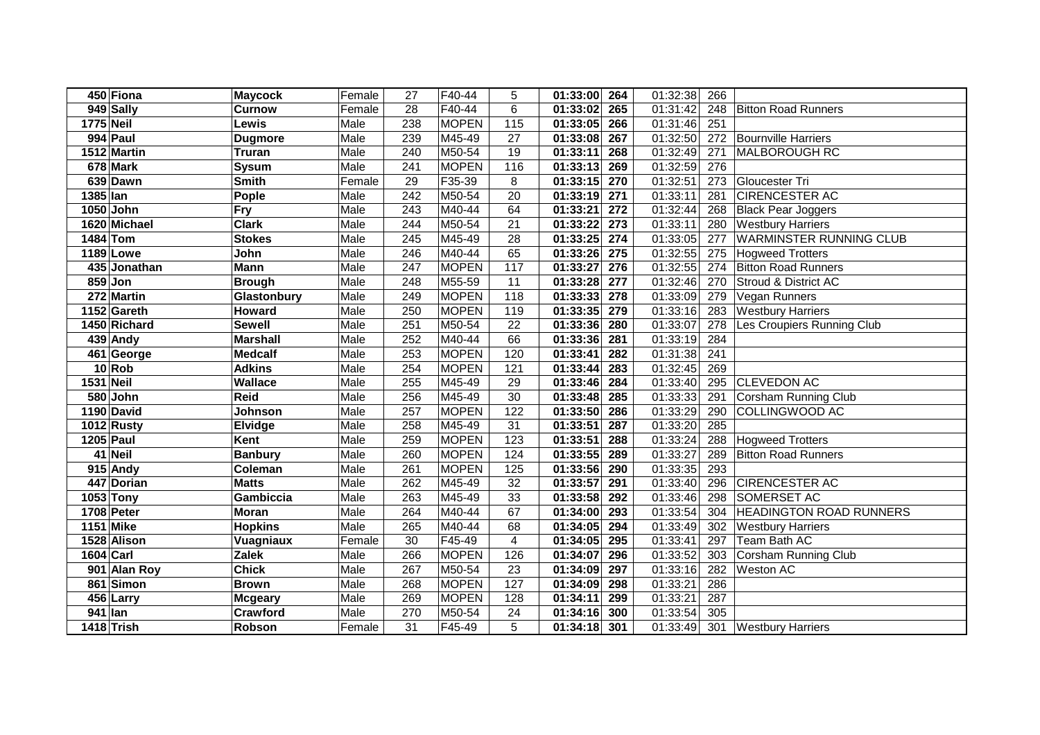|           | 450 Fiona    | <b>Maycock</b>  | Female | 27               | F40-44       | 5                | 01:33:00 264                 | 01:32:38 | 266 |                                |
|-----------|--------------|-----------------|--------|------------------|--------------|------------------|------------------------------|----------|-----|--------------------------------|
|           | 949 Sally    | <b>Curnow</b>   | Female | $\overline{28}$  | F40-44       | $\overline{6}$   | 265<br>01:33:02              | 01:31:42 | 248 | <b>Bitton Road Runners</b>     |
| 1775 Neil |              | Lewis           | Male   | 238              | <b>MOPEN</b> | 115              | 266<br>01:33:05              | 01:31:46 | 251 |                                |
|           | 994 Paul     | <b>Dugmore</b>  | Male   | 239              | M45-49       | 27               | 267<br>01:33:08              | 01:32:50 | 272 | <b>Bournville Harriers</b>     |
|           | 1512 Martin  | <b>Truran</b>   | Male   | $\overline{240}$ | M50-54       | 19               | 01:33:11<br>268              | 01:32:49 | 271 | <b>MALBOROUGH RC</b>           |
|           | 678 Mark     | <b>Sysum</b>    | Male   | 241              | <b>MOPEN</b> | 116              | 01:33:13<br>269              | 01:32:59 | 276 |                                |
|           | 639 Dawn     | <b>Smith</b>    | Female | 29               | F35-39       | 8                | $\overline{01:33:15}$<br>270 | 01:32:51 | 273 | Gloucester Tri                 |
| 1385 lan  |              | Pople           | Male   | 242              | M50-54       | 20               | 01:33:19<br>271              | 01:33:11 | 281 | <b>CIRENCESTER AC</b>          |
|           | 1050 John    | <b>Fry</b>      | Male   | 243              | M40-44       | 64               | 01:33:21<br>272              | 01:32:44 | 268 | <b>Black Pear Joggers</b>      |
|           | 1620 Michael | <b>Clark</b>    | Male   | 244              | M50-54       | 21               | 01:33:22<br>273              | 01:33:11 | 280 | <b>Westbury Harriers</b>       |
| 1484 Tom  |              | <b>Stokes</b>   | Male   | 245              | M45-49       | 28               | 01:33:25<br>274              | 01:33:05 | 277 | <b>WARMINSTER RUNNING CLUB</b> |
|           | 1189 Lowe    | John            | Male   | 246              | M40-44       | 65               | 01:33:26<br>275              | 01:32:55 | 275 | <b>Hogweed Trotters</b>        |
|           | 435 Jonathan | Mann            | Male   | 247              | <b>MOPEN</b> | 117              | $\overline{01:}33:27$<br>276 | 01:32:55 | 274 | <b>Bitton Road Runners</b>     |
|           | 859 Jon      | <b>Brough</b>   | Male   | 248              | M55-59       | 11               | 01:33:28<br>277              | 01:32:46 | 270 | Stroud & District AC           |
|           | 272 Martin   | Glastonbury     | Male   | 249              | <b>MOPEN</b> | 118              | 01:33:33<br>278              | 01:33:09 | 279 | Vegan Runners                  |
|           | 1152 Gareth  | Howard          | Male   | 250              | <b>MOPEN</b> | 119              | 01:33:35<br>279              | 01:33:16 | 283 | <b>Westbury Harriers</b>       |
|           | 1450 Richard | <b>Sewell</b>   | Male   | 251              | M50-54       | 22               | 01:33:36<br>280              | 01:33:07 | 278 | Les Croupiers Running Club     |
|           | 439 Andy     | <b>Marshall</b> | Male   | 252              | M40-44       | 66               | 01:33:36<br>281              | 01:33:19 | 284 |                                |
|           | 461 George   | <b>Medcalf</b>  | Male   | 253              | <b>MOPEN</b> | 120              | 01:33:41<br>282              | 01:31:38 | 241 |                                |
|           | 10 Rob       | <b>Adkins</b>   | Male   | 254              | <b>MOPEN</b> | 121              | 283<br>01:33:44              | 01:32:45 | 269 |                                |
| 1531 Neil |              | <b>Wallace</b>  | Male   | 255              | M45-49       | 29               | 284<br>01:33:46              | 01:33:40 | 295 | <b>CLEVEDON AC</b>             |
|           | 580 John     | <b>Reid</b>     | Male   | 256              | M45-49       | 30               | 01:33:48<br>285              | 01:33:33 | 291 | <b>Corsham Running Club</b>    |
|           | 1190 David   | Johnson         | Male   | 257              | <b>MOPEN</b> | 122              | 01:33:50<br>286              | 01:33:29 | 290 | COLLINGWOOD AC                 |
|           | 1012 Rusty   | Elvidge         | Male   | 258              | M45-49       | 31               | 01:33:51<br>287              | 01:33:20 | 285 |                                |
|           | 1205 Paul    | Kent            | Male   | 259              | <b>MOPEN</b> | $\overline{123}$ | 01:33:51<br>288              | 01:33:24 | 288 | <b>Hogweed Trotters</b>        |
|           | 41 Neil      | <b>Banbury</b>  | Male   | 260              | <b>MOPEN</b> | 124              | 01:33:55<br>289              | 01:33:27 | 289 | <b>Bitton Road Runners</b>     |
|           | $915$ Andy   | Coleman         | Male   | 261              | <b>MOPEN</b> | 125              | 01:33:56<br>290              | 01:33:35 | 293 |                                |
|           | 447 Dorian   | <b>Matts</b>    | Male   | 262              | M45-49       | 32               | 01:33:57<br>291              | 01:33:40 | 296 | <b>CIRENCESTER AC</b>          |
|           | 1053 Tony    | Gambiccia       | Male   | 263              | M45-49       | 33               | 01:33:58<br>292              | 01:33:46 | 298 | <b>SOMERSET AC</b>             |
|           | 1708 Peter   | <b>Moran</b>    | Male   | 264              | M40-44       | 67               | 01:34:00<br>293              | 01:33:54 | 304 | <b>HEADINGTON ROAD RUNNERS</b> |
|           | 1151 Mike    | <b>Hopkins</b>  | Male   | 265              | M40-44       | 68               | 01:34:05<br>294              | 01:33:49 | 302 | <b>Westbury Harriers</b>       |
|           | 1528 Alison  | Vuagniaux       | Female | 30               | F45-49       | 4                | 01:34:05<br>295              | 01:33:41 | 297 | Team Bath AC                   |
| 1604 Carl |              | <b>Zalek</b>    | Male   | 266              | <b>MOPEN</b> | 126              | 01:34:07<br>296              | 01:33:52 | 303 | <b>Corsham Running Club</b>    |
|           | 901 Alan Roy | <b>Chick</b>    | Male   | 267              | M50-54       | 23               | 01:34:09<br>297              | 01:33:16 | 282 | Weston AC                      |
|           | 861 Simon    | <b>Brown</b>    | Male   | 268              | <b>MOPEN</b> | 127              | 01:34:09<br>298              | 01:33:21 | 286 |                                |
|           | 456 Larry    | <b>Mcgeary</b>  | Male   | 269              | <b>MOPEN</b> | 128              | 01:34:11<br>299              | 01:33:21 | 287 |                                |
| 941 lan   |              | Crawford        | Male   | 270              | M50-54       | 24               | 300<br>01:34:16              | 01:33:54 | 305 |                                |
|           | 1418 Trish   | Robson          | Female | 31               | F45-49       | 5                | $01:34:18$ 301               | 01:33:49 | 301 | <b>Westbury Harriers</b>       |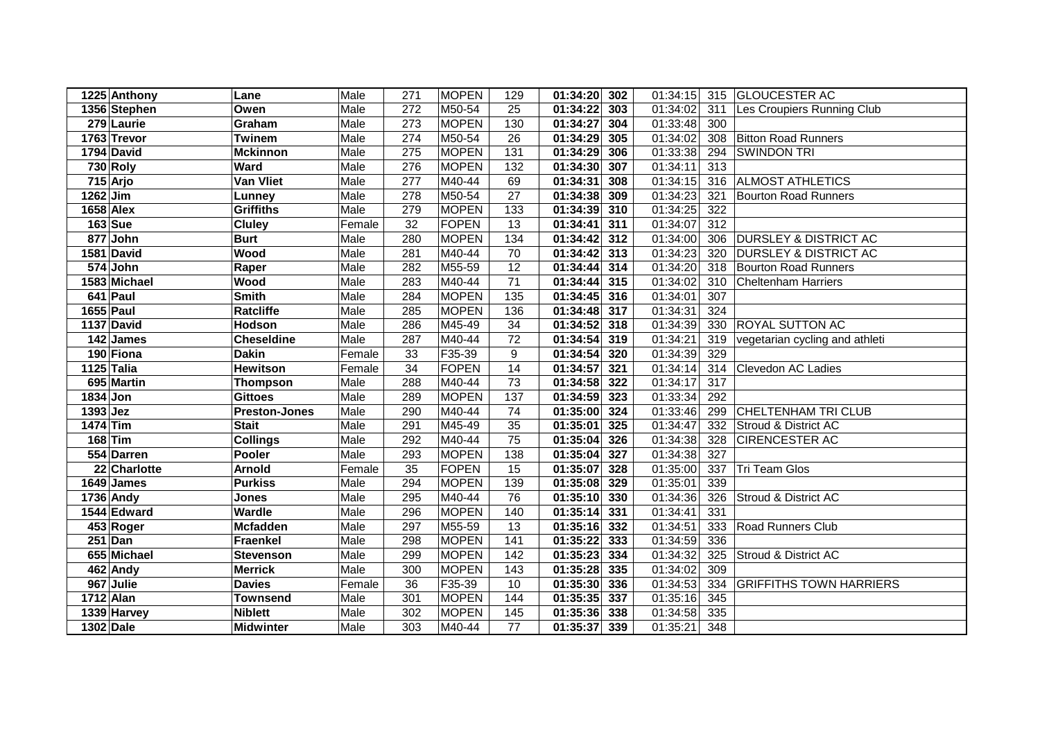| 1225 Anthony | Lane                 | Male   | 271              | <b>MOPEN</b> | 129             | 01:34:20     | 302 | 01:34:15 |     | 315 GLOUCESTER AC                |
|--------------|----------------------|--------|------------------|--------------|-----------------|--------------|-----|----------|-----|----------------------------------|
| 1356 Stephen | Owen                 | Male   | 272              | M50-54       | 25              | 01:34:22     | 303 | 01:34:02 | 311 | Les Croupiers Running Club       |
| 279 Laurie   | Graham               | Male   | 273              | <b>MOPEN</b> | 130             | 01:34:27     | 304 | 01:33:48 | 300 |                                  |
| 1763 Trevor  | <b>Twinem</b>        | Male   | $\overline{274}$ | M50-54       | 26              | 01:34:29     | 305 | 01:34:02 | 308 | <b>Bitton Road Runners</b>       |
| 1794 David   | <b>Mckinnon</b>      | Male   | 275              | <b>MOPEN</b> | 131             | 01:34:29     | 306 | 01:33:38 | 294 | <b>SWINDON TRI</b>               |
| 730 Roly     | <b>Ward</b>          | Male   | 276              | <b>MOPEN</b> | 132             | 01:34:30     | 307 | 01:34:11 | 313 |                                  |
| $715$ Arjo   | <b>Van Vliet</b>     | Male   | 277              | M40-44       | 69              | 01:34:31     | 308 | 01:34:15 |     | 316 ALMOST ATHLETICS             |
| $1262$ Jim   | <b>Lunney</b>        | Male   | 278              | M50-54       | 27              | 01:34:38     | 309 | 01:34:23 | 321 | <b>Bourton Road Runners</b>      |
| $1658$ Alex  | <b>Griffiths</b>     | Male   | 279              | <b>MOPEN</b> | 133             | 01:34:39     | 310 | 01:34:25 | 322 |                                  |
| $163$ Sue    | <b>Cluley</b>        | Female | 32               | FOPEN        | 13              | 01:34:41     | 311 | 01:34:07 | 312 |                                  |
| 877 John     | <b>Burt</b>          | Male   | 280              | <b>MOPEN</b> | 134             | 01:34:42     | 312 | 01:34:00 | 306 | <b>DURSLEY &amp; DISTRICT AC</b> |
| 1581 David   | Wood                 | Male   | 281              | M40-44       | 70              | 01:34:42     | 313 | 01:34:23 | 320 | <b>DURSLEY &amp; DISTRICT AC</b> |
| 574 John     | Raper                | Male   | 282              | M55-59       | 12              | 01:34:44     | 314 | 01:34:20 | 318 | <b>Bourton Road Runners</b>      |
| 1583 Michael | Wood                 | Male   | 283              | M40-44       | 71              | 01:34:44     | 315 | 01:34:02 | 310 | <b>Cheltenham Harriers</b>       |
| 641 Paul     | <b>Smith</b>         | Male   | 284              | <b>MOPEN</b> | 135             | 01:34:45     | 316 | 01:34:01 | 307 |                                  |
| 1655 Paul    | <b>Ratcliffe</b>     | Male   | 285              | <b>MOPEN</b> | 136             | 01:34:48     | 317 | 01:34:31 | 324 |                                  |
| 1137 David   | Hodson               | Male   | 286              | M45-49       | 34              | 01:34:52     | 318 | 01:34:39 | 330 | <b>ROYAL SUTTON AC</b>           |
| 142 James    | <b>Cheseldine</b>    | Male   | 287              | M40-44       | 72              | 01:34:54     | 319 | 01:34:21 | 319 | vegetarian cycling and athleti   |
| 190 Fiona    | <b>Dakin</b>         | Female | 33               | F35-39       | 9               | 01:34:54     | 320 | 01:34:39 | 329 |                                  |
| 1125 Talia   | <b>Hewitson</b>      | Female | 34               | <b>FOPEN</b> | 14              | 01:34:57     | 321 | 01:34:14 | 314 | Clevedon AC Ladies               |
| 695 Martin   | <b>Thompson</b>      | Male   | 288              | M40-44       | 73              | 01:34:58     | 322 | 01:34:17 | 317 |                                  |
| 1834 Jon     | <b>Gittoes</b>       | Male   | 289              | <b>MOPEN</b> | 137             | 01:34:59     | 323 | 01:33:34 | 292 |                                  |
| $1393$ Jez   | <b>Preston-Jones</b> | Male   | 290              | M40-44       | 74              | 01:35:00     | 324 | 01:33:46 | 299 | <b>CHELTENHAM TRI CLUB</b>       |
| $1474$ Tim   | <b>Stait</b>         | Male   | 291              | M45-49       | 35              | 01:35:01     | 325 | 01:34:47 | 332 | Stroud & District AC             |
| $168$ Tim    | <b>Collings</b>      | Male   | 292              | M40-44       | $\overline{75}$ | 01:35:04     | 326 | 01:34:38 | 328 | <b>CIRENCESTER AC</b>            |
| 554 Darren   | Pooler               | Male   | 293              | <b>MOPEN</b> | 138             | 01:35:04     | 327 | 01:34:38 | 327 |                                  |
| 22 Charlotte | <b>Arnold</b>        | Female | 35               | FOPEN        | 15              | 01:35:07     | 328 | 01:35:00 | 337 | <b>Tri Team Glos</b>             |
| 1649 James   | <b>Purkiss</b>       | Male   | 294              | <b>MOPEN</b> | 139             | 01:35:08     | 329 | 01:35:01 | 339 |                                  |
| 1736 Andy    | <b>Jones</b>         | Male   | 295              | M40-44       | 76              | 01:35:10     | 330 | 01:34:36 | 326 | Stroud & District AC             |
| 1544 Edward  | Wardle               | Male   | 296              | <b>MOPEN</b> | 140             | 01:35:14     | 331 | 01:34:41 | 331 |                                  |
| 453 Roger    | <b>Mcfadden</b>      | Male   | 297              | M55-59       | 13              | 01:35:16     | 332 | 01:34:51 | 333 | Road Runners Club                |
| $251$ Dan    | Fraenkel             | Male   | 298              | <b>MOPEN</b> | 141             | 01:35:22     | 333 | 01:34:59 | 336 |                                  |
| 655 Michael  | <b>Stevenson</b>     | Male   | 299              | <b>MOPEN</b> | 142             | 01:35:23     | 334 | 01:34:32 | 325 | Stroud & District AC             |
| 462 Andy     | <b>Merrick</b>       | Male   | 300              | <b>MOPEN</b> | 143             | 01:35:28     | 335 | 01:34:02 | 309 |                                  |
| 967 Julie    | <b>Davies</b>        | Female | 36               | F35-39       | 10              | 01:35:30 336 |     | 01:34:53 | 334 | <b>GRIFFITHS TOWN HARRIERS</b>   |
| $1712$ Alan  | <b>Townsend</b>      | Male   | 301              | <b>MOPEN</b> | 144             | 01:35:35     | 337 | 01:35:16 | 345 |                                  |
| 1339 Harvey  | <b>Niblett</b>       | Male   | 302              | <b>MOPEN</b> | 145             | 01:35:36 338 |     | 01:34:58 | 335 |                                  |
| 1302 Dale    | <b>Midwinter</b>     | Male   | 303              | M40-44       | 77              | 01:35:37 339 |     | 01:35:21 | 348 |                                  |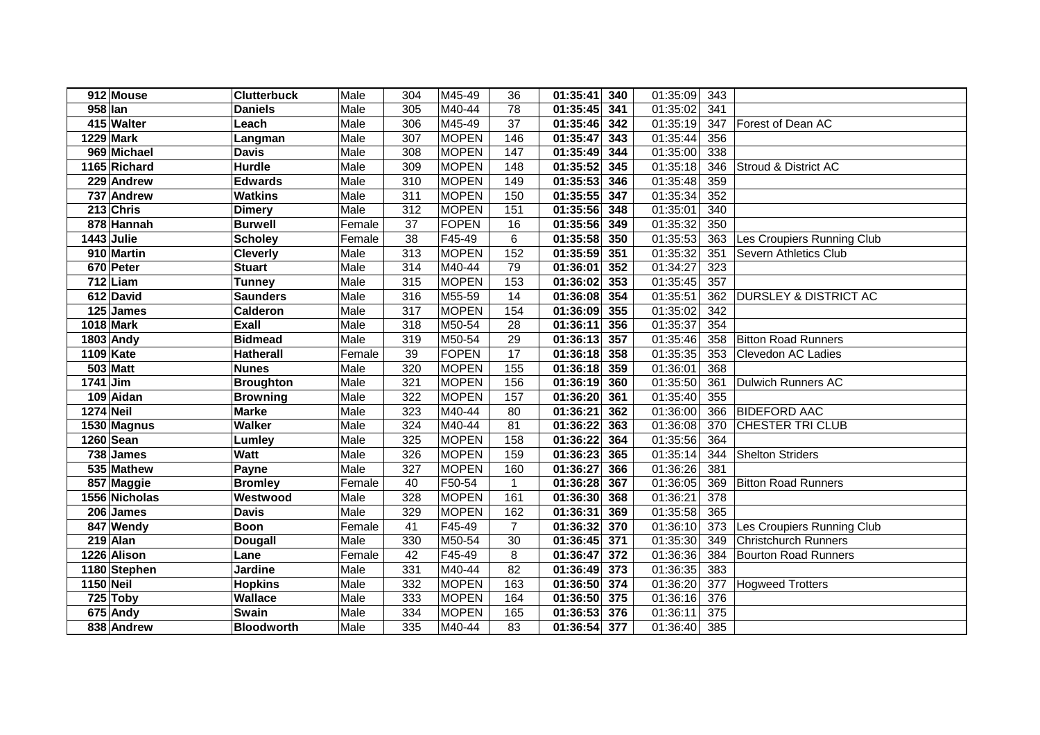|                  | 912 Mouse              | <b>Clutterbuck</b> | Male   | 304 | M45-49       | 36             | 01:35:41<br>340 | 01:35:09 | 343              |                                  |
|------------------|------------------------|--------------------|--------|-----|--------------|----------------|-----------------|----------|------------------|----------------------------------|
| 958 lan          |                        | <b>Daniels</b>     | Male   | 305 | M40-44       | 78             | 01:35:45<br>341 | 01:35:02 | 341              |                                  |
|                  | 415 Walter             | Leach              | Male   | 306 | M45-49       | 37             | 01:35:46 342    | 01:35:19 | 347              | Forest of Dean AC                |
|                  | <b>1229 Mark</b>       | Langman            | Male   | 307 | <b>MOPEN</b> | 146            | 01:35:47<br>343 | 01:35:44 | 356              |                                  |
|                  | 969 Michael            | <b>Davis</b>       | Male   | 308 | <b>MOPEN</b> | 147            | 01:35:49<br>344 | 01:35:00 | 338              |                                  |
|                  | 1165 Richard           | <b>Hurdle</b>      | Male   | 309 | <b>MOPEN</b> | 148            | 01:35:52<br>345 | 01:35:18 | 346              | Stroud & District AC             |
|                  | 229 Andrew             | <b>Edwards</b>     | Male   | 310 | <b>MOPEN</b> | 149            | 01:35:53<br>346 | 01:35:48 | 359              |                                  |
|                  | 737 Andrew             | <b>Watkins</b>     | Male   | 311 | <b>MOPEN</b> | 150            | 01:35:55<br>347 | 01:35:34 | 352              |                                  |
|                  | 213 Chris              | <b>Dimery</b>      | Male   | 312 | <b>MOPEN</b> | 151            | 01:35:56<br>348 | 01:35:01 | 340              |                                  |
|                  | 878 Hannah             | <b>Burwell</b>     | Female | 37  | <b>FOPEN</b> | 16             | 01:35:56<br>349 | 01:35:32 | 350              |                                  |
|                  | 1443 Julie             | <b>Scholey</b>     | Female | 38  | F45-49       | 6              | 01:35:58 350    | 01:35:53 | 363              | Les Croupiers Running Club       |
|                  | 910 Martin             | <b>Cleverly</b>    | Male   | 313 | <b>MOPEN</b> | 152            | 01:35:59<br>351 | 01:35:32 | 351              | Severn Athletics Club            |
|                  | 670 Peter              | <b>Stuart</b>      | Male   | 314 | M40-44       | 79             | 01:36:01<br>352 | 01:34:27 | 323              |                                  |
|                  | $712$ Liam             | <b>Tunney</b>      | Male   | 315 | <b>MOPEN</b> | 153            | 01:36:02<br>353 | 01:35:45 | 357              |                                  |
|                  | $\overline{612}$ David | <b>Saunders</b>    | Male   | 316 | M55-59       | 14             | 01:36:08<br>354 | 01:35:51 | 362              | <b>DURSLEY &amp; DISTRICT AC</b> |
|                  | 125 James              | Calderon           | Male   | 317 | <b>MOPEN</b> | 154            | 01:36:09<br>355 | 01:35:02 | 342              |                                  |
|                  | 1018 Mark              | Exall              | Male   | 318 | M50-54       | 28             | 01:36:11<br>356 | 01:35:37 | 354              |                                  |
|                  | 1803 Andy              | <b>Bidmead</b>     | Male   | 319 | M50-54       | 29             | 357<br>01:36:13 | 01:35:46 | 358              | <b>Bitton Road Runners</b>       |
|                  | 1109 Kate              | <b>Hatherall</b>   | Female | 39  | <b>FOPEN</b> | 17             | 358<br>01:36:18 | 01:35:35 | 353              | Clevedon AC Ladies               |
|                  | <b>503 Matt</b>        | <b>Nunes</b>       | Male   | 320 | <b>MOPEN</b> | 155            | 359<br>01:36:18 | 01:36:01 | 368              |                                  |
| 1741 Jim         |                        | <b>Broughton</b>   | Male   | 321 | <b>MOPEN</b> | 156            | 01:36:19<br>360 | 01:35:50 | 361              | <b>Dulwich Runners AC</b>        |
|                  | 109 Aidan              | <b>Browning</b>    | Male   | 322 | <b>MOPEN</b> | 157            | 01:36:20<br>361 | 01:35:40 | 355              |                                  |
| <b>1274 Neil</b> |                        | <b>Marke</b>       | Male   | 323 | M40-44       | 80             | 01:36:21<br>362 | 01:36:00 | 366              | <b>BIDEFORD AAC</b>              |
|                  | 1530 Magnus            | <b>Walker</b>      | Male   | 324 | M40-44       | 81             | 363<br>01:36:22 | 01:36:08 | 370              | CHESTER TRI CLUB                 |
|                  | 1260 Sean              | Lumley             | Male   | 325 | <b>MOPEN</b> | 158            | 01:36:22<br>364 | 01:35:56 | 364              |                                  |
|                  | $\overline{738}$ James | <b>Watt</b>        | Male   | 326 | <b>MOPEN</b> | 159            | 01:36:23<br>365 | 01:35:14 | 344              | <b>Shelton Striders</b>          |
|                  | 535 Mathew             | Payne              | Male   | 327 | <b>MOPEN</b> | 160            | 01:36:27<br>366 | 01:36:26 | 381              |                                  |
|                  | 857 Maggie             | <b>Bromley</b>     | Female | 40  | F50-54       | $\mathbf{1}$   | 01:36:28<br>367 | 01:36:05 | 369              | <b>Bitton Road Runners</b>       |
|                  | 1556 Nicholas          | Westwood           | Male   | 328 | <b>MOPEN</b> | 161            | 01:36:30<br>368 | 01:36:21 | $\overline{378}$ |                                  |
|                  | 206 James              | <b>Davis</b>       | Male   | 329 | <b>MOPEN</b> | 162            | 01:36:31<br>369 | 01:35:58 | 365              |                                  |
|                  | 847 Wendy              | <b>Boon</b>        | Female | 41  | F45-49       | $\overline{7}$ | 01:36:32<br>370 | 01:36:10 | 373              | Les Croupiers Running Club       |
|                  | $219$ Alan             | <b>Dougall</b>     | Male   | 330 | M50-54       | 30             | 01:36:45<br>371 | 01:35:30 | 349              | <b>Christchurch Runners</b>      |
|                  | 1226 Alison            | Lane               | Female | 42  | F45-49       | 8              | 01:36:47<br>372 | 01:36:36 | 384              | <b>Bourton Road Runners</b>      |
|                  | 1180 Stephen           | <b>Jardine</b>     | Male   | 331 | M40-44       | 82             | 01:36:49<br>373 | 01:36:35 | 383              |                                  |
| 1150 Neil        |                        | <b>Hopkins</b>     | Male   | 332 | <b>MOPEN</b> | 163            | 374<br>01:36:50 | 01:36:20 | 377              | <b>Hogweed Trotters</b>          |
|                  | 725 Toby               | Wallace            | Male   | 333 | <b>MOPEN</b> | 164            | 375<br>01:36:50 | 01:36:16 | 376              |                                  |
|                  | 675 Andy               | <b>Swain</b>       | Male   | 334 | <b>MOPEN</b> | 165            | 376<br>01:36:53 | 01:36:11 | 375              |                                  |
|                  | 838 Andrew             | <b>Bloodworth</b>  | Male   | 335 | M40-44       | 83             | 01:36:54<br>377 | 01:36:40 | 385              |                                  |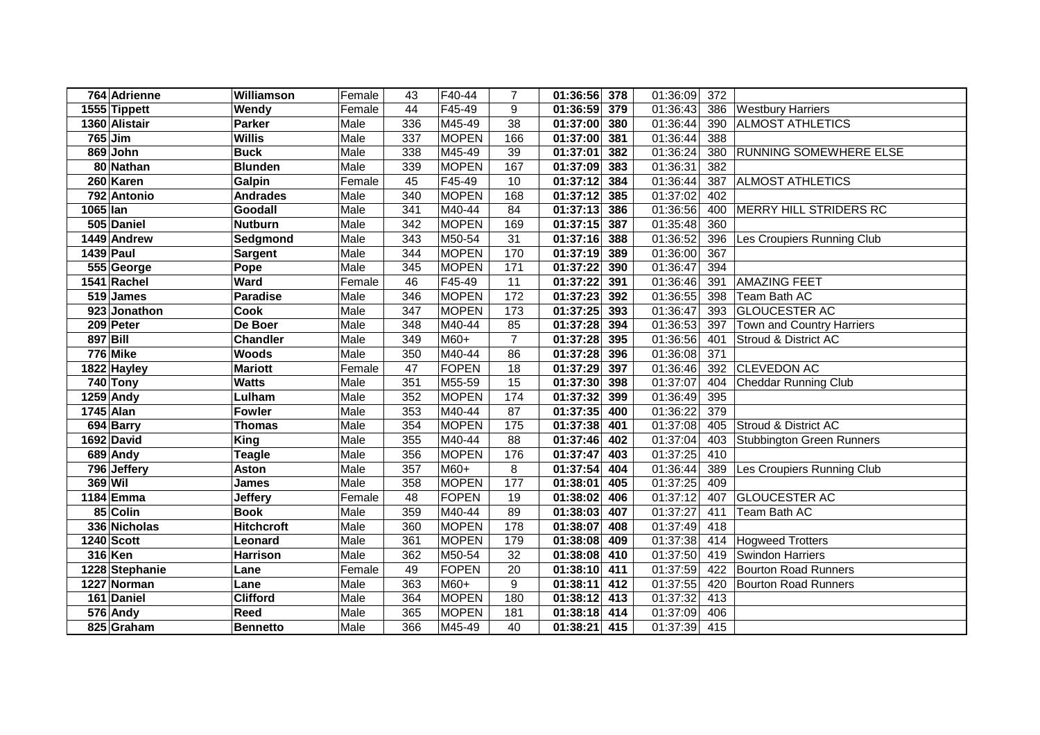|          | 764 Adrienne   | Williamson        | Female | 43  | F40-44       | $\overline{7}$ | 01:36:56 378    | 01:36:09 | 372 |                                  |
|----------|----------------|-------------------|--------|-----|--------------|----------------|-----------------|----------|-----|----------------------------------|
|          | 1555 Tippett   | Wendy             | Female | 44  | F45-49       | 9              | 379<br>01:36:59 | 01:36:43 | 386 | <b>Westbury Harriers</b>         |
|          | 1360 Alistair  | <b>Parker</b>     | Male   | 336 | M45-49       | 38             | 01:37:00<br>380 | 01:36:44 | 390 | <b>ALMOST ATHLETICS</b>          |
|          | 765 Jim        | <b>Willis</b>     | Male   | 337 | <b>MOPEN</b> | 166            | 01:37:00<br>381 | 01:36:44 | 388 |                                  |
|          | 869 John       | <b>Buck</b>       | Male   | 338 | M45-49       | 39             | 01:37:01<br>382 | 01:36:24 | 380 | RUNNING SOMEWHERE ELSE           |
|          | 80 Nathan      | <b>Blunden</b>    | Male   | 339 | <b>MOPEN</b> | 167            | 01:37:09<br>383 | 01:36:31 | 382 |                                  |
|          | 260 Karen      | Galpin            | Female | 45  | F45-49       | 10             | 01:37:12<br>384 | 01:36:44 | 387 | <b>ALMOST ATHLETICS</b>          |
|          | 792 Antonio    | <b>Andrades</b>   | Male   | 340 | <b>MOPEN</b> | 168            | 01:37:12<br>385 | 01:37:02 | 402 |                                  |
| 1065 lan |                | Goodall           | Male   | 341 | M40-44       | 84             | 01:37:13<br>386 | 01:36:56 | 400 | MERRY HILL STRIDERS RC           |
|          | 505 Daniel     | <b>Nutburn</b>    | Male   | 342 | <b>MOPEN</b> | 169            | 01:37:15<br>387 | 01:35:48 | 360 |                                  |
|          | 1449 Andrew    | Sedgmond          | Male   | 343 | M50-54       | 31             | 01:37:16<br>388 | 01:36:52 | 396 | Les Croupiers Running Club       |
|          | 1439 Paul      | <b>Sargent</b>    | Male   | 344 | <b>MOPEN</b> | 170            | 01:37:19<br>389 | 01:36:00 | 367 |                                  |
|          | 555 George     | Pope              | Male   | 345 | <b>MOPEN</b> | 171            | 01:37:22<br>390 | 01:36:47 | 394 |                                  |
|          | 1541 Rachel    | Ward              | Female | 46  | F45-49       | 11             | 01:37:22<br>391 | 01:36:46 | 391 | <b>AMAZING FEET</b>              |
|          | 519 James      | <b>Paradise</b>   | Male   | 346 | <b>MOPEN</b> | 172            | 01:37:23<br>392 | 01:36:55 | 398 | Team Bath AC                     |
|          | 923 Jonathon   | Cook              | Male   | 347 | <b>MOPEN</b> | 173            | 01:37:25<br>393 | 01:36:47 | 393 | <b>GLOUCESTER AC</b>             |
|          | 209 Peter      | De Boer           | Male   | 348 | M40-44       | 85             | 01:37:28<br>394 | 01:36:53 | 397 | Town and Country Harriers        |
|          | 897 Bill       | <b>Chandler</b>   | Male   | 349 | M60+         | $\overline{7}$ | 395<br>01:37:28 | 01:36:56 | 401 | Stroud & District AC             |
|          | 776 Mike       | <b>Woods</b>      | Male   | 350 | M40-44       | 86             | 396<br>01:37:28 | 01:36:08 | 371 |                                  |
|          | 1822 Hayley    | <b>Mariott</b>    | Female | 47  | <b>FOPEN</b> | 18             | 01:37:29<br>397 | 01:36:46 | 392 | <b>CLEVEDON AC</b>               |
|          | 740 Tony       | <b>Watts</b>      | Male   | 351 | M55-59       | 15             | 01:37:30<br>398 | 01:37:07 | 404 | <b>Cheddar Running Club</b>      |
|          | 1259 Andy      | Lulham            | Male   | 352 | <b>MOPEN</b> | 174            | 01:37:32<br>399 | 01:36:49 | 395 |                                  |
|          | 1745 Alan      | <b>Fowler</b>     | Male   | 353 | M40-44       | 87             | 01:37:35<br>400 | 01:36:22 | 379 |                                  |
|          | 694 Barry      | <b>Thomas</b>     | Male   | 354 | <b>MOPEN</b> | 175            | 01:37:38<br>401 | 01:37:08 | 405 | Stroud & District AC             |
|          | 1692 David     | <b>King</b>       | Male   | 355 | M40-44       | 88             | 01:37:46<br>402 | 01:37:04 | 403 | <b>Stubbington Green Runners</b> |
|          | 689 Andy       | <b>Teagle</b>     | Male   | 356 | <b>MOPEN</b> | 176            | 01:37:47<br>403 | 01:37:25 | 410 |                                  |
|          | 796 Jeffery    | <b>Aston</b>      | Male   | 357 | M60+         | 8              | 01:37:54<br>404 | 01:36:44 | 389 | Les Croupiers Running Club       |
|          | 369 Wil        | <b>James</b>      | Male   | 358 | <b>MOPEN</b> | 177            | 01:38:01<br>405 | 01:37:25 | 409 |                                  |
|          | 1184 Emma      | <b>Jeffery</b>    | Female | 48  | FOPEN        | 19             | 01:38:02<br>406 | 01:37:12 | 407 | <b>GLOUCESTER AC</b>             |
|          | 85 Colin       | <b>Book</b>       | Male   | 359 | M40-44       | 89             | 01:38:03<br>407 | 01:37:27 | 411 | Team Bath AC                     |
|          | 336 Nicholas   | <b>Hitchcroft</b> | Male   | 360 | <b>MOPEN</b> | 178            | 01:38:07<br>408 | 01:37:49 | 418 |                                  |
|          | 1240 Scott     | Leonard           | Male   | 361 | <b>MOPEN</b> | 179            | 01:38:08<br>409 | 01:37:38 | 414 | <b>Hogweed Trotters</b>          |
|          | 316 Ken        | <b>Harrison</b>   | Male   | 362 | M50-54       | 32             | 410<br>01:38:08 | 01:37:50 | 419 | <b>Swindon Harriers</b>          |
|          | 1228 Stephanie | Lane              | Female | 49  | <b>FOPEN</b> | 20             | 01:38:10<br>411 | 01:37:59 | 422 | <b>Bourton Road Runners</b>      |
|          | 1227 Norman    | Lane              | Male   | 363 | M60+         | 9              | 01:38:11<br>412 | 01:37:55 | 420 | <b>Bourton Road Runners</b>      |
|          | 161 Daniel     | <b>Clifford</b>   | Male   | 364 | <b>MOPEN</b> | 180            | 01:38:12<br>413 | 01:37:32 | 413 |                                  |
|          | 576 Andy       | Reed              | Male   | 365 | <b>MOPEN</b> | 181            | 414<br>01:38:18 | 01:37:09 | 406 |                                  |
|          | 825 Graham     | <b>Bennetto</b>   | Male   | 366 | M45-49       | 40             | 01:38:21<br>415 | 01:37:39 | 415 |                                  |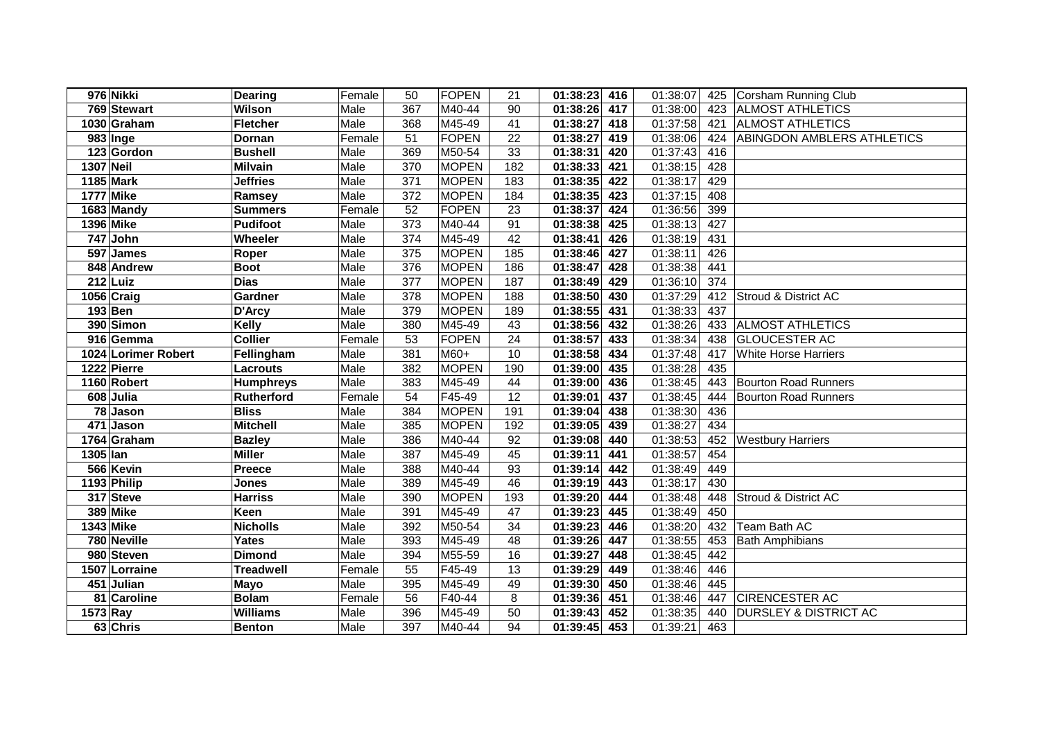| 976 Nikki           | <b>Dearing</b>   | Female | 50               | FOPEN        | 21  | 01:38:23 | 416 | 01:38:07 |     | 425 Corsham Running Club          |
|---------------------|------------------|--------|------------------|--------------|-----|----------|-----|----------|-----|-----------------------------------|
| 769 Stewart         | Wilson           | Male   | 367              | M40-44       | 90  | 01:38:26 | 417 | 01:38:00 |     | 423 ALMOST ATHLETICS              |
| 1030 Graham         | <b>Fletcher</b>  | Male   | 368              | M45-49       | 41  | 01:38:27 | 418 | 01:37:58 | 421 | <b>ALMOST ATHLETICS</b>           |
| 983 Inge            | Dornan           | Female | 51               | FOPEN        | 22  | 01:38:27 | 419 | 01:38:06 | 424 | <b>ABINGDON AMBLERS ATHLETICS</b> |
| 123 Gordon          | <b>Bushell</b>   | Male   | 369              | M50-54       | 33  | 01:38:31 | 420 | 01:37:43 | 416 |                                   |
| <b>1307 Neil</b>    | <b>Milvain</b>   | Male   | 370              | <b>MOPEN</b> | 182 | 01:38:33 | 421 | 01:38:15 | 428 |                                   |
| 1185 Mark           | <b>Jeffries</b>  | Male   | $\overline{371}$ | <b>MOPEN</b> | 183 | 01:38:35 | 422 | 01:38:17 | 429 |                                   |
| <b>1777 Mike</b>    | Ramsey           | Male   | $\overline{372}$ | <b>MOPEN</b> | 184 | 01:38:35 | 423 | 01:37:15 | 408 |                                   |
| 1683 Mandy          | <b>Summers</b>   | Female | 52               | FOPEN        | 23  | 01:38:37 | 424 | 01:36:56 | 399 |                                   |
| 1396 Mike           | <b>Pudifoot</b>  | Male   | 373              | M40-44       | 91  | 01:38:38 | 425 | 01:38:13 | 427 |                                   |
| 747 John            | Wheeler          | Male   | 374              | M45-49       | 42  | 01:38:41 | 426 | 01:38:19 | 431 |                                   |
| 597 James           | Roper            | Male   | 375              | <b>MOPEN</b> | 185 | 01:38:46 | 427 | 01:38:11 | 426 |                                   |
| 848 Andrew          | <b>Boot</b>      | Male   | 376              | <b>MOPEN</b> | 186 | 01:38:47 | 428 | 01:38:38 | 441 |                                   |
| $212$ Luiz          | <b>Dias</b>      | Male   | 377              | <b>MOPEN</b> | 187 | 01:38:49 | 429 | 01:36:10 | 374 |                                   |
| 1056 Craig          | <b>Gardner</b>   | Male   | 378              | <b>MOPEN</b> | 188 | 01:38:50 | 430 | 01:37:29 | 412 | Stroud & District AC              |
| $193$ Ben           | D'Arcy           | Male   | 379              | <b>MOPEN</b> | 189 | 01:38:55 | 431 | 01:38:33 | 437 |                                   |
| 390 Simon           | Kelly            | Male   | 380              | M45-49       | 43  | 01:38:56 | 432 | 01:38:26 | 433 | <b>ALMOST ATHLETICS</b>           |
| 916 Gemma           | <b>Collier</b>   | Female | 53               | <b>FOPEN</b> | 24  | 01:38:57 | 433 | 01:38:34 | 438 | <b>GLOUCESTER AC</b>              |
| 1024 Lorimer Robert | Fellingham       | Male   | 381              | M60+         | 10  | 01:38:58 | 434 | 01:37:48 | 417 | <b>White Horse Harriers</b>       |
| 1222 Pierre         | <b>Lacrouts</b>  | Male   | 382              | <b>MOPEN</b> | 190 | 01:39:00 | 435 | 01:38:28 | 435 |                                   |
| 1160 Robert         | <b>Humphreys</b> | Male   | 383              | M45-49       | 44  | 01:39:00 | 436 | 01:38:45 | 443 | <b>Bourton Road Runners</b>       |
| 608 Julia           | Rutherford       | Female | 54               | F45-49       | 12  | 01:39:01 | 437 | 01:38:45 | 444 | <b>Bourton Road Runners</b>       |
| 78 Jason            | <b>Bliss</b>     | Male   | 384              | <b>MOPEN</b> | 191 | 01:39:04 | 438 | 01:38:30 | 436 |                                   |
| 471 Jason           | <b>Mitchell</b>  | Male   | 385              | <b>MOPEN</b> | 192 | 01:39:05 | 439 | 01:38:27 | 434 |                                   |
| 1764 Graham         | <b>Bazley</b>    | Male   | 386              | M40-44       | 92  | 01:39:08 | 440 | 01:38:53 | 452 | <b>Westbury Harriers</b>          |
| 1305 Ian            | <b>Miller</b>    | Male   | 387              | M45-49       | 45  | 01:39:11 | 441 | 01:38:57 | 454 |                                   |
| 566 Kevin           | Preece           | Male   | 388              | M40-44       | 93  | 01:39:14 | 442 | 01:38:49 | 449 |                                   |
| 1193 Philip         | <b>Jones</b>     | Male   | 389              | M45-49       | 46  | 01:39:19 | 443 | 01:38:17 | 430 |                                   |
| 317 Steve           | <b>Harriss</b>   | Male   | 390              | <b>MOPEN</b> | 193 | 01:39:20 | 444 | 01:38:48 | 448 | Stroud & District AC              |
| 389 Mike            | Keen             | Male   | 391              | M45-49       | 47  | 01:39:23 | 445 | 01:38:49 | 450 |                                   |
| 1343 Mike           | <b>Nicholls</b>  | Male   | 392              | M50-54       | 34  | 01:39:23 | 446 | 01:38:20 | 432 | Team Bath AC                      |
| 780 Neville         | Yates            | Male   | 393              | M45-49       | 48  | 01:39:26 | 447 | 01:38:55 | 453 | <b>Bath Amphibians</b>            |
| 980 Steven          | <b>Dimond</b>    | Male   | 394              | M55-59       | 16  | 01:39:27 | 448 | 01:38:45 | 442 |                                   |
| 1507 Lorraine       | <b>Treadwell</b> | Female | 55               | F45-49       | 13  | 01:39:29 | 449 | 01:38:46 | 446 |                                   |
| 451 Julian          | <b>Mayo</b>      | Male   | 395              | M45-49       | 49  | 01:39:30 | 450 | 01:38:46 | 445 |                                   |
| 81 Caroline         | <b>Bolam</b>     | Female | 56               | F40-44       | 8   | 01:39:36 | 451 | 01:38:46 | 447 | <b>CIRENCESTER AC</b>             |
| 1573 Ray            | <b>Williams</b>  | Male   | 396              | M45-49       | 50  | 01:39:43 | 452 | 01:38:35 | 440 | <b>DURSLEY &amp; DISTRICT AC</b>  |
| 63 Chris            | <b>Benton</b>    | Male   | 397              | M40-44       | 94  | 01:39:45 | 453 | 01:39:21 | 463 |                                   |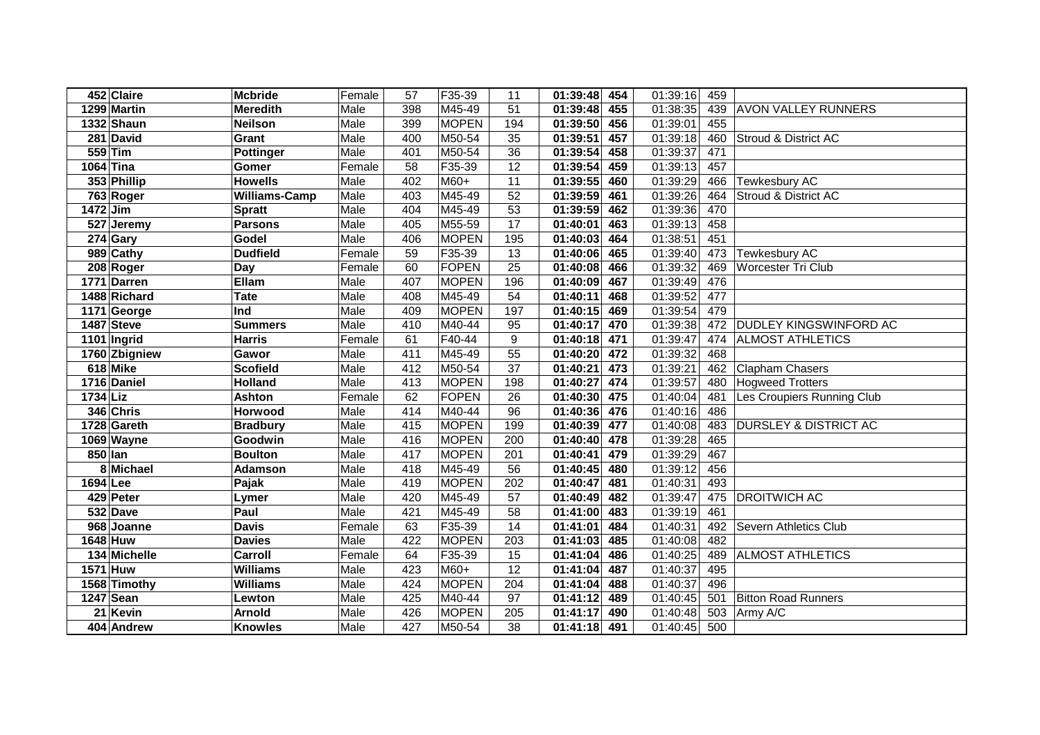|            | 452 Claire    | <b>Mcbride</b>   | Female | 57  | F35-39       | 11  | 454<br>01:39:48              | 01:39:16 | 459 |                                  |
|------------|---------------|------------------|--------|-----|--------------|-----|------------------------------|----------|-----|----------------------------------|
|            | 1299 Martin   | <b>Meredith</b>  | Male   | 398 | M45-49       | 51  | 455<br>01:39:48              | 01:38:35 | 439 | <b>AVON VALLEY RUNNERS</b>       |
|            | 1332 Shaun    | <b>Neilson</b>   | Male   | 399 | <b>MOPEN</b> | 194 | 01:39:50 456                 | 01:39:01 | 455 |                                  |
|            | 281 David     | Grant            | Male   | 400 | M50-54       | 35  | 01:39:51<br>457              | 01:39:18 | 460 | Stroud & District AC             |
|            | 559 Tim       | <b>Pottinger</b> | Male   | 401 | M50-54       | 36  | 01:39:54<br>458              | 01:39:37 | 471 |                                  |
|            | 1064 Tina     | Gomer            | Female | 58  | F35-39       | 12  | 01:39:54<br>459              | 01:39:13 | 457 |                                  |
|            | 353 Phillip   | <b>Howells</b>   | Male   | 402 | M60+         | 11  | 01:39:55<br>460              | 01:39:29 | 466 | Tewkesbury AC                    |
|            | 763 Roger     | Williams-Camp    | Male   | 403 | M45-49       | 52  | 01:39:59<br>461              | 01:39:26 | 464 | Stroud & District AC             |
| $1472$ Jim |               | <b>Spratt</b>    | Male   | 404 | M45-49       | 53  | 01:39:59<br>462              | 01:39:36 | 470 |                                  |
|            | 527 Jeremy    | <b>Parsons</b>   | Male   | 405 | M55-59       | 17  | 01:40:01<br>463              | 01:39:13 | 458 |                                  |
|            | $274$ Gary    | Godel            | Male   | 406 | <b>MOPEN</b> | 195 | 01:40:03<br>464              | 01:38:51 | 451 |                                  |
|            | 989 Cathy     | <b>Dudfield</b>  | Female | 59  | F35-39       | 13  | 01:40:06<br>465              | 01:39:40 | 473 | <b>Tewkesbury AC</b>             |
|            | 208 Roger     | Day              | Female | 60  | <b>FOPEN</b> | 25  | 01:40:08<br>466              | 01:39:32 | 469 | Worcester Tri Club               |
|            | 1771 Darren   | Ellam            | Male   | 407 | <b>MOPEN</b> | 196 | 01:40:09<br>467              | 01:39:49 | 476 |                                  |
|            | 1488 Richard  | <b>Tate</b>      | Male   | 408 | M45-49       | 54  | 01:40:11<br>468              | 01:39:52 | 477 |                                  |
|            | 1171 George   | Ind              | Male   | 409 | <b>MOPEN</b> | 197 | 01:40:15<br>469              | 01:39:54 | 479 |                                  |
|            | 1487 Steve    | <b>Summers</b>   | Male   | 410 | M40-44       | 95  | 470<br>01:40:17              | 01:39:38 | 472 | <b>DUDLEY KINGSWINFORD AC</b>    |
|            | 1101 Ingrid   | <b>Harris</b>    | Female | 61  | F40-44       | 9   | 01:40:18<br>471              | 01:39:47 | 474 | <b>ALMOST ATHLETICS</b>          |
|            | 1760 Zbigniew | Gawor            | Male   | 411 | M45-49       | 55  | 472<br>01:40:20              | 01:39:32 | 468 |                                  |
|            | 618 Mike      | <b>Scofield</b>  | Male   | 412 | M50-54       | 37  | 01:40:21<br>473              | 01:39:21 | 462 | <b>Clapham Chasers</b>           |
|            | 1716 Daniel   | <b>Holland</b>   | Male   | 413 | <b>MOPEN</b> | 198 | 474<br>01:40:27              | 01:39:57 | 480 | <b>Hogweed Trotters</b>          |
| 1734 Liz   |               | <b>Ashton</b>    | Female | 62  | <b>FOPEN</b> | 26  | 01:40:30<br>475              | 01:40:04 | 481 | Les Croupiers Running Club       |
|            | 346 Chris     | Horwood          | Male   | 414 | M40-44       | 96  | 01:40:36<br>476              | 01:40:16 | 486 |                                  |
|            | 1728 Gareth   | <b>Bradbury</b>  | Male   | 415 | <b>MOPEN</b> | 199 | 01:40:39<br>477              | 01:40:08 | 483 | <b>DURSLEY &amp; DISTRICT AC</b> |
|            | 1069 Wayne    | Goodwin          | Male   | 416 | <b>MOPEN</b> | 200 | 01:40:40<br>478              | 01:39:28 | 465 |                                  |
| 850 lan    |               | <b>Boulton</b>   | Male   | 417 | <b>MOPEN</b> | 201 | 01:40:41<br>479              | 01:39:29 | 467 |                                  |
|            | 8 Michael     | <b>Adamson</b>   | Male   | 418 | M45-49       | 56  | $\overline{01:}40:45$<br>480 | 01:39:12 | 456 |                                  |
| 1694 Lee   |               | Pajak            | Male   | 419 | <b>MOPEN</b> | 202 | 01:40:47<br>481              | 01:40:31 | 493 |                                  |
|            | 429 Peter     | Lymer            | Male   | 420 | M45-49       | 57  | $\overline{01:}40:49$<br>482 | 01:39:47 | 475 | <b>DROITWICH AC</b>              |
|            | 532 Dave      | Paul             | Male   | 421 | M45-49       | 58  | 483<br>01:41:00              | 01:39:19 | 461 |                                  |
|            | 968 Joanne    | <b>Davis</b>     | Female | 63  | F35-39       | 14  | 484<br>01:41:01              | 01:40:31 | 492 | Severn Athletics Club            |
|            | 1648 Huw      | <b>Davies</b>    | Male   | 422 | <b>MOPEN</b> | 203 | 485<br>01:41:03              | 01:40:08 | 482 |                                  |
|            | 134 Michelle  | Carroll          | Female | 64  | F35-39       | 15  | 01:41:04<br>486              | 01:40:25 | 489 | <b>ALMOST ATHLETICS</b>          |
|            | 1571 Huw      | <b>Williams</b>  | Male   | 423 | $M60+$       | 12  | 01:41:04<br>487              | 01:40:37 | 495 |                                  |
|            | 1568 Timothy  | <b>Williams</b>  | Male   | 424 | <b>MOPEN</b> | 204 | 01:41:04<br>488              | 01:40:37 | 496 |                                  |
|            | 1247 Sean     | Lewton           | Male   | 425 | M40-44       | 97  | 01:41:12<br>489              | 01:40:45 | 501 | <b>Bitton Road Runners</b>       |
|            | 21 Kevin      | <b>Arnold</b>    | Male   | 426 | <b>MOPEN</b> | 205 | 01:41:17<br>490              | 01:40:48 | 503 | Army A/C                         |
|            | 404 Andrew    | <b>Knowles</b>   | Male   | 427 | M50-54       | 38  | $01:41:18$ 491               | 01:40:45 | 500 |                                  |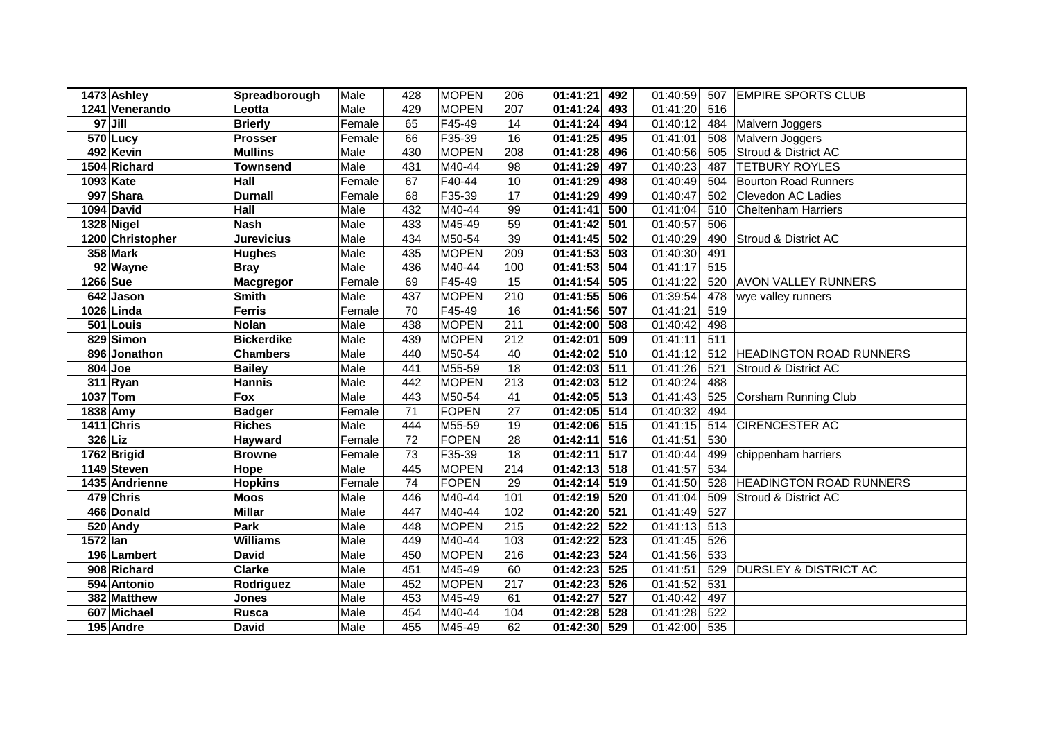|          | 1473 Ashley       | Spreadborough     | Male   | 428             | <b>MOPEN</b> | 206             | 01:41:21 | 492              | 01:40:59 | 507 | <b>EMPIRE SPORTS CLUB</b>        |
|----------|-------------------|-------------------|--------|-----------------|--------------|-----------------|----------|------------------|----------|-----|----------------------------------|
|          | 1241 Venerando    | Leotta            | Male   | 429             | <b>MOPEN</b> | 207             | 01:41:24 | 493              | 01:41:20 | 516 |                                  |
|          | $97$ Jill         | <b>Brierly</b>    | Female | 65              | F45-49       | 14              | 01:41:24 | 494              | 01:40:12 | 484 | Malvern Joggers                  |
|          | 570 Lucy          | <b>Prosser</b>    | Female | 66              | F35-39       | 16              | 01:41:25 | 495              | 01:41:01 | 508 | Malvern Joggers                  |
|          | 492 Kevin         | <b>Mullins</b>    | Male   | 430             | <b>MOPEN</b> | 208             | 01:41:28 | 496              | 01:40:56 | 505 | Stroud & District AC             |
|          | 1504 Richard      | <b>Townsend</b>   | Male   | 431             | M40-44       | 98              | 01:41:29 | 497              | 01:40:23 | 487 | <b>TETBURY ROYLES</b>            |
|          | 1093 Kate         | Hall              | Female | 67              | F40-44       | 10              | 01:41:29 | 498              | 01:40:49 | 504 | <b>Bourton Road Runners</b>      |
|          | 997 Shara         | <b>Durnall</b>    | Female | 68              | F35-39       | 17              | 01:41:29 | 499              | 01:40:47 | 502 | Clevedon AC Ladies               |
|          | 1094 David        | Hall              | Male   | 432             | M40-44       | 99              | 01:41:41 | 500              | 01:41:04 | 510 | <b>Cheltenham Harriers</b>       |
|          | 1328 Nigel        | <b>Nash</b>       | Male   | 433             | M45-49       | 59              | 01:41:42 | 501              | 01:40:57 | 506 |                                  |
|          | 1200 Christopher  | <b>Jurevicius</b> | Male   | 434             | M50-54       | 39              | 01:41:45 | 502              | 01:40:29 | 490 | Stroud & District AC             |
|          | <b>358 Mark</b>   | <b>Hughes</b>     | Male   | 435             | <b>MOPEN</b> | 209             | 01:41:53 | 503              | 01:40:30 | 491 |                                  |
|          | 92 Wayne          | <b>Bray</b>       | Male   | 436             | M40-44       | 100             | 01:41:53 | 504              | 01:41:17 | 515 |                                  |
| 1266 Sue |                   | <b>Macgregor</b>  | Female | 69              | F45-49       | 15              | 01:41:54 | 505              | 01:41:22 | 520 | <b>AVON VALLEY RUNNERS</b>       |
|          | 642 Jason         | <b>Smith</b>      | Male   | 437             | <b>MOPEN</b> | 210             | 01:41:55 | 506              | 01:39:54 | 478 | wye valley runners               |
|          | 1026 Linda        | <b>Ferris</b>     | Female | 70              | F45-49       | 16              | 01:41:56 | 507              | 01:41:21 | 519 |                                  |
|          | 501 Louis         | <b>Nolan</b>      | Male   | 438             | <b>MOPEN</b> | 211             | 01:42:00 | 508              | 01:40:42 | 498 |                                  |
|          | 829 Simon         | <b>Bickerdike</b> | Male   | 439             | <b>MOPEN</b> | 212             | 01:42:01 | 509              | 01:41:11 | 511 |                                  |
|          | 896 Jonathon      | <b>Chambers</b>   | Male   | 440             | M50-54       | 40              | 01:42:02 | 510              | 01:41:12 | 512 | <b>HEADINGTON ROAD RUNNERS</b>   |
|          | $804$ Joe         | <b>Bailey</b>     | Male   | 441             | M55-59       | 18              | 01:42:03 | 511              | 01:41:26 | 521 | Stroud & District AC             |
|          | 311 Ryan          | <b>Hannis</b>     | Male   | 442             | <b>MOPEN</b> | 213             | 01:42:03 | $\overline{512}$ | 01:40:24 | 488 |                                  |
| 1037 Tom |                   | Fox               | Male   | 443             | M50-54       | 41              | 01:42:05 | $\overline{513}$ | 01:41:43 | 525 | Corsham Running Club             |
| 1838 Amy |                   | <b>Badger</b>     | Female | 71              | <b>FOPEN</b> | 27              | 01:42:05 | 514              | 01:40:32 | 494 |                                  |
|          | <b>1411 Chris</b> | <b>Riches</b>     | Male   | 444             | M55-59       | 19              | 01:42:06 | 515              | 01:41:15 | 514 | <b>CIRENCESTER AC</b>            |
| 326 Liz  |                   | Hayward           | Female | 72              | <b>FOPEN</b> | $\overline{28}$ | 01:42:11 | $\overline{516}$ | 01:41:51 | 530 |                                  |
|          | 1762 Brigid       | <b>Browne</b>     | Female | $\overline{73}$ | F35-39       | $\overline{18}$ | 01:42:11 | $\overline{517}$ | 01:40:44 | 499 | chippenham harriers              |
|          | 1149 Steven       | Hope              | Male   | 445             | <b>MOPEN</b> | 214             | 01:42:13 | 518              | 01:41:57 | 534 |                                  |
|          | 1435 Andrienne    | <b>Hopkins</b>    | Female | 74              | <b>FOPEN</b> | 29              | 01:42:14 | 519              | 01:41:50 | 528 | <b>HEADINGTON ROAD RUNNERS</b>   |
|          | 479 Chris         | <b>Moos</b>       | Male   | 446             | M40-44       | 101             | 01:42:19 | 520              | 01:41:04 | 509 | Stroud & District AC             |
|          | 466 Donald        | <b>Millar</b>     | Male   | 447             | M40-44       | 102             | 01:42:20 | 521              | 01:41:49 | 527 |                                  |
|          | 520 Andy          | Park              | Male   | 448             | <b>MOPEN</b> | 215             | 01:42:22 | 522              | 01:41:13 | 513 |                                  |
| 1572 Ian |                   | <b>Williams</b>   | Male   | 449             | M40-44       | 103             | 01:42:22 | 523              | 01:41:45 | 526 |                                  |
|          | 196 Lambert       | <b>David</b>      | Male   | 450             | <b>MOPEN</b> | 216             | 01:42:23 | 524              | 01:41:56 | 533 |                                  |
|          | 908 Richard       | <b>Clarke</b>     | Male   | 451             | M45-49       | 60              | 01:42:23 | 525              | 01:41:51 | 529 | <b>DURSLEY &amp; DISTRICT AC</b> |
|          | 594 Antonio       | Rodriguez         | Male   | 452             | <b>MOPEN</b> | 217             | 01:42:23 | 526              | 01:41:52 | 531 |                                  |
|          | 382 Matthew       | <b>Jones</b>      | Male   | 453             | M45-49       | 61              | 01:42:27 | 527              | 01:40:42 | 497 |                                  |
|          | 607 Michael       | <b>Rusca</b>      | Male   | 454             | M40-44       | 104             | 01:42:28 | 528              | 01:41:28 | 522 |                                  |
|          | 195 Andre         | <b>David</b>      | Male   | 455             | M45-49       | 62              | 01:42:30 | 529              | 01:42:00 | 535 |                                  |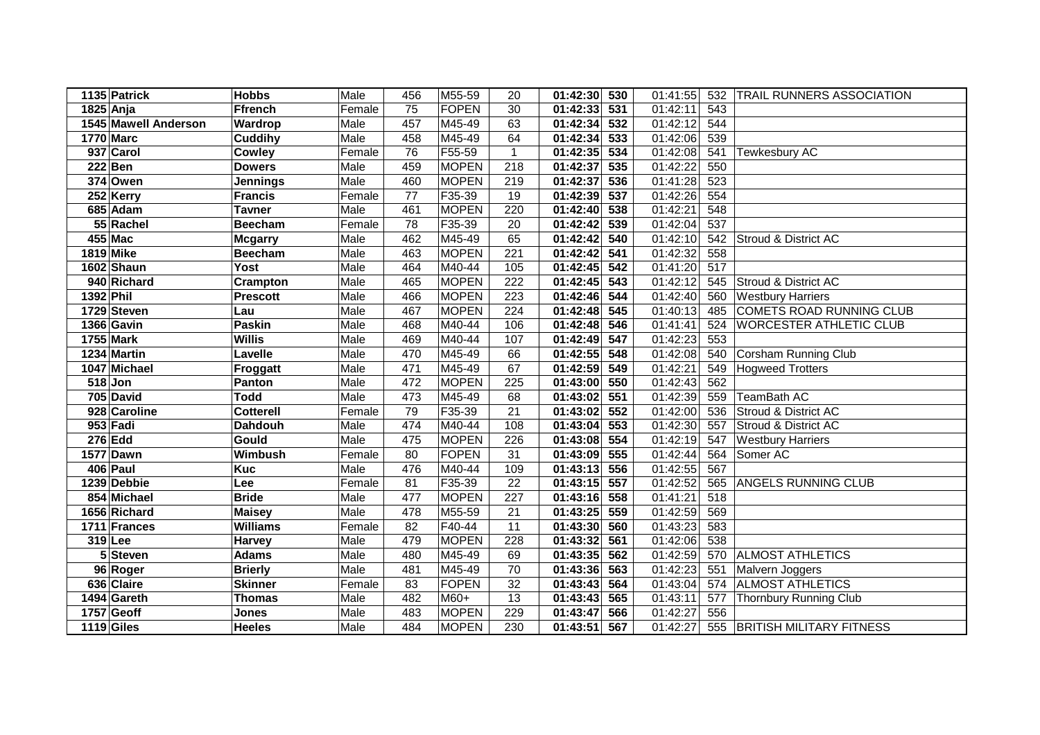|           | 1135 Patrick         | <b>Hobbs</b>     | Male   | 456             | M55-59       | 20               | 01:42:30                  | 530              | 01:41:55 | 532              | TRAIL RUNNERS ASSOCIATION       |
|-----------|----------------------|------------------|--------|-----------------|--------------|------------------|---------------------------|------------------|----------|------------------|---------------------------------|
| 1825 Anja |                      | <b>Ffrench</b>   | Female | $\overline{75}$ | FOPEN        | 30               | 01:42:33                  | $\overline{531}$ | 01:42:11 | $\overline{543}$ |                                 |
|           | 1545 Mawell Anderson | Wardrop          | Male   | 457             | M45-49       | 63               | 01:42:34                  | 532              | 01:42:12 | 544              |                                 |
|           | <b>1770 Marc</b>     | <b>Cuddihy</b>   | Male   | 458             | M45-49       | 64               | 01:42:34                  | 533              | 01:42:06 | 539              |                                 |
|           | 937 Carol            | Cowley           | Female | 76              | F55-59       | $\mathbf{1}$     | $01:\overline{42:35}$ 534 |                  | 01:42:08 | 541              | Tewkesbury AC                   |
|           | $222$ Ben            | <b>Dowers</b>    | Male   | 459             | <b>MOPEN</b> | $\overline{218}$ | 01:42:37                  | 535              | 01:42:22 | 550              |                                 |
|           | 374 Owen             | <b>Jennings</b>  | Male   | 460             | <b>MOPEN</b> | 219              | 01:42:37                  | 536              | 01:41:28 | 523              |                                 |
|           | 252 Kerry            | <b>Francis</b>   | Female | $\overline{77}$ | F35-39       | 19               | 01:42:39                  | 537              | 01:42:26 | 554              |                                 |
|           | 685 Adam             | <b>Tavner</b>    | Male   | 461             | <b>MOPEN</b> | 220              | 01:42:40                  | 538              | 01:42:21 | 548              |                                 |
|           | 55 Rachel            | <b>Beecham</b>   | Female | 78              | F35-39       | 20               | 01:42:42                  | 539              | 01:42:04 | 537              |                                 |
|           | 455 Mac              | <b>Mcgarry</b>   | Male   | 462             | M45-49       | 65               | 01:42:42                  | 540              | 01:42:10 | 542              | Stroud & District AC            |
|           | 1819 Mike            | <b>Beecham</b>   | Male   | 463             | <b>MOPEN</b> | 221              | 01:42:42                  | 541              | 01:42:32 | 558              |                                 |
|           | 1602 Shaun           | <b>Yost</b>      | Male   | 464             | M40-44       | 105              | 01:42:45                  | 542              | 01:41:20 | 517              |                                 |
|           | 940 Richard          | Crampton         | Male   | 465             | <b>MOPEN</b> | 222              | 01:42:45 543              |                  | 01:42:12 | 545              | Stroud & District AC            |
| 1392 Phil |                      | <b>Prescott</b>  | Male   | 466             | <b>MOPEN</b> | 223              | 01:42:46 544              |                  | 01:42:40 | 560              | <b>Westbury Harriers</b>        |
|           | 1729 Steven          | Lau              | Male   | 467             | <b>MOPEN</b> | 224              | 01:42:48 545              |                  | 01:40:13 | 485              | <b>COMETS ROAD RUNNING CLUB</b> |
|           | 1366 Gavin           | <b>Paskin</b>    | Male   | 468             | M40-44       | 106              | 01:42:48                  | 546              | 01:41:41 | 524              | <b>WORCESTER ATHLETIC CLUB</b>  |
|           | 1755 Mark            | <b>Willis</b>    | Male   | 469             | M40-44       | 107              | 01:42:49                  | 547              | 01:42:23 | 553              |                                 |
|           | 1234 Martin          | Lavelle          | Male   | 470             | M45-49       | 66               | 01:42:55                  | 548              | 01:42:08 | 540              | Corsham Running Club            |
|           | 1047 Michael         | Froggatt         | Male   | 471             | M45-49       | 67               | 01:42:59                  | 549              | 01:42:21 | 549              | <b>Hogweed Trotters</b>         |
|           | $518$ Jon            | Panton           | Male   | 472             | <b>MOPEN</b> | 225              | 01:43:00                  | 550              | 01:42:43 | 562              |                                 |
|           | 705 David            | <b>Todd</b>      | Male   | 473             | M45-49       | 68               | 01:43:02                  | 551              | 01:42:39 | 559              | TeamBath AC                     |
|           | 928 Caroline         | <b>Cotterell</b> | Female | 79              | F35-39       | 21               | 01:43:02                  | 552              | 01:42:00 | 536              | Stroud & District AC            |
|           | 953 Fadi             | Dahdouh          | Male   | 474             | M40-44       | 108              | 01:43:04                  | 553              | 01:42:30 | 557              | Stroud & District AC            |
|           | <b>276 Edd</b>       | Gould            | Male   | 475             | <b>MOPEN</b> | $\overline{226}$ | 01:43:08                  | 554              | 01:42:19 | 547              | <b>Westbury Harriers</b>        |
|           | 1577 Dawn            | Wimbush          | Female | $\overline{80}$ | <b>FOPEN</b> | 31               | 01:43:09                  | 555              | 01:42:44 | 564              | Somer AC                        |
|           | 406 Paul             | <b>Kuc</b>       | Male   | 476             | M40-44       | 109              | $01:43:13$ 556            |                  | 01:42:55 | 567              |                                 |
|           | 1239 Debbie          | Lee              | Female | 81              | F35-39       | 22               | $\overline{01:}43:15$     | 557              | 01:42:52 | 565              | <b>ANGELS RUNNING CLUB</b>      |
|           | 854 Michael          | <b>Bride</b>     | Male   | 477             | <b>MOPEN</b> | 227              | 01:43:16 558              |                  | 01:41:21 | 518              |                                 |
|           | 1656 Richard         | <b>Maisey</b>    | Male   | 478             | M55-59       | $\overline{21}$  | 01:43:25                  | 559              | 01:42:59 | 569              |                                 |
|           | 1711 Frances         | <b>Williams</b>  | Female | 82              | F40-44       | 11               | 01:43:30                  | 560              | 01:43:23 | 583              |                                 |
|           | $319$ Lee            | <b>Harvey</b>    | Male   | 479             | <b>MOPEN</b> | 228              | 01:43:32 561              |                  | 01:42:06 | 538              |                                 |
|           | 5 Steven             | <b>Adams</b>     | Male   | 480             | M45-49       | 69               | 01:43:35 562              |                  | 01:42:59 | 570              | <b>ALMOST ATHLETICS</b>         |
|           | 96 Roger             | <b>Brierly</b>   | Male   | 481             | M45-49       | 70               | 01:43:36 563              |                  | 01:42:23 | 551              | Malvern Joggers                 |
|           | 636 Claire           | <b>Skinner</b>   | Female | 83              | FOPEN        | 32               | 01:43:43                  | 564              | 01:43:04 | 574              | <b>ALMOST ATHLETICS</b>         |
|           | 1494 Gareth          | <b>Thomas</b>    | Male   | 482             | M60+         | 13               | 01:43:43                  | 565              | 01:43:11 | 577              | <b>Thornbury Running Club</b>   |
|           | 1757 Geoff           | <b>Jones</b>     | Male   | 483             | <b>MOPEN</b> | 229              | 01:43:47                  | 566              | 01:42:27 | 556              |                                 |
|           | 1119 Giles           | <b>Heeles</b>    | Male   | 484             | <b>MOPEN</b> | 230              | 01:43:51                  | 567              | 01:42:27 |                  | 555 BRITISH MILITARY FITNESS    |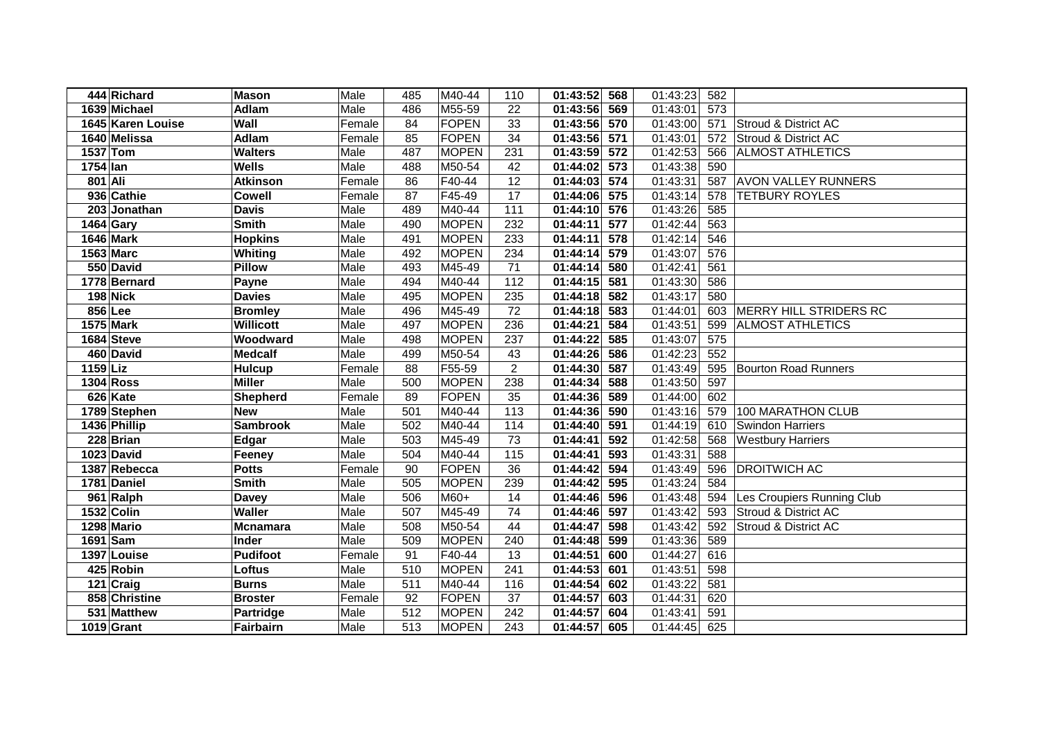|            | 444 Richard       | <b>Mason</b>     | Male   | 485             | M40-44       | 110             | 01:43:52 568    | 01:43:23 | 582              |                               |
|------------|-------------------|------------------|--------|-----------------|--------------|-----------------|-----------------|----------|------------------|-------------------------------|
|            | 1639 Michael      | Adlam            | Male   | 486             | M55-59       | 22              | 569<br>01:43:56 | 01:43:01 | $\overline{573}$ |                               |
|            | 1645 Karen Louise | Wall             | Female | $\overline{84}$ | <b>FOPEN</b> | 33              | 570<br>01:43:56 | 01:43:00 | 571              | Stroud & District AC          |
|            | 1640 Melissa      | <b>Adlam</b>     | Female | 85              | FOPEN        | $\overline{34}$ | 571<br>01:43:56 | 01:43:01 | 572              | Stroud & District AC          |
|            | 1537 Tom          | <b>Walters</b>   | Male   | 487             | <b>MOPEN</b> | 231             | 572<br>01:43:59 | 01:42:53 | 566              | <b>ALMOST ATHLETICS</b>       |
| 1754 lan   |                   | <b>Wells</b>     | Male   | 488             | M50-54       | 42              | 01:44:02<br>573 | 01:43:38 | 590              |                               |
| 801 Ali    |                   | <b>Atkinson</b>  | Female | 86              | F40-44       | 12              | 01:44:03<br>574 | 01:43:31 | 587              | <b>AVON VALLEY RUNNERS</b>    |
|            | 936 Cathie        | <b>Cowell</b>    | Female | $\overline{87}$ | F45-49       | 17              | 01:44:06<br>575 | 01:43:14 | 578              | <b>TETBURY ROYLES</b>         |
|            | 203 Jonathan      | <b>Davis</b>     | Male   | 489             | M40-44       | 111             | 01:44:10<br>576 | 01:43:26 | 585              |                               |
|            | 1464 Gary         | <b>Smith</b>     | Male   | 490             | <b>MOPEN</b> | 232             | 01:44:11<br>577 | 01:42:44 | 563              |                               |
|            | <b>1646 Mark</b>  | <b>Hopkins</b>   | Male   | 491             | <b>MOPEN</b> | 233             | 01:44:11<br>578 | 01:42:14 | 546              |                               |
|            | <b>1563 Marc</b>  | Whiting          | Male   | 492             | <b>MOPEN</b> | 234             | 01:44:14<br>579 | 01:43:07 | 576              |                               |
|            | 550 David         | <b>Pillow</b>    | Male   | 493             | M45-49       | 71              | 01:44:14<br>580 | 01:42:41 | 561              |                               |
|            | 1778 Bernard      | Payne            | Male   | 494             | M40-44       | 112             | 01:44:15<br>581 | 01:43:30 | 586              |                               |
|            | <b>198 Nick</b>   | <b>Davies</b>    | Male   | 495             | <b>MOPEN</b> | 235             | 01:44:18<br>582 | 01:43:17 | 580              |                               |
|            | 856 Lee           | <b>Bromley</b>   | Male   | 496             | M45-49       | 72              | 01:44:18<br>583 | 01:44:01 | 603              | <b>MERRY HILL STRIDERS RC</b> |
|            | 1575 Mark         | <b>Willicott</b> | Male   | 497             | <b>MOPEN</b> | 236             | 01:44:21<br>584 | 01:43:51 | 599              | <b>ALMOST ATHLETICS</b>       |
|            | 1684 Steve        | Woodward         | Male   | 498             | <b>MOPEN</b> | 237             | 01:44:22<br>585 | 01:43:07 | 575              |                               |
|            | 460 David         | <b>Medcalf</b>   | Male   | 499             | M50-54       | 43              | 01:44:26<br>586 | 01:42:23 | 552              |                               |
| $1159$ Liz |                   | <b>Hulcup</b>    | Female | 88              | F55-59       | $\overline{c}$  | 587<br>01:44:30 | 01:43:49 | 595              | <b>Bourton Road Runners</b>   |
|            | <b>1304 Ross</b>  | <b>Miller</b>    | Male   | 500             | <b>MOPEN</b> | 238             | 01:44:34<br>588 | 01:43:50 | 597              |                               |
|            | 626 Kate          | <b>Shepherd</b>  | Female | 89              | <b>FOPEN</b> | 35              | 589<br>01:44:36 | 01:44:00 | 602              |                               |
|            | 1789 Stephen      | <b>New</b>       | Male   | 501             | M40-44       | 113             | 590<br>01:44:36 | 01:43:16 | 579              | 100 MARATHON CLUB             |
|            | 1436 Phillip      | <b>Sambrook</b>  | Male   | 502             | M40-44       | 114             | 01:44:40<br>591 | 01:44:19 | 610              | <b>Swindon Harriers</b>       |
|            | 228 Brian         | Edgar            | Male   | 503             | M45-49       | 73              | 592<br>01:44:41 | 01:42:58 | 568              | <b>Westbury Harriers</b>      |
|            | 1023 David        | Feeney           | Male   | 504             | M40-44       | 115             | 01:44:41<br>593 | 01:43:31 | 588              |                               |
|            | 1387 Rebecca      | <b>Potts</b>     | Female | 90              | <b>FOPEN</b> | 36              | 01:44:42<br>594 | 01:43:49 | 596              | <b>DROITWICH AC</b>           |
|            | 1781 Daniel       | <b>Smith</b>     | Male   | 505             | <b>MOPEN</b> | 239             | 01:44:42<br>595 | 01:43:24 | 584              |                               |
|            | 961 Ralph         | <b>Davey</b>     | Male   | 506             | M60+         | 14              | 01:44:46<br>596 | 01:43:48 | 594              | Les Croupiers Running Club    |
|            | 1532 Colin        | <b>Waller</b>    | Male   | 507             | M45-49       | 74              | 01:44:46<br>597 | 01:43:42 | 593              | Stroud & District AC          |
|            | 1298 Mario        | <b>Mcnamara</b>  | Male   | 508             | M50-54       | 44              | 01:44:47<br>598 | 01:43:42 | 592              | Stroud & District AC          |
| 1691 Sam   |                   | Inder            | Male   | 509             | <b>MOPEN</b> | 240             | 01:44:48<br>599 | 01:43:36 | 589              |                               |
|            | 1397 Louise       | <b>Pudifoot</b>  | Female | 91              | F40-44       | 13              | 01:44:51<br>600 | 01:44:27 | 616              |                               |
|            | 425 Robin         | Loftus           | Male   | 510             | <b>MOPEN</b> | 241             | 01:44:53<br>601 | 01:43:51 | 598              |                               |
|            | 121 Craig         | <b>Burns</b>     | Male   | 511             | M40-44       | 116             | 01:44:54<br>602 | 01:43:22 | 581              |                               |
|            | 858 Christine     | <b>Broster</b>   | Female | 92              | <b>FOPEN</b> | 37              | 01:44:57<br>603 | 01:44:31 | 620              |                               |
|            | 531 Matthew       | <b>Partridge</b> | Male   | 512             | <b>MOPEN</b> | 242             | 604<br>01:44:57 | 01:43:41 | 591              |                               |
|            | 1019 Grant        | Fairbairn        | Male   | 513             | <b>MOPEN</b> | 243             | 01:44:57<br>605 | 01:44:45 | 625              |                               |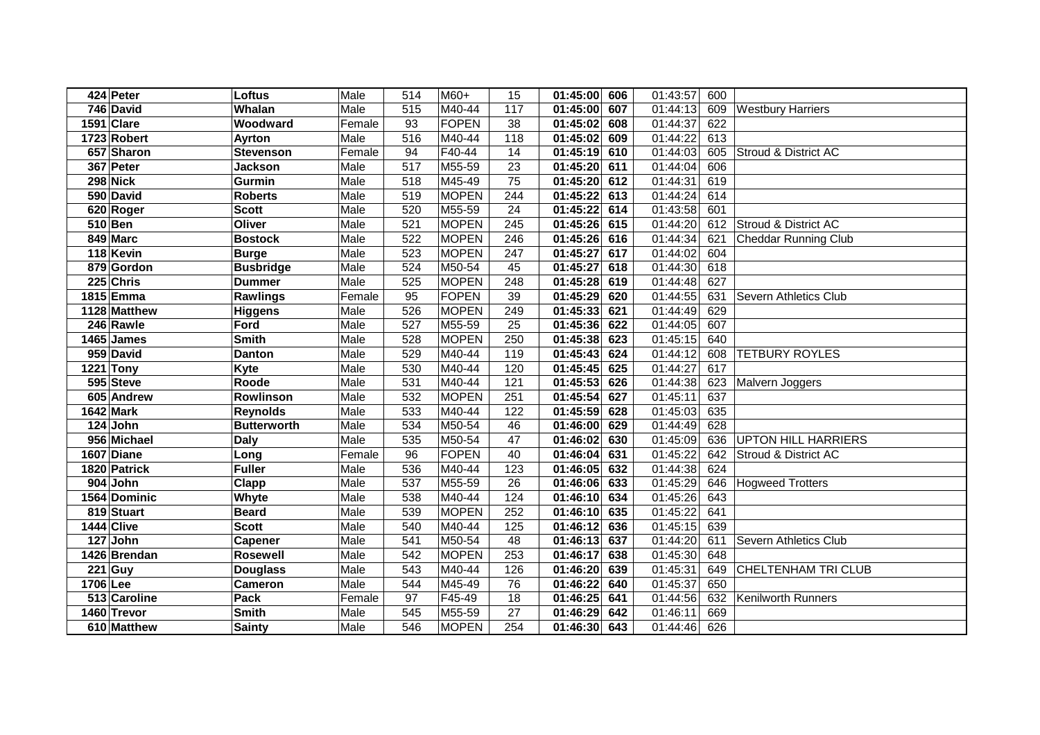|          | 424 Peter             | Loftus             | Male   | 514              | $M60+$       | 15               | 01:45:00<br>606 | 01:43:57 | 600 |                              |
|----------|-----------------------|--------------------|--------|------------------|--------------|------------------|-----------------|----------|-----|------------------------------|
|          | 746 David             | Whalan             | Male   | 515              | M40-44       | 117              | 607<br>01:45:00 | 01:44:13 | 609 | <b>Westbury Harriers</b>     |
|          | 1591 Clare            | Woodward           | Female | 93               | <b>FOPEN</b> | 38               | 608<br>01:45:02 | 01:44:37 | 622 |                              |
|          | 1723 Robert           | Ayrton             | Male   | 516              | M40-44       | $\overline{118}$ | 01:45:02<br>609 | 01:44:22 | 613 |                              |
|          | 657 Sharon            | <b>Stevenson</b>   | Female | 94               | F40-44       | 14               | 01:45:19<br>610 | 01:44:03 | 605 | Stroud & District AC         |
|          | 367 Peter             | <b>Jackson</b>     | Male   | $\overline{517}$ | M55-59       | 23               | 01:45:20<br>611 | 01:44:04 | 606 |                              |
|          | 298 Nick              | Gurmin             | Male   | 518              | M45-49       | $\overline{75}$  | 01:45:20<br>612 | 01:44:31 | 619 |                              |
|          | 590 David             | <b>Roberts</b>     | Male   | 519              | <b>MOPEN</b> | 244              | 01:45:22<br>613 | 01:44:24 | 614 |                              |
|          | 620 Roger             | <b>Scott</b>       | Male   | 520              | M55-59       | 24               | 01:45:22<br>614 | 01:43:58 | 601 |                              |
|          | $510$ Ben             | Oliver             | Male   | 521              | <b>MOPEN</b> | 245              | 01:45:26<br>615 | 01:44:20 | 612 | Stroud & District AC         |
|          | 849 Marc              | <b>Bostock</b>     | Male   | 522              | <b>MOPEN</b> | 246              | 01:45:26<br>616 | 01:44:34 | 621 | <b>Cheddar Running Club</b>  |
|          | 118 Kevin             | <b>Burge</b>       | Male   | 523              | <b>MOPEN</b> | 247              | 01:45:27<br>617 | 01:44:02 | 604 |                              |
|          | 879 Gordon            | <b>Busbridge</b>   | Male   | 524              | M50-54       | 45               | 01:45:27<br>618 | 01:44:30 | 618 |                              |
|          | 225 Chris             | <b>Dummer</b>      | Male   | 525              | <b>MOPEN</b> | 248              | 01:45:28<br>619 | 01:44:48 | 627 |                              |
|          | 1815 Emma             | Rawlings           | Female | 95               | <b>FOPEN</b> | 39               | 01:45:29<br>620 | 01:44:55 | 631 | <b>Severn Athletics Club</b> |
|          | 1128 Matthew          | <b>Higgens</b>     | Male   | 526              | <b>MOPEN</b> | 249              | 01:45:33<br>621 | 01:44:49 | 629 |                              |
|          | 246 Rawle             | Ford               | Male   | 527              | M55-59       | 25               | 01:45:36<br>622 | 01:44:05 | 607 |                              |
|          | 1465 James            | <b>Smith</b>       | Male   | 528              | <b>MOPEN</b> | 250              | 01:45:38<br>623 | 01:45:15 | 640 |                              |
|          | 959 David             | <b>Danton</b>      | Male   | 529              | M40-44       | 119              | 624<br>01:45:43 | 01:44:12 | 608 | <b>TETBURY ROYLES</b>        |
|          | <b>1221 Tony</b>      | Kyte               | Male   | 530              | M40-44       | 120              | 625<br>01:45:45 | 01:44:27 | 617 |                              |
|          | 595 Steve             | Roode              | Male   | 531              | M40-44       | 121              | 626<br>01:45:53 | 01:44:38 | 623 | Malvern Joggers              |
|          | 605 Andrew            | Rowlinson          | Male   | 532              | <b>MOPEN</b> | 251              | 01:45:54<br>627 | 01:45:11 | 637 |                              |
|          | 1642 Mark             | <b>Reynolds</b>    | Male   | 533              | M40-44       | 122              | 01:45:59<br>628 | 01:45:03 | 635 |                              |
|          | 124 John              | <b>Butterworth</b> | Male   | 534              | M50-54       | 46               | 629<br>01:46:00 | 01:44:49 | 628 |                              |
|          | 956 Michael           | <b>Daly</b>        | Male   | 535              | M50-54       | 47               | 01:46:02<br>630 | 01:45:09 | 636 | <b>UPTON HILL HARRIERS</b>   |
|          | 1607 Diane            | Long               | Female | 96               | <b>FOPEN</b> | 40               | 01:46:04<br>631 | 01:45:22 | 642 | Stroud & District AC         |
|          | 1820 Patrick          | <b>Fuller</b>      | Male   | 536              | M40-44       | 123              | 01:46:05<br>632 | 01:44:38 | 624 |                              |
|          | $\overline{904}$ John | Clapp              | Male   | 537              | M55-59       | 26               | 01:46:06<br>633 | 01:45:29 | 646 | <b>Hogweed Trotters</b>      |
|          | 1564 Dominic          | Whyte              | Male   | 538              | M40-44       | 124              | 01:46:10<br>634 | 01:45:26 | 643 |                              |
|          | 819 Stuart            | <b>Beard</b>       | Male   | 539              | <b>MOPEN</b> | 252              | 01:46:10<br>635 | 01:45:22 | 641 |                              |
|          | 1444 Clive            | <b>Scott</b>       | Male   | 540              | M40-44       | 125              | 01:46:12<br>636 | 01:45:15 | 639 |                              |
|          | 127 John              | <b>Capener</b>     | Male   | 541              | M50-54       | 48               | 01:46:13<br>637 | 01:44:20 | 611 | Severn Athletics Club        |
|          | 1426 Brendan          | <b>Rosewell</b>    | Male   | 542              | <b>MOPEN</b> | 253              | 01:46:17<br>638 | 01:45:30 | 648 |                              |
|          | $221$ Guy             | <b>Douglass</b>    | Male   | 543              | M40-44       | 126              | 01:46:20<br>639 | 01:45:31 | 649 | <b>CHELTENHAM TRI CLUB</b>   |
| 1706 Lee |                       | <b>Cameron</b>     | Male   | 544              | M45-49       | 76               | 01:46:22<br>640 | 01:45:37 | 650 |                              |
|          | 513 Caroline          | Pack               | Female | 97               | F45-49       | 18               | 01:46:25<br>641 | 01:44:56 | 632 | <b>Kenilworth Runners</b>    |
|          | 1460 Trevor           | <b>Smith</b>       | Male   | 545              | M55-59       | 27               | 642<br>01:46:29 | 01:46:11 | 669 |                              |
|          | 610 Matthew           | <b>Sainty</b>      | Male   | 546              | <b>MOPEN</b> | 254              | 643<br>01:46:30 | 01:44:46 | 626 |                              |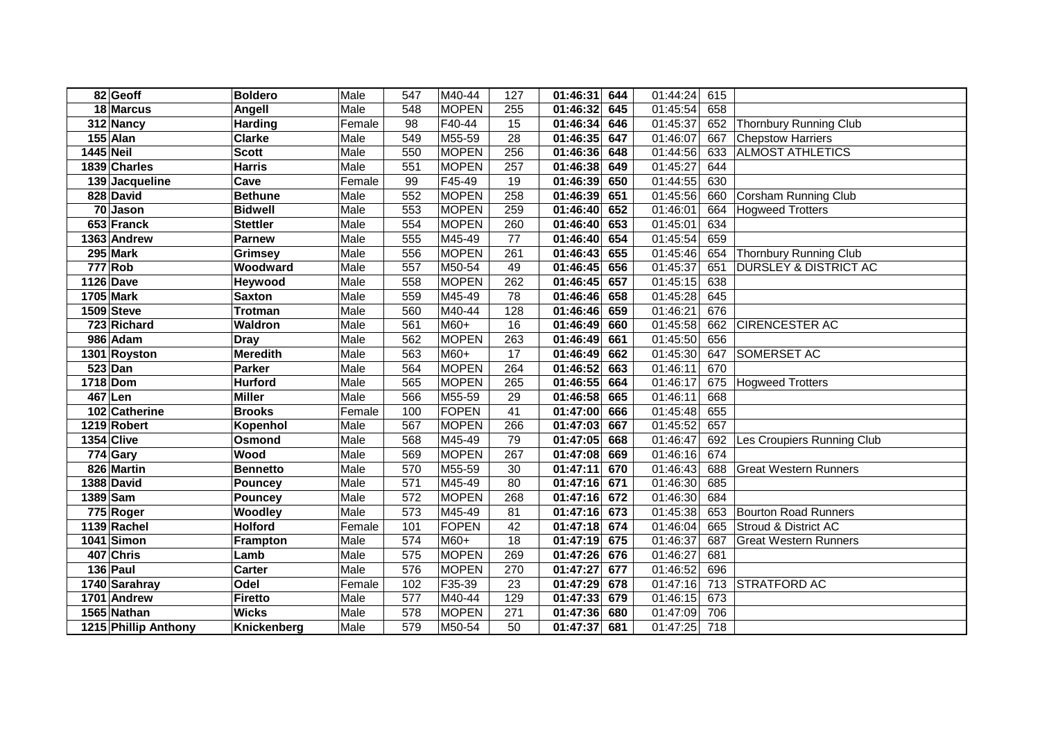|                  | 82 Geoff             | <b>Boldero</b>  | Male   | 547              | M40-44       | 127 | 01:46:31              | 644 | 01:44:24 | 615 |                                  |
|------------------|----------------------|-----------------|--------|------------------|--------------|-----|-----------------------|-----|----------|-----|----------------------------------|
|                  | 18 Marcus            | Angell          | Male   | 548              | <b>MOPEN</b> | 255 | 01:46:32              | 645 | 01:45:54 | 658 |                                  |
|                  | 312 Nancy            | <b>Harding</b>  | Female | $\overline{98}$  | F40-44       | 15  | 01:46:34              | 646 | 01:45:37 | 652 | Thornbury Running Club           |
|                  | 155 Alan             | <b>Clarke</b>   | Male   | 549              | M55-59       | 28  | 01:46:35              | 647 | 01:46:07 | 667 | <b>Chepstow Harriers</b>         |
| <b>1445 Neil</b> |                      | <b>Scott</b>    | Male   | 550              | <b>MOPEN</b> | 256 | 01:46:36              | 648 | 01:44:56 | 633 | <b>ALMOST ATHLETICS</b>          |
|                  | 1839 Charles         | <b>Harris</b>   | Male   | 551              | <b>MOPEN</b> | 257 | 01:46:38              | 649 | 01:45:27 | 644 |                                  |
|                  | 139 Jacqueline       | Cave            | Female | 99               | F45-49       | 19  | 01:46:39              | 650 | 01:44:55 | 630 |                                  |
|                  | 828 David            | <b>Bethune</b>  | Male   | 552              | <b>MOPEN</b> | 258 | 01:46:39              | 651 | 01:45:56 | 660 | <b>Corsham Running Club</b>      |
|                  | 70 Jason             | <b>Bidwell</b>  | Male   | 553              | <b>MOPEN</b> | 259 | 01:46:40              | 652 | 01:46:01 | 664 | <b>Hogweed Trotters</b>          |
|                  | 653 Franck           | <b>Stettler</b> | Male   | 554              | <b>MOPEN</b> | 260 | 01:46:40              | 653 | 01:45:01 | 634 |                                  |
|                  | 1363 Andrew          | <b>Parnew</b>   | Male   | 555              | M45-49       | 77  | 01:46:40              | 654 | 01:45:54 | 659 |                                  |
|                  | 295 Mark             | <b>Grimsey</b>  | Male   | 556              | <b>MOPEN</b> | 261 | 01:46:43              | 655 | 01:45:46 | 654 | <b>Thornbury Running Club</b>    |
|                  | 777 Rob              | Woodward        | Male   | 557              | M50-54       | 49  | 01:46:45              | 656 | 01:45:37 | 651 | <b>DURSLEY &amp; DISTRICT AC</b> |
|                  | <b>1126 Dave</b>     | Heywood         | Male   | 558              | <b>MOPEN</b> | 262 | 01:46:45              | 657 | 01:45:15 | 638 |                                  |
|                  | 1705 Mark            | <b>Saxton</b>   | Male   | 559              | M45-49       | 78  | 01:46:46              | 658 | 01:45:28 | 645 |                                  |
|                  | 1509 Steve           | <b>Trotman</b>  | Male   | 560              | M40-44       | 128 | 01:46:46              | 659 | 01:46:21 | 676 |                                  |
|                  | 723 Richard          | Waldron         | Male   | 561              | $M60+$       | 16  | 01:46:49              | 660 | 01:45:58 | 662 | <b>CIRENCESTER AC</b>            |
|                  | 986 Adam             | <b>Dray</b>     | Male   | 562              | <b>MOPEN</b> | 263 | 01:46:49              | 661 | 01:45:50 | 656 |                                  |
|                  | 1301 Royston         | <b>Meredith</b> | Male   | 563              | M60+         | 17  | 01:46:49              | 662 | 01:45:30 | 647 | SOMERSET AC                      |
|                  | $523$ Dan            | <b>Parker</b>   | Male   | 564              | <b>MOPEN</b> | 264 | 01:46:52              | 663 | 01:46:11 | 670 |                                  |
|                  | 1718 Dom             | <b>Hurford</b>  | Male   | 565              | <b>MOPEN</b> | 265 | 01:46:55              | 664 | 01:46:17 | 675 | <b>Hogweed Trotters</b>          |
|                  | 467 Len              | <b>Miller</b>   | Male   | 566              | M55-59       | 29  | 01:46:58              | 665 | 01:46:11 | 668 |                                  |
|                  | 102 Catherine        | <b>Brooks</b>   | Female | 100              | <b>FOPEN</b> | 41  | 01:47:00              | 666 | 01:45:48 | 655 |                                  |
|                  | 1219 Robert          | Kopenhol        | Male   | 567              | <b>MOPEN</b> | 266 | 01:47:03              | 667 | 01:45:52 | 657 |                                  |
|                  | 1354 Clive           | Osmond          | Male   | 568              | M45-49       | 79  | 01:47:05              | 668 | 01:46:47 | 692 | Les Croupiers Running Club       |
|                  | 774 Gary             | Wood            | Male   | 569              | <b>MOPEN</b> | 267 | 01:47:08              | 669 | 01:46:16 | 674 |                                  |
|                  | 826 Martin           | <b>Bennetto</b> | Male   | 570              | M55-59       | 30  | 01:47:11              | 670 | 01:46:43 | 688 | <b>Great Western Runners</b>     |
|                  | 1388 David           | <b>Pouncey</b>  | Male   | 571              | M45-49       | 80  | 01:47:16              | 671 | 01:46:30 | 685 |                                  |
|                  | 1389 Sam             | <b>Pouncey</b>  | Male   | $\overline{572}$ | <b>MOPEN</b> | 268 | 01:47:16              | 672 | 01:46:30 | 684 |                                  |
|                  | 775 Roger            | Woodley         | Male   | 573              | M45-49       | 81  | $\overline{01:47:16}$ | 673 | 01:45:38 | 653 | <b>Bourton Road Runners</b>      |
|                  | 1139 Rachel          | <b>Holford</b>  | Female | 101              | <b>FOPEN</b> | 42  | 01:47:18              | 674 | 01:46:04 | 665 | Stroud & District AC             |
|                  | 1041 Simon           | <b>Frampton</b> | Male   | 574              | $M60+$       | 18  | 01:47:19              | 675 | 01:46:37 | 687 | <b>Great Western Runners</b>     |
|                  | 407 Chris            | Lamb            | Male   | 575              | <b>MOPEN</b> | 269 | 01:47:26              | 676 | 01:46:27 | 681 |                                  |
|                  | 136 Paul             | Carter          | Male   | 576              | <b>MOPEN</b> | 270 | 01:47:27              | 677 | 01:46:52 | 696 |                                  |
|                  | 1740 Sarahray        | Odel            | Female | 102              | F35-39       | 23  | 01:47:29              | 678 | 01:47:16 | 713 | <b>STRATFORD AC</b>              |
|                  | 1701 Andrew          | <b>Firetto</b>  | Male   | 577              | M40-44       | 129 | 01:47:33              | 679 | 01:46:15 | 673 |                                  |
|                  | 1565 Nathan          | <b>Wicks</b>    | Male   | 578              | <b>MOPEN</b> | 271 | 01:47:36              | 680 | 01:47:09 | 706 |                                  |
|                  | 1215 Phillip Anthony | Knickenberg     | Male   | 579              | M50-54       | 50  | 01:47:37              | 681 | 01:47:25 | 718 |                                  |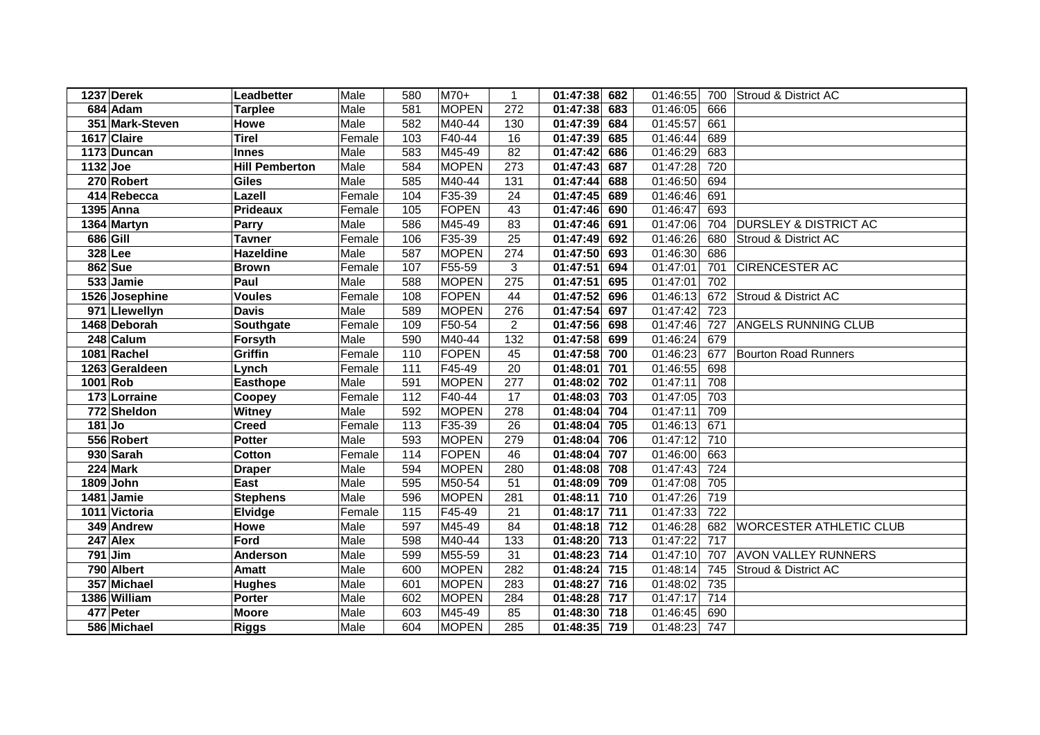|          | 1237 Derek      | Leadbetter            | Male   | 580               | M70+         | 1                | 01:47:38 682          |     | 01:46:55 | 700              | <b>Stroud &amp; District AC</b>  |
|----------|-----------------|-----------------------|--------|-------------------|--------------|------------------|-----------------------|-----|----------|------------------|----------------------------------|
|          | 684 Adam        | <b>Tarplee</b>        | Male   | 581               | <b>MOPEN</b> | 272              | 01:47:38              | 683 | 01:46:05 | 666              |                                  |
|          | 351 Mark-Steven | Howe                  | Male   | 582               | M40-44       | 130              | 01:47:39              | 684 | 01:45:57 | 661              |                                  |
|          | 1617 Claire     | <b>Tirel</b>          | Female | 103               | F40-44       | 16               | 01:47:39              | 685 | 01:46:44 | 689              |                                  |
|          | 1173 Duncan     | <b>Innes</b>          | Male   | 583               | M45-49       | 82               | 01:47:42 686          |     | 01:46:29 | 683              |                                  |
| 1132 Joe |                 | <b>Hill Pemberton</b> | Male   | 584               | <b>MOPEN</b> | $\overline{273}$ | 01:47:43              | 687 | 01:47:28 | $\overline{720}$ |                                  |
|          | 270 Robert      | <b>Giles</b>          | Male   | 585               | M40-44       | 131              | 01:47:44              | 688 | 01:46:50 | 694              |                                  |
|          | 414 Rebecca     | Lazell                | Female | 104               | F35-39       | 24               | $01:47:45$ 689        |     | 01:46:46 | 691              |                                  |
|          | 1395 Anna       | <b>Prideaux</b>       | Female | 105               | FOPEN        | 43               | 01:47:46 690          |     | 01:46:47 | 693              |                                  |
|          | 1364 Martyn     | Parry                 | Male   | 586               | M45-49       | 83               | 01:47:46 691          |     | 01:47:06 | 704              | <b>DURSLEY &amp; DISTRICT AC</b> |
|          | 686 Gill        | <b>Tavner</b>         | Female | 106               | F35-39       | 25               | 01:47:49 692          |     | 01:46:26 | 680              | <b>Stroud &amp; District AC</b>  |
|          | 328 Lee         | <b>Hazeldine</b>      | Male   | 587               | <b>MOPEN</b> | 274              | 01:47:50 693          |     | 01:46:30 | 686              |                                  |
|          | 862 Sue         | <b>Brown</b>          | Female | 107               | F55-59       | 3                | $\overline{0}1:47:51$ | 694 | 01:47:01 | 701              | CIRENCESTER AC                   |
|          | 533 Jamie       | Paul                  | Male   | 588               | <b>MOPEN</b> | 275              | 01:47:51              | 695 | 01:47:01 | 702              |                                  |
|          | 1526 Josephine  | <b>Voules</b>         | Female | 108               | FOPEN        | 44               | 01:47:52              | 696 | 01:46:13 | 672              | <b>Stroud &amp; District AC</b>  |
|          | 971 Llewellyn   | <b>Davis</b>          | Male   | 589               | <b>MOPEN</b> | 276              | 01:47:54              | 697 | 01:47:42 | 723              |                                  |
|          | 1468 Deborah    | Southgate             | Female | 109               | F50-54       | $\overline{2}$   | 01:47:56              | 698 | 01:47:46 | 727              | ANGELS RUNNING CLUB              |
|          | 248 Calum       | Forsyth               | Male   | 590               | M40-44       | 132              | 01:47:58              | 699 | 01:46:24 | 679              |                                  |
|          | 1081 Rachel     | Griffin               | Female | 110               | FOPEN        | 45               | 01:47:58              | 700 | 01:46:23 | 677              | <b>Bourton Road Runners</b>      |
|          | 1263 Geraldeen  | Lynch                 | Female | 111               | F45-49       | 20               | 01:48:01              | 701 | 01:46:55 | 698              |                                  |
| 1001 Rob |                 | <b>Easthope</b>       | Male   | 591               | <b>MOPEN</b> | 277              | 01:48:02              | 702 | 01:47:11 | 708              |                                  |
|          | 173 Lorraine    | Coopey                | Female | 112               | F40-44       | 17               | 01:48:03              | 703 | 01:47:05 | 703              |                                  |
|          | 772 Sheldon     | <b>Witney</b>         | Male   | 592               | <b>MOPEN</b> | 278              | 01:48:04              | 704 | 01:47:11 | 709              |                                  |
| $181$ Jo |                 | <b>Creed</b>          | Female | 113               | F35-39       | 26               | 01:48:04              | 705 | 01:46:13 | 671              |                                  |
|          | 556 Robert      | <b>Potter</b>         | Male   | 593               | <b>MOPEN</b> | $\overline{279}$ | 01:48:04              | 706 | 01:47:12 | $\overline{710}$ |                                  |
|          | 930 Sarah       | Cotton                | Female | 114               | FOPEN        | 46               | 01:48:04              | 707 | 01:46:00 | 663              |                                  |
|          | 224 Mark        | <b>Draper</b>         | Male   | 594               | <b>MOPEN</b> | 280              | 01:48:08              | 708 | 01:47:43 | 724              |                                  |
|          | 1809 John       | East                  | Male   | 595               | M50-54       | 51               | 01:48:09              | 709 | 01:47:08 | 705              |                                  |
|          | 1481 Jamie      | <b>Stephens</b>       | Male   | 596               | <b>MOPEN</b> | 281              | 01:48:11              | 710 | 01:47:26 | 719              |                                  |
|          | 1011 Victoria   | Elvidge               | Female | $\frac{115}{115}$ | F45-49       | 21               | 01:48:17              | 711 | 01:47:33 | $\frac{1}{722}$  |                                  |
|          | 349 Andrew      | Howe                  | Male   | 597               | M45-49       | 84               | 01:48:18 712          |     | 01:46:28 | 682              | <b>WORCESTER ATHLETIC CLUB</b>   |
|          | 247 Alex        | Ford                  | Male   | 598               | M40-44       | 133              | 01:48:20 713          |     | 01:47:22 | 717              |                                  |
|          | $791$ Jim       | Anderson              | Male   | 599               | M55-59       | 31               | 01:48:23 714          |     | 01:47:10 | 707              | <b>AVON VALLEY RUNNERS</b>       |
|          | 790 Albert      | Amatt                 | Male   | 600               | <b>MOPEN</b> | 282              | 01:48:24 715          |     | 01:48:14 | 745              | Stroud & District AC             |
|          | 357 Michael     | <b>Hughes</b>         | Male   | 601               | <b>MOPEN</b> | 283              | 01:48:27              | 716 | 01:48:02 | 735              |                                  |
|          | 1386 William    | Porter                | Male   | 602               | <b>MOPEN</b> | 284              | 01:48:28 717          |     | 01:47:17 | 714              |                                  |
|          | 477 Peter       | <b>Moore</b>          | Male   | 603               | M45-49       | 85               | 01:48:30 718          |     | 01:46:45 | 690              |                                  |
|          | 586 Michael     | <b>Riggs</b>          | Male   | 604               | <b>MOPEN</b> | 285              | 01:48:35 719          |     | 01:48:23 | 747              |                                  |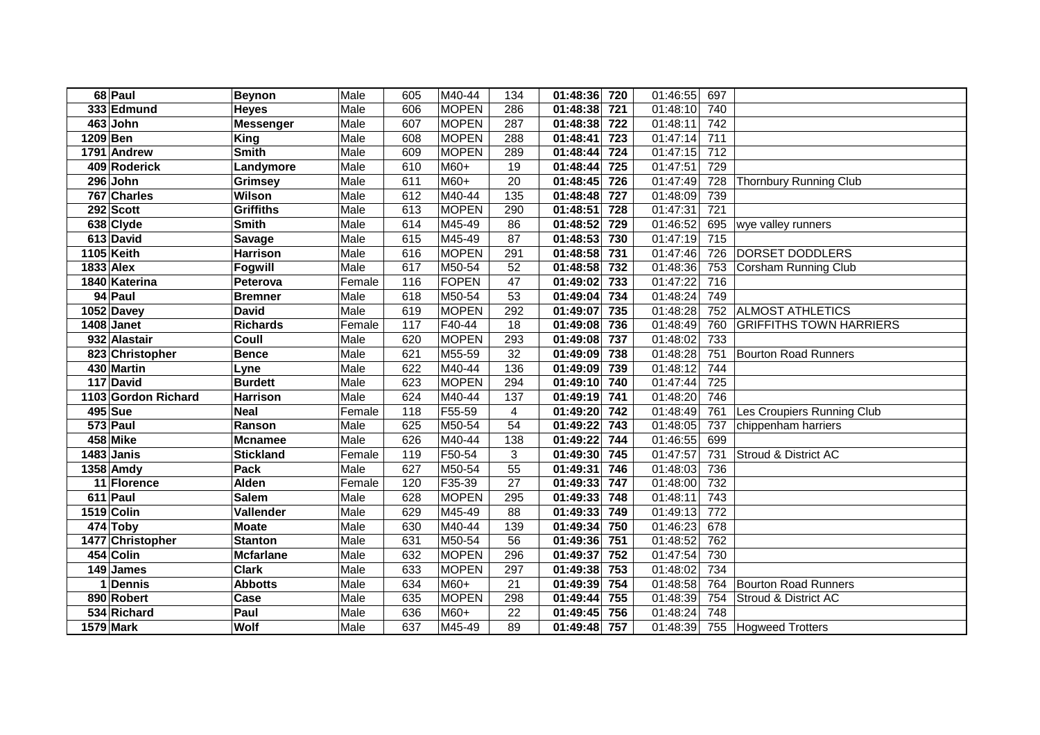|          | 68 Paul             | <b>Beynon</b>    | Male   | 605 | M40-44       | 134             | 01:48:36 | 720              | 01:46:55 | 697             |                                 |
|----------|---------------------|------------------|--------|-----|--------------|-----------------|----------|------------------|----------|-----------------|---------------------------------|
|          | 333 Edmund          | <b>Heyes</b>     | Male   | 606 | <b>MOPEN</b> | 286             | 01:48:38 | 721              | 01:48:10 | 740             |                                 |
|          | 463 John            | <b>Messenger</b> | Male   | 607 | <b>MOPEN</b> | 287             | 01:48:38 | $\overline{722}$ | 01:48:11 | 742             |                                 |
| 1209 Ben |                     | <b>King</b>      | Male   | 608 | <b>MOPEN</b> | 288             | 01:48:41 | $\overline{723}$ | 01:47:14 | 711             |                                 |
|          | 1791 Andrew         | <b>Smith</b>     | Male   | 609 | <b>MOPEN</b> | 289             | 01:48:44 | $\overline{724}$ | 01:47:15 | 712             |                                 |
|          | 409 Roderick        | Landymore        | Male   | 610 | M60+         | 19              | 01:48:44 | $\overline{725}$ | 01:47:51 | 729             |                                 |
|          | 296 John            | <b>Grimsey</b>   | Male   | 611 | M60+         | 20              | 01:48:45 | 726              | 01:47:49 | 728             | <b>Thornbury Running Club</b>   |
|          | 767 Charles         | Wilson           | Male   | 612 | M40-44       | 135             | 01:48:48 | $\overline{727}$ | 01:48:09 | 739             |                                 |
|          | 292 Scott           | <b>Griffiths</b> | Male   | 613 | <b>MOPEN</b> | 290             | 01:48:51 | 728              | 01:47:31 | 721             |                                 |
|          | 638 Clyde           | <b>Smith</b>     | Male   | 614 | M45-49       | 86              | 01:48:52 | 729              | 01:46:52 | 695             | wye valley runners              |
|          | 613 David           | <b>Savage</b>    | Male   | 615 | M45-49       | 87              | 01:48:53 | 730              | 01:47:19 | 715             |                                 |
|          | 1105 Keith          | <b>Harrison</b>  | Male   | 616 | <b>MOPEN</b> | 291             | 01:48:58 | 731              | 01:47:46 | 726             | DORSET DODDLERS                 |
|          | 1833 Alex           | <b>Fogwill</b>   | Male   | 617 | M50-54       | 52              | 01:48:58 | 732              | 01:48:36 | 753             | <b>Corsham Running Club</b>     |
|          | 1840 Katerina       | Peterova         | Female | 116 | <b>FOPEN</b> | 47              | 01:49:02 | 733              | 01:47:22 | 716             |                                 |
|          | 94 Paul             | <b>Bremner</b>   | Male   | 618 | M50-54       | 53              | 01:49:04 | 734              | 01:48:24 | 749             |                                 |
|          | 1052 Davey          | <b>David</b>     | Male   | 619 | <b>MOPEN</b> | 292             | 01:49:07 | 735              | 01:48:28 | 752             | <b>ALMOST ATHLETICS</b>         |
|          | 1408 Janet          | <b>Richards</b>  | Female | 117 | F40-44       | 18              | 01:49:08 | 736              | 01:48:49 | 760             | <b>GRIFFITHS TOWN HARRIERS</b>  |
|          | 932 Alastair        | Coull            | Male   | 620 | <b>MOPEN</b> | 293             | 01:49:08 | 737              | 01:48:02 | 733             |                                 |
|          | 823 Christopher     | <b>Bence</b>     | Male   | 621 | M55-59       | 32              | 01:49:09 | 738              | 01:48:28 | 751             | <b>Bourton Road Runners</b>     |
|          | 430 Martin          | Lyne             | Male   | 622 | M40-44       | 136             | 01:49:09 | 739              | 01:48:12 | 744             |                                 |
|          | 117 David           | <b>Burdett</b>   | Male   | 623 | <b>MOPEN</b> | 294             | 01:49:10 | 740              | 01:47:44 | 725             |                                 |
|          | 1103 Gordon Richard | <b>Harrison</b>  | Male   | 624 | M40-44       | 137             | 01:49:19 | 741              | 01:48:20 | 746             |                                 |
|          | 495 Sue             | Neal             | Female | 118 | F55-59       | 4               | 01:49:20 | 742              | 01:48:49 | 761             | Les Croupiers Running Club      |
|          | 573 Paul            | Ranson           | Male   | 625 | M50-54       | 54              | 01:49:22 | 743              | 01:48:05 | 737             | chippenham harriers             |
|          | 458 Mike            | <b>Mcnamee</b>   | Male   | 626 | M40-44       | 138             | 01:49:22 | 744              | 01:46:55 | 699             |                                 |
|          | 1483 Janis          | <b>Stickland</b> | Female | 119 | F50-54       | 3               | 01:49:30 | $\frac{1}{745}$  | 01:47:57 | 731             | <b>Stroud &amp; District AC</b> |
|          | 1358 Amdy           | Pack             | Male   | 627 | M50-54       | $\overline{55}$ | 01:49:31 | 746              | 01:48:03 | 736             |                                 |
|          | 11 Florence         | <b>Alden</b>     | Female | 120 | F35-39       | 27              | 01:49:33 | 747              | 01:48:00 | 732             |                                 |
|          | 611 Paul            | <b>Salem</b>     | Male   | 628 | <b>MOPEN</b> | 295             | 01:49:33 | 748              | 01:48:11 | 743             |                                 |
|          | 1519 Colin          | Vallender        | Male   | 629 | M45-49       | 88              | 01:49:33 | 749              | 01:49:13 | $\frac{1}{772}$ |                                 |
|          | 474 Toby            | <b>Moate</b>     | Male   | 630 | M40-44       | 139             | 01:49:34 | 750              | 01:46:23 | 678             |                                 |
|          | 1477 Christopher    | <b>Stanton</b>   | Male   | 631 | M50-54       | 56              | 01:49:36 | 751              | 01:48:52 | 762             |                                 |
|          | 454 Colin           | <b>Mcfarlane</b> | Male   | 632 | <b>MOPEN</b> | 296             | 01:49:37 | 752              | 01:47:54 | 730             |                                 |
|          | 149 James           | <b>Clark</b>     | Male   | 633 | <b>MOPEN</b> | 297             | 01:49:38 | 753              | 01:48:02 | 734             |                                 |
|          | 1 Dennis            | <b>Abbotts</b>   | Male   | 634 | $M60+$       | 21              | 01:49:39 | 754              | 01:48:58 | 764             | <b>Bourton Road Runners</b>     |
|          | 890 Robert          | Case             | Male   | 635 | <b>MOPEN</b> | 298             | 01:49:44 | 755              | 01:48:39 | 754             | Stroud & District AC            |
|          | 534 Richard         | Paul             | Male   | 636 | M60+         | 22              | 01:49:45 | 756              | 01:48:24 | 748             |                                 |
|          | 1579 Mark           | Wolf             | Male   | 637 | M45-49       | 89              | 01:49:48 | 757              | 01:48:39 |                 | 755 Hogweed Trotters            |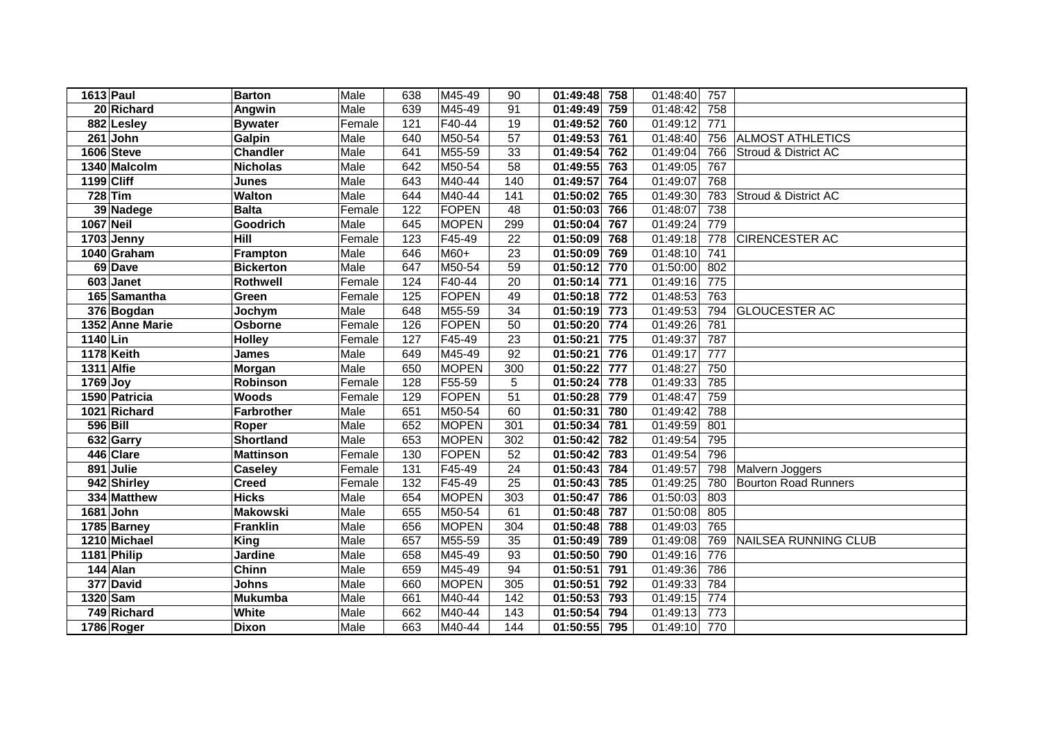|            | 1613 Paul               | <b>Barton</b>    | Male   | 638              | M45-49       | 90              | 01:49:48 | 758 | 01:48:40 | 757 |                             |
|------------|-------------------------|------------------|--------|------------------|--------------|-----------------|----------|-----|----------|-----|-----------------------------|
|            | 20 Richard              | Angwin           | Male   | 639              | M45-49       | 91              | 01:49:49 | 759 | 01:48:42 | 758 |                             |
|            | $\overline{882}$ Lesley | <b>Bywater</b>   | Female | $\overline{121}$ | F40-44       | 19              | 01:49:52 | 760 | 01:49:12 | 771 |                             |
|            | $261$ John              | Galpin           | Male   | 640              | M50-54       | 57              | 01:49:53 | 761 | 01:48:40 | 756 | <b>ALMOST ATHLETICS</b>     |
|            | 1606 Steve              | <b>Chandler</b>  | Male   | 641              | M55-59       | 33              | 01:49:54 | 762 | 01:49:04 | 766 | Stroud & District AC        |
|            | 1340 Malcolm            | <b>Nicholas</b>  | Male   | 642              | M50-54       | $\overline{58}$ | 01:49:55 | 763 | 01:49:05 | 767 |                             |
| 1199 Cliff |                         | <b>Junes</b>     | Male   | 643              | M40-44       | 140             | 01:49:57 | 764 | 01:49:07 | 768 |                             |
|            | 728 Tim                 | <b>Walton</b>    | Male   | 644              | M40-44       | 141             | 01:50:02 | 765 | 01:49:30 | 783 | Stroud & District AC        |
|            | 39 Nadege               | <b>Balta</b>     | Female | 122              | FOPEN        | 48              | 01:50:03 | 766 | 01:48:07 | 738 |                             |
| 1067 Neil  |                         | Goodrich         | Male   | 645              | <b>MOPEN</b> | 299             | 01:50:04 | 767 | 01:49:24 | 779 |                             |
|            | 1703 Jenny              | Hill             | Female | 123              | F45-49       | 22              | 01:50:09 | 768 | 01:49:18 | 778 | <b>CIRENCESTER AC</b>       |
|            | 1040 Graham             | <b>Frampton</b>  | Male   | 646              | M60+         | 23              | 01:50:09 | 769 | 01:48:10 | 741 |                             |
|            | 69 Dave                 | <b>Bickerton</b> | Male   | 647              | M50-54       | 59              | 01:50:12 | 770 | 01:50:00 | 802 |                             |
|            | 603 Janet               | Rothwell         | Female | $\frac{1}{24}$   | F40-44       | 20              | 01:50:14 | 771 | 01:49:16 | 775 |                             |
|            | 165 Samantha            | Green            | Female | 125              | FOPEN        | 49              | 01:50:18 | 772 | 01:48:53 | 763 |                             |
|            | 376 Bogdan              | Jochym           | Male   | 648              | M55-59       | 34              | 01:50:19 | 773 | 01:49:53 | 794 | <b>GLOUCESTER AC</b>        |
|            | 1352 Anne Marie         | Osborne          | Female | 126              | FOPEN        | 50              | 01:50:20 | 774 | 01:49:26 | 781 |                             |
| 1140 Lin   |                         | <b>Holley</b>    | Female | 127              | F45-49       | 23              | 01:50:21 | 775 | 01:49:37 | 787 |                             |
|            | 1178 Keith              | <b>James</b>     | Male   | 649              | M45-49       | 92              | 01:50:21 | 776 | 01:49:17 | 777 |                             |
|            | 1311 Alfie              | Morgan           | Male   | 650              | <b>MOPEN</b> | 300             | 01:50:22 | 777 | 01:48:27 | 750 |                             |
| 1769 Joy   |                         | Robinson         | Female | 128              | F55-59       | 5               | 01:50:24 | 778 | 01:49:33 | 785 |                             |
|            | 1590 Patricia           | <b>Woods</b>     | Female | 129              | FOPEN        | 51              | 01:50:28 | 779 | 01:48:47 | 759 |                             |
|            | 1021 Richard            | Farbrother       | Male   | 651              | M50-54       | 60              | 01:50:31 | 780 | 01:49:42 | 788 |                             |
| 596 Bill   |                         | Roper            | Male   | 652              | <b>MOPEN</b> | 301             | 01:50:34 | 781 | 01:49:59 | 801 |                             |
|            | 632 Garry               | <b>Shortland</b> | Male   | 653              | <b>MOPEN</b> | 302             | 01:50:42 | 782 | 01:49:54 | 795 |                             |
|            | 446 Clare               | <b>Mattinson</b> | Female | 130              | FOPEN        | 52              | 01:50:42 | 783 | 01:49:54 | 796 |                             |
|            | 891 Julie               | <b>Caseley</b>   | Female | $\overline{131}$ | F45-49       | $\overline{24}$ | 01:50:43 | 784 | 01:49:57 | 798 | Malvern Joggers             |
|            | 942 Shirley             | <b>Creed</b>     | Female | 132              | F45-49       | 25              | 01:50:43 | 785 | 01:49:25 | 780 | <b>Bourton Road Runners</b> |
|            | 334 Matthew             | <b>Hicks</b>     | Male   | 654              | <b>MOPEN</b> | 303             | 01:50:47 | 786 | 01:50:03 | 803 |                             |
|            | 1681 John               | <b>Makowski</b>  | Male   | 655              | M50-54       | 61              | 01:50:48 | 787 | 01:50:08 | 805 |                             |
|            | 1785 Barney             | <b>Franklin</b>  | Male   | 656              | <b>MOPEN</b> | 304             | 01:50:48 | 788 | 01:49:03 | 765 |                             |
|            | 1210 Michael            | King             | Male   | 657              | M55-59       | 35              | 01:50:49 | 789 | 01:49:08 | 769 | NAILSEA RUNNING CLUB        |
|            | 1181 Philip             | <b>Jardine</b>   | Male   | 658              | M45-49       | 93              | 01:50:50 | 790 | 01:49:16 | 776 |                             |
|            | $\overline{1}44$ Alan   | Chinn            | Male   | 659              | M45-49       | 94              | 01:50:51 | 791 | 01:49:36 | 786 |                             |
|            | 377 David               | <b>Johns</b>     | Male   | 660              | <b>MOPEN</b> | 305             | 01:50:51 | 792 | 01:49:33 | 784 |                             |
| 1320 Sam   |                         | <b>Mukumba</b>   | Male   | 661              | M40-44       | 142             | 01:50:53 | 793 | 01:49:15 | 774 |                             |
|            | 749 Richard             | White            | Male   | 662              | M40-44       | 143             | 01:50:54 | 794 | 01:49:13 | 773 |                             |
|            | 1786 Roger              | <b>Dixon</b>     | Male   | 663              | M40-44       | 144             | 01:50:55 | 795 | 01:49:10 | 770 |                             |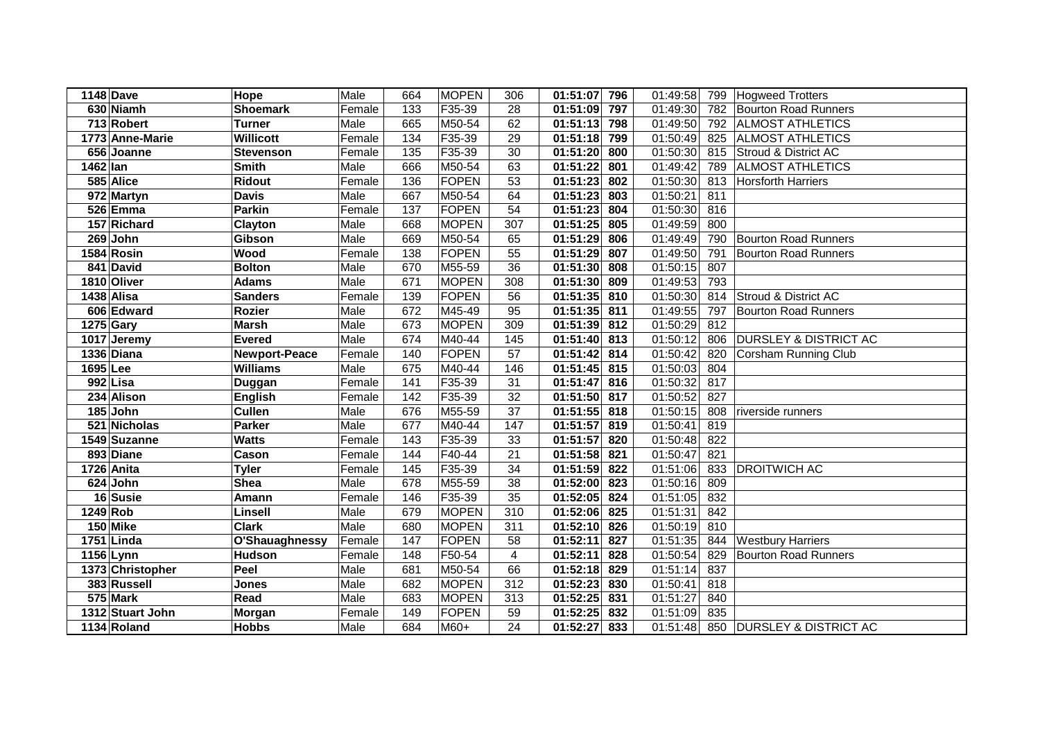| <b>1148 Dave</b> |                         | Hope                 | Male   | 664               | <b>MOPEN</b> | 306             | 01:51:07               | 796 | 01:49:58 |     | 799   Hogweed Trotters           |
|------------------|-------------------------|----------------------|--------|-------------------|--------------|-----------------|------------------------|-----|----------|-----|----------------------------------|
|                  | 630 Niamh               | <b>Shoemark</b>      | Female | $\overline{133}$  | F35-39       | 28              | 01:51:09               | 797 | 01:49:30 |     | 782 Bourton Road Runners         |
|                  | 713 Robert              | <b>Turner</b>        | Male   | 665               | M50-54       | 62              | 01:51:13               | 798 | 01:49:50 |     | 792 ALMOST ATHLETICS             |
|                  | 1773 Anne-Marie         | <b>Willicott</b>     | Female | 134               | F35-39       | 29              | 01:51:18               | 799 | 01:50:49 |     | 825 ALMOST ATHLETICS             |
|                  | 656 Joanne              | <b>Stevenson</b>     | Female | $\overline{135}$  | F35-39       | 30              | 01:51:20               | 800 | 01:50:30 |     | 815 Stroud & District AC         |
| 1462 lan         |                         | <b>Smith</b>         | Male   | 666               | M50-54       | 63              | 01:51:22               | 801 | 01:49:42 | 789 | <b>ALMOST ATHLETICS</b>          |
|                  | 585 Alice               | <b>Ridout</b>        | Female | 136               | FOPEN        | 53              | 01:51:23               | 802 | 01:50:30 | 813 | Horsforth Harriers               |
|                  | $\overline{972}$ Martyn | <b>Davis</b>         | Male   | 667               | M50-54       | 64              | 01:51:23               | 803 | 01:50:21 | 811 |                                  |
|                  | 526 Emma                | <b>Parkin</b>        | Female | 137               | FOPEN        | 54              | 01:51:23               | 804 | 01:50:30 | 816 |                                  |
|                  | 157 Richard             | Clayton              | Male   | 668               | <b>MOPEN</b> | 307             | 01:51:25               | 805 | 01:49:59 | 800 |                                  |
|                  | 269 John                | Gibson               | Male   | 669               | M50-54       | 65              | 01:51:29               | 806 | 01:49:49 | 790 | <b>Bourton Road Runners</b>      |
|                  | 1584 Rosin              | <b>Wood</b>          | Female | 138               | FOPEN        | 55              | 01:51:29               | 807 | 01:49:50 | 791 | <b>Bourton Road Runners</b>      |
|                  | 841 David               | <b>Bolton</b>        | Male   | 670               | M55-59       | 36              | 01:51:30               | 808 | 01:50:15 | 807 |                                  |
|                  | 1810 Oliver             | <b>Adams</b>         | Male   | 671               | <b>MOPEN</b> | 308             | $\overline{01:}51:30$  | 809 | 01:49:53 | 793 |                                  |
| 1438 Alisa       |                         | <b>Sanders</b>       | Female | 139               | FOPEN        | 56              | 01:51:35               | 810 | 01:50:30 | 814 | Stroud & District AC             |
|                  | 606 Edward              | <b>Rozier</b>        | Male   | 672               | M45-49       | 95              | 01:51:35               | 811 | 01:49:55 | 797 | <b>Bourton Road Runners</b>      |
| 1275 Gary        |                         | <b>Marsh</b>         | Male   | 673               | <b>MOPEN</b> | 309             | 01:51:39               | 812 | 01:50:29 | 812 |                                  |
|                  | 1017 Jeremy             | <b>Evered</b>        | Male   | 674               | M40-44       | 145             | 01:51:40               | 813 | 01:50:12 | 806 | <b>DURSLEY &amp; DISTRICT AC</b> |
|                  | 1336 Diana              | <b>Newport-Peace</b> | Female | 140               | <b>FOPEN</b> | 57              | 01:51:42               | 814 | 01:50:42 | 820 | <b>Corsham Running Club</b>      |
| 1695 Lee         |                         | <b>Williams</b>      | Male   | 675               | M40-44       | 146             | 01:51:45               | 815 | 01:50:03 | 804 |                                  |
|                  | 992 Lisa                | Duggan               | Female | 141               | F35-39       | 31              | 01:51:47               | 816 | 01:50:32 | 817 |                                  |
|                  | 234 Alison              | <b>English</b>       | Female | 142               | F35-39       | 32              | $\overline{01:}51:50$  | 817 | 01:50:52 | 827 |                                  |
|                  | 185 John                | <b>Cullen</b>        | Male   | 676               | M55-59       | 37              | 01:51:55               | 818 | 01:50:15 | 808 | riverside runners                |
|                  | 521 Nicholas            | <b>Parker</b>        | Male   | 677               | M40-44       | 147             | 01:51:57               | 819 | 01:50:41 | 819 |                                  |
|                  | 1549 Suzanne            | <b>Watts</b>         | Female | $\frac{1}{143}$   | F35-39       | 33              | 01:51:57               | 820 | 01:50:48 | 822 |                                  |
|                  | 893 Diane               | Cason                | Female | 144               | $F40-44$     | $\overline{21}$ | 01:51:58               | 821 | 01:50:47 | 821 |                                  |
|                  | 1726 Anita              | <b>Tyler</b>         | Female | $\frac{145}{145}$ | F35-39       | 34              | $\overline{01}$ :51:59 | 822 | 01:51:06 | 833 | <b>DROITWICH AC</b>              |
|                  | 624 John                | <b>Shea</b>          | Male   | 678               | M55-59       | 38              | 01:52:00               | 823 | 01:50:16 | 809 |                                  |
|                  | 16 Susie                | Amann                | Female | 146               | F35-39       | 35              | 01:52:05               | 824 | 01:51:05 | 832 |                                  |
| 1249 Rob         |                         | Linsell              | Male   | 679               | <b>MOPEN</b> | 310             | 01:52:06               | 825 | 01:51:31 | 842 |                                  |
|                  | 150 Mike                | <b>Clark</b>         | Male   | 680               | <b>MOPEN</b> | 311             | 01:52:10               | 826 | 01:50:19 | 810 |                                  |
|                  | 1751 Linda              | O'Shauaghnessy       | Female | 147               | FOPEN        | 58              | 01:52:11               | 827 | 01:51:35 | 844 | <b>Westbury Harriers</b>         |
| 1156 Lynn        |                         | <b>Hudson</b>        | Female | 148               | F50-54       | 4               | 01:52:11               | 828 | 01:50:54 | 829 | <b>Bourton Road Runners</b>      |
|                  | 1373 Christopher        | Peel                 | Male   | 681               | M50-54       | 66              | 01:52:18               | 829 | 01:51:14 | 837 |                                  |
|                  | 383 Russell             | <b>Jones</b>         | Male   | 682               | <b>MOPEN</b> | 312             | 01:52:23               | 830 | 01:50:41 | 818 |                                  |
|                  | 575 Mark                | Read                 | Male   | 683               | <b>MOPEN</b> | 313             | 01:52:25               | 831 | 01:51:27 | 840 |                                  |
|                  | 1312 Stuart John        | Morgan               | Female | 149               | FOPEN        | 59              | 01:52:25               | 832 | 01:51:09 | 835 |                                  |
|                  | 1134 Roland             | <b>Hobbs</b>         | Male   | 684               | M60+         | 24              | 01:52:27               | 833 | 01:51:48 |     | 850 DURSLEY & DISTRICT AC        |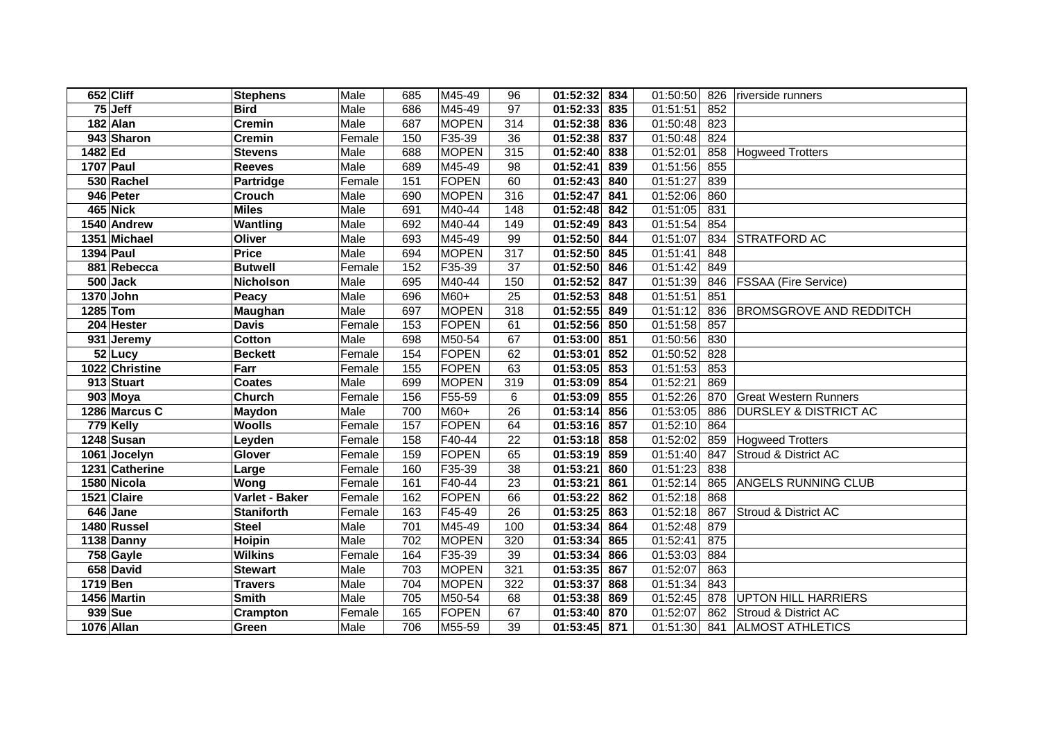|          | 652 Cliff             | <b>Stephens</b>   | Male   | 685             | M45-49       | 96              | 01:52:32       | 834 | 01:50:50              | 826 | riverside runners                |
|----------|-----------------------|-------------------|--------|-----------------|--------------|-----------------|----------------|-----|-----------------------|-----|----------------------------------|
|          | 75 Jeff               | <b>Bird</b>       | Male   | 686             | M45-49       | 97              | 01:52:33       | 835 | 01:51:51              | 852 |                                  |
|          | 182 Alan              | <b>Cremin</b>     | Male   | 687             | <b>MOPEN</b> | 314             | 01:52:38       | 836 | 01:50:48              | 823 |                                  |
|          | 943 Sharon            | <b>Cremin</b>     | Female | 150             | F35-39       | 36              | 01:52:38       | 837 | 01:50:48              | 824 |                                  |
| 1482 Ed  |                       | <b>Stevens</b>    | Male   | 688             | <b>MOPEN</b> | 315             | 01:52:40       | 838 | 01:52:01              | 858 | <b>Hogweed Trotters</b>          |
|          | 1707 Paul             | <b>Reeves</b>     | Male   | 689             | M45-49       | 98              | 01:52:41       | 839 | 01:51:56              | 855 |                                  |
|          | 530 Rachel            | <b>Partridge</b>  | Female | 151             | FOPEN        | 60              | 01:52:43       | 840 | 01:51:27              | 839 |                                  |
|          | 946 Peter             | <b>Crouch</b>     | Male   | 690             | <b>MOPEN</b> | 316             | 01:52:47       | 841 | 01:52:06              | 860 |                                  |
|          | 465 Nick              | <b>Miles</b>      | Male   | 691             | M40-44       | 148             | 01:52:48       | 842 | 01:51:05              | 831 |                                  |
|          | 1540 Andrew           | Wantling          | Male   | 692             | M40-44       | 149             | 01:52:49       | 843 | 01:51:54              | 854 |                                  |
|          | 1351 Michael          | Oliver            | Male   | 693             | M45-49       | 99              | 01:52:50       | 844 | 01:51:07              | 834 | <b>STRATFORD AC</b>              |
|          | 1394 Paul             | <b>Price</b>      | Male   | 694             | <b>MOPEN</b> | 317             | 01:52:50 845   |     | 01:51:41              | 848 |                                  |
|          | 881 Rebecca           | <b>Butwell</b>    | Female | 152             | F35-39       | 37              | 01:52:50       | 846 | 01:51:42              | 849 |                                  |
|          | $500$ Jack            | Nicholson         | Male   | 695             | M40-44       | 150             | 01:52:52       | 847 | 01:51:39              | 846 | <b>FSSAA (Fire Service)</b>      |
|          | 1370 John             | Peacy             | Male   | 696             | M60+         | 25              | 01:52:53       | 848 | 01:51:51              | 851 |                                  |
|          | 1285 Tom              | Maughan           | Male   | 697             | <b>MOPEN</b> | 318             | 01:52:55       | 849 | 01:51:12              | 836 | <b>BROMSGROVE AND REDDITCH</b>   |
|          | 204 Hester            | <b>Davis</b>      | Female | 153             | FOPEN        | 61              | 01:52:56       | 850 | $\overline{01:}51:58$ | 857 |                                  |
|          | 931 Jeremy            | <b>Cotton</b>     | Male   | 698             | M50-54       | 67              | 01:53:00       | 851 | 01:50:56              | 830 |                                  |
|          | 52 Lucy               | <b>Beckett</b>    | Female | 154             | FOPEN        | 62              | 01:53:01       | 852 | 01:50:52              | 828 |                                  |
|          | 1022 Christine        | Farr              | Female | 155             | FOPEN        | 63              | 01:53:05       | 853 | 01:51:53              | 853 |                                  |
|          | 913 Stuart            | <b>Coates</b>     | Male   | 699             | <b>MOPEN</b> | 319             | 01:53:09       | 854 | 01:52:21              | 869 |                                  |
|          | $\overline{903}$ Moya | Church            | Female | 156             | F55-59       | 6               | 01:53:09       | 855 | 01:52:26              | 870 | <b>Great Western Runners</b>     |
|          | 1286 Marcus C         | Maydon            | Male   | 700             | M60+         | 26              | 01:53:14       | 856 | 01:53:05              | 886 | <b>DURSLEY &amp; DISTRICT AC</b> |
|          | 779 Kelly             | <b>Woolls</b>     | Female | 157             | <b>FOPEN</b> | 64              | 01:53:16       | 857 | 01:52:10              | 864 |                                  |
|          | 1248 Susan            | Leyden            | Female | 158             | $F40-44$     | $\overline{22}$ | 01:53:18       | 858 | 01:52:02              | 859 | <b>Hogweed Trotters</b>          |
|          | 1061 Jocelyn          | Glover            | Female | 159             | FOPEN        | 65              | 01:53:19       | 859 | 01:51:40              | 847 | Stroud & District AC             |
|          | 1231 Catherine        | Large             | Female | 160             | F35-39       | 38              | 01:53:21       | 860 | 01:51:23              | 838 |                                  |
|          | 1580 Nicola           | Wong              | Female | 161             | F40-44       | 23              | 01:53:21       | 861 | 01:52:14              | 865 | <b>ANGELS RUNNING CLUB</b>       |
|          | 1521 Claire           | Varlet - Baker    | Female | 162             | FOPEN        | 66              | 01:53:22       | 862 | 01:52:18              | 868 |                                  |
|          | $646$ Jane            | <b>Staniforth</b> | Female | $\frac{163}{ }$ | F45-49       | 26              | 01:53:25       | 863 | 01:52:18              | 867 | Stroud & District AC             |
|          | 1480 Russel           | <b>Steel</b>      | Male   | 701             | M45-49       | 100             | 01:53:34       | 864 | 01:52:48              | 879 |                                  |
|          | 1138 Danny            | <b>Hoipin</b>     | Male   | 702             | <b>MOPEN</b> | 320             | 01:53:34       | 865 | 01:52:41              | 875 |                                  |
|          | $758$ Gayle           | <b>Wilkins</b>    | Female | 164             | F35-39       | 39              | 01:53:34       | 866 | 01:53:03              | 884 |                                  |
|          | 658 David             | <b>Stewart</b>    | Male   | 703             | <b>MOPEN</b> | 321             | 01:53:35       | 867 | 01:52:07              | 863 |                                  |
| 1719 Ben |                       | <b>Travers</b>    | Male   | 704             | <b>MOPEN</b> | 322             | 01:53:37       | 868 | $\overline{0}1:51:34$ | 843 |                                  |
|          | 1456 Martin           | <b>Smith</b>      | Male   | 705             | M50-54       | 68              | 01:53:38       | 869 | 01:52:45              | 878 | <b>UPTON HILL HARRIERS</b>       |
|          | 939 Sue               | Crampton          | Female | 165             | FOPEN        | 67              | 01:53:40       | 870 | 01:52:07              | 862 | Stroud & District AC             |
|          | 1076 Allan            | Green             | Male   | 706             | M55-59       | 39              | $01:53:45$ 871 |     | 01:51:30              |     | 841 ALMOST ATHLETICS             |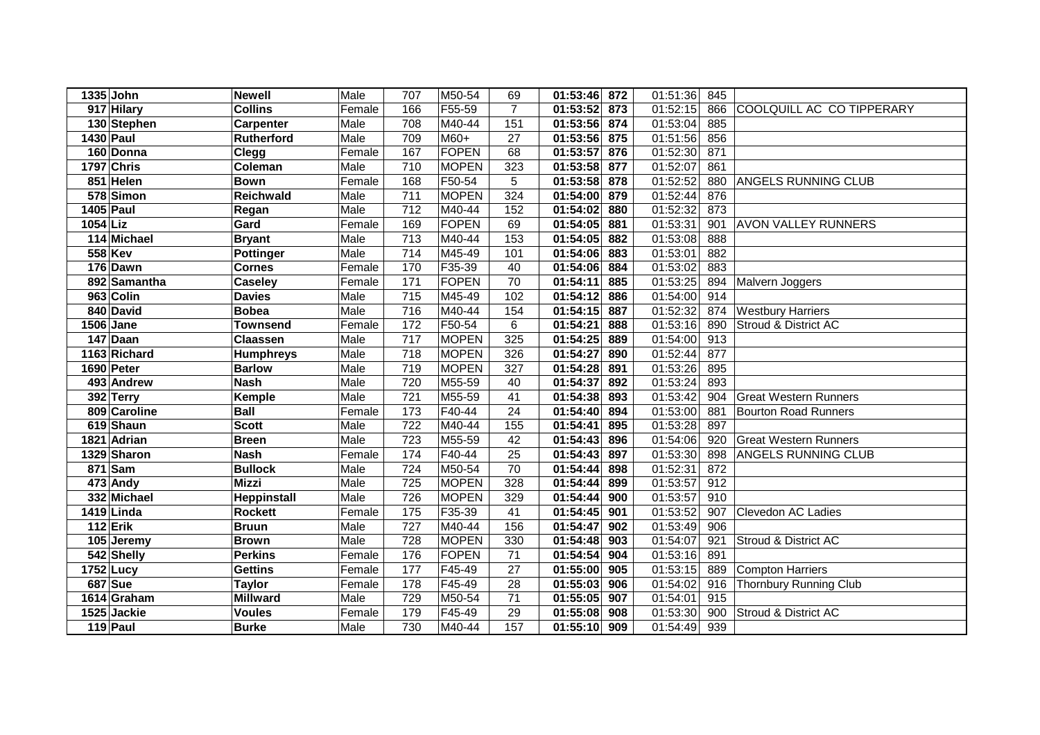|           | 1335 John      | <b>Newell</b>     | Male   | 707               | M50-54       | 69              | 01:53:46     | 872 | 01:51:36 | 845 |                                 |
|-----------|----------------|-------------------|--------|-------------------|--------------|-----------------|--------------|-----|----------|-----|---------------------------------|
|           | 917 Hilary     | <b>Collins</b>    | Female | 166               | F55-59       | $\overline{7}$  | 01:53:52     | 873 | 01:52:15 | 866 | COOLQUILL AC CO TIPPERARY       |
|           | 130 Stephen    | Carpenter         | Male   | 708               | M40-44       | 151             | 01:53:56 874 |     | 01:53:04 | 885 |                                 |
|           | 1430 Paul      | <b>Rutherford</b> | Male   | 709               | M60+         | 27              | 01:53:56     | 875 | 01:51:56 | 856 |                                 |
|           | 160 Donna      | <b>Clegg</b>      | Female | 167               | FOPEN        | 68              | 01:53:57     | 876 | 01:52:30 | 871 |                                 |
|           | 1797 Chris     | Coleman           | Male   | 710               | <b>MOPEN</b> | 323             | 01:53:58     | 877 | 01:52:07 | 861 |                                 |
|           | 851 Helen      | <b>Bown</b>       | Female | 168               | F50-54       | 5               | 01:53:58     | 878 | 01:52:52 | 880 | <b>ANGELS RUNNING CLUB</b>      |
|           | 578 Simon      | <b>Reichwald</b>  | Male   | $\overline{711}$  | <b>MOPEN</b> | 324             | 01:54:00     | 879 | 01:52:44 | 876 |                                 |
| 1405 Paul |                | Regan             | Male   | $\frac{1}{712}$   | M40-44       | 152             | 01:54:02     | 880 | 01:52:32 | 873 |                                 |
| 1054 Liz  |                | Gard              | Female | 169               | FOPEN        | 69              | 01:54:05     | 881 | 01:53:31 | 901 | <b>AVON VALLEY RUNNERS</b>      |
|           | 114 Michael    | <b>Bryant</b>     | Male   | $\overline{713}$  | M40-44       | 153             | 01:54:05     | 882 | 01:53:08 | 888 |                                 |
|           | 558 Kev        | Pottinger         | Male   | 714               | M45-49       | 101             | 01:54:06     | 883 | 01:53:01 | 882 |                                 |
|           | 176 Dawn       | <b>Cornes</b>     | Female | 170               | F35-39       | 40              | 01:54:06     | 884 | 01:53:02 | 883 |                                 |
|           | 892 Samantha   | <b>Caseley</b>    | Female | $\frac{1}{171}$   | FOPEN        | 70              | 01:54:11     | 885 | 01:53:25 | 894 | Malvern Joggers                 |
|           | 963 Colin      | <b>Davies</b>     | Male   | 715               | M45-49       | 102             | 01:54:12     | 886 | 01:54:00 | 914 |                                 |
|           | 840 David      | <b>Bobea</b>      | Male   | 716               | M40-44       | 154             | 01:54:15     | 887 | 01:52:32 | 874 | <b>Westbury Harriers</b>        |
|           | 1506 Jane      | <b>Townsend</b>   | Female | 172               | F50-54       | 6               | 01:54:21     | 888 | 01:53:16 | 890 | <b>Stroud &amp; District AC</b> |
|           | 147 Daan       | <b>Claassen</b>   | Male   | $\overline{717}$  | <b>MOPEN</b> | 325             | 01:54:25     | 889 | 01:54:00 | 913 |                                 |
|           | 1163 Richard   | <b>Humphreys</b>  | Male   | 718               | <b>MOPEN</b> | 326             | 01:54:27     | 890 | 01:52:44 | 877 |                                 |
|           | 1690 Peter     | <b>Barlow</b>     | Male   | 719               | <b>MOPEN</b> | 327             | 01:54:28     | 891 | 01:53:26 | 895 |                                 |
|           | 493 Andrew     | <b>Nash</b>       | Male   | 720               | M55-59       | 40              | 01:54:37     | 892 | 01:53:24 | 893 |                                 |
|           | 392 Terry      | Kemple            | Male   | 721               | M55-59       | 41              | 01:54:38     | 893 | 01:53:42 | 904 | <b>Great Western Runners</b>    |
|           | 809 Caroline   | <b>Ball</b>       | Female | $\frac{1}{173}$   | F40-44       | 24              | 01:54:40     | 894 | 01:53:00 | 881 | <b>Bourton Road Runners</b>     |
|           | 619 Shaun      | <b>Scott</b>      | Male   | 722               | M40-44       | 155             | 01:54:41     | 895 | 01:53:28 | 897 |                                 |
|           | 1821 Adrian    | <b>Breen</b>      | Male   | 723               | M55-59       | 42              | 01:54:43     | 896 | 01:54:06 | 920 | <b>Great Western Runners</b>    |
|           | 1329 Sharon    | <b>Nash</b>       | Female | 174               | F40-44       | 25              | 01:54:43     | 897 | 01:53:30 | 898 | <b>ANGELS RUNNING CLUB</b>      |
|           | 871 Sam        | <b>Bullock</b>    | Male   | $\overline{724}$  | M50-54       | $\overline{70}$ | 01:54:44     | 898 | 01:52:31 | 872 |                                 |
|           | 473 Andy       | <b>Mizzi</b>      | Male   | $\overline{725}$  | <b>MOPEN</b> | 328             | 01:54:44     | 899 | 01:53:57 | 912 |                                 |
|           | 332 Michael    | Heppinstall       | Male   | 726               | <b>MOPEN</b> | 329             | 01:54:44     | 900 | 01:53:57 | 910 |                                 |
|           | 1419 Linda     | <b>Rockett</b>    | Female | $\frac{175}{175}$ | F35-39       | 41              | 01:54:45     | 901 | 01:53:52 | 907 | Clevedon AC Ladies              |
|           | $112$ Erik     | <b>Bruun</b>      | Male   | 727               | M40-44       | 156             | 01:54:47     | 902 | 01:53:49 | 906 |                                 |
|           | 105 Jeremy     | <b>Brown</b>      | Male   | 728               | <b>MOPEN</b> | 330             | 01:54:48     | 903 | 01:54:07 | 921 | Stroud & District AC            |
|           | 542 Shelly     | <b>Perkins</b>    | Female | 176               | FOPEN        | 71              | 01:54:54     | 904 | 01:53:16 | 891 |                                 |
|           | 1752 Lucy      | <b>Gettins</b>    | Female | 177               | F45-49       | 27              | 01:55:00     | 905 | 01:53:15 | 889 | <b>Compton Harriers</b>         |
|           | <b>687</b> Sue | <b>Taylor</b>     | Female | 178               | F45-49       | 28              | 01:55:03     | 906 | 01:54:02 | 916 | <b>Thornbury Running Club</b>   |
|           | 1614 Graham    | <b>Millward</b>   | Male   | 729               | M50-54       | 71              | 01:55:05     | 907 | 01:54:01 | 915 |                                 |
|           | 1525 Jackie    | <b>Voules</b>     | Female | 179               | F45-49       | 29              | 01:55:08     | 908 | 01:53:30 | 900 | Stroud & District AC            |
|           | 119 Paul       | <b>Burke</b>      | Male   | 730               | M40-44       | 157             | 01:55:10 909 |     | 01:54:49 | 939 |                                 |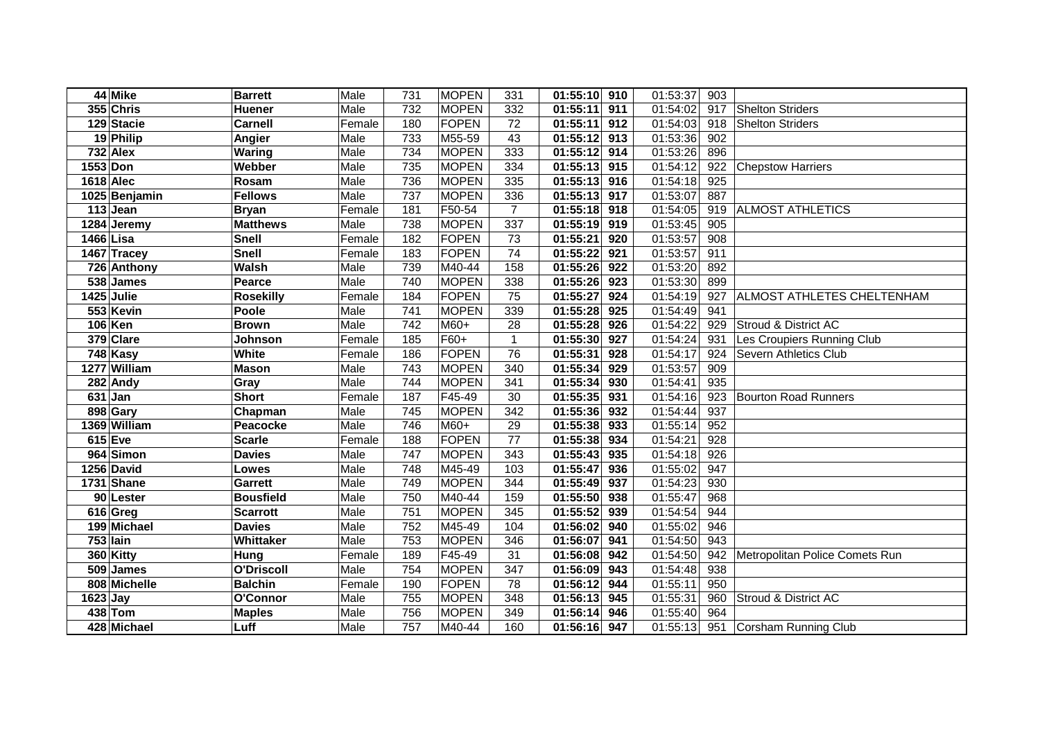|                  | 44 Mike               | <b>Barrett</b>   | Male   | 731 | <b>MOPEN</b> | 331             | 01:55:10              | 910 | 01:53:37 | 903              |                                |
|------------------|-----------------------|------------------|--------|-----|--------------|-----------------|-----------------------|-----|----------|------------------|--------------------------------|
|                  | 355 Chris             | <b>Huener</b>    | Male   | 732 | <b>MOPEN</b> | 332             | 01:55:11              | 911 | 01:54:02 | 917              | <b>Shelton Striders</b>        |
|                  | 129 Stacie            | <b>Carnell</b>   | Female | 180 | FOPEN        | 72              | 01:55:11              | 912 | 01:54:03 | 918              | <b>Shelton Striders</b>        |
|                  | 19 Philip             | Angier           | Male   | 733 | M55-59       | 43              | 01:55:12              | 913 | 01:53:36 | 902              |                                |
|                  | 732 Alex              | Waring           | Male   | 734 | <b>MOPEN</b> | 333             | 01:55:12              | 914 | 01:53:26 | 896              |                                |
| 1553 Don         |                       | Webber           | Male   | 735 | <b>MOPEN</b> | $\frac{1}{334}$ | 01:55:13              | 915 | 01:54:12 | 922              | <b>Chepstow Harriers</b>       |
| <b>1618 Alec</b> |                       | Rosam            | Male   | 736 | <b>MOPEN</b> | 335             | $\overline{01:55:13}$ | 916 | 01:54:18 | $\overline{925}$ |                                |
|                  | 1025 Benjamin         | <b>Fellows</b>   | Male   | 737 | <b>MOPEN</b> | 336             | 01:55:13              | 917 | 01:53:07 | 887              |                                |
|                  | 113 Jean              | <b>Bryan</b>     | Female | 181 | F50-54       | $\overline{7}$  | 01:55:18              | 918 | 01:54:05 | 919              | <b>ALMOST ATHLETICS</b>        |
|                  | 1284 Jeremy           | <b>Matthews</b>  | Male   | 738 | <b>MOPEN</b> | 337             | 01:55:19              | 919 | 01:53:45 | 905              |                                |
| 1466 Lisa        |                       | <b>Snell</b>     | Female | 182 | FOPEN        | 73              | 01:55:21              | 920 | 01:53:57 | 908              |                                |
|                  | 1467 Tracey           | <b>Snell</b>     | Female | 183 | FOPEN        | $\overline{74}$ | 01:55:22              | 921 | 01:53:57 | 911              |                                |
|                  | 726 Anthony           | Walsh            | Male   | 739 | M40-44       | 158             | 01:55:26              | 922 | 01:53:20 | 892              |                                |
|                  | 538 James             | Pearce           | Male   | 740 | <b>MOPEN</b> | 338             | 01:55:26              | 923 | 01:53:30 | 899              |                                |
|                  | 1425 Julie            | <b>Rosekilly</b> | Female | 184 | FOPEN        | 75              | 01:55:27              | 924 | 01:54:19 | 927              | ALMOST ATHLETES CHELTENHAM     |
|                  | 553 Kevin             | Poole            | Male   | 741 | <b>MOPEN</b> | 339             | 01:55:28              | 925 | 01:54:49 | 941              |                                |
|                  | 106 Ken               | <b>Brown</b>     | Male   | 742 | M60+         | 28              | 01:55:28              | 926 | 01:54:22 | 929              | Stroud & District AC           |
|                  | 379 Clare             | Johnson          | Female | 185 | F60+         | 1               | 01:55:30              | 927 | 01:54:24 | 931              | Les Croupiers Running Club     |
|                  | 748 Kasy              | <b>White</b>     | Female | 186 | FOPEN        | 76              | 01:55:31              | 928 | 01:54:17 | 924              | Severn Athletics Club          |
|                  | 1277 William          | <b>Mason</b>     | Male   | 743 | <b>MOPEN</b> | 340             | 01:55:34              | 929 | 01:53:57 | 909              |                                |
|                  | 282 Andy              | Gray             | Male   | 744 | <b>MOPEN</b> | 341             | 01:55:34              | 930 | 01:54:41 | 935              |                                |
|                  | $631$ Jan             | <b>Short</b>     | Female | 187 | F45-49       | 30              | 01:55:35              | 931 | 01:54:16 | 923              | <b>Bourton Road Runners</b>    |
|                  | 898 Gary              | Chapman          | Male   | 745 | <b>MOPEN</b> | 342             | 01:55:36              | 932 | 01:54:44 | 937              |                                |
|                  | 1369 William          | Peacocke         | Male   | 746 | M60+         | 29              | 01:55:38              | 933 | 01:55:14 | 952              |                                |
|                  | <b>615</b> Eve        | <b>Scarle</b>    | Female | 188 | FOPEN        | $\overline{77}$ | 01:55:38              | 934 | 01:54:21 | $\overline{928}$ |                                |
|                  | 964 Simon             | <b>Davies</b>    | Male   | 747 | <b>MOPEN</b> | $\frac{1}{343}$ | 01:55:43              | 935 | 01:54:18 | 926              |                                |
|                  | 1256 David            | Lowes            | Male   | 748 | M45-49       | 103             | 01:55:47              | 936 | 01:55:02 | 947              |                                |
|                  | 1731 Shane            | <b>Garrett</b>   | Male   | 749 | <b>MOPEN</b> | 344             | 01:55:49              | 937 | 01:54:23 | 930              |                                |
|                  | 90 Lester             | <b>Bousfield</b> | Male   | 750 | M40-44       | 159             | 01:55:50              | 938 | 01:55:47 | 968              |                                |
|                  | 616 Greg              | <b>Scarrott</b>  | Male   | 751 | <b>MOPEN</b> | $\frac{1}{345}$ | 01:55:52              | 939 | 01:54:54 | 944              |                                |
|                  | 199 Michael           | <b>Davies</b>    | Male   | 752 | M45-49       | 104             | 01:56:02              | 940 | 01:55:02 | 946              |                                |
|                  | $\overline{753}$ lain | <b>Whittaker</b> | Male   | 753 | <b>MOPEN</b> | 346             | 01:56:07              | 941 | 01:54:50 | 943              |                                |
|                  | 360 Kitty             | Hung             | Female | 189 | F45-49       | 31              | 01:56:08              | 942 | 01:54:50 | 942              | Metropolitan Police Comets Run |
|                  | 509 James             | O'Driscoll       | Male   | 754 | <b>MOPEN</b> | 347             | 01:56:09              | 943 | 01:54:48 | 938              |                                |
|                  | 808 Michelle          | <b>Balchin</b>   | Female | 190 | FOPEN        | 78              | 01:56:12              | 944 | 01:55:11 | 950              |                                |
| $1623$ Jay       |                       | O'Connor         | Male   | 755 | <b>MOPEN</b> | 348             | 01:56:13              | 945 | 01:55:31 | 960              | Stroud & District AC           |
|                  | 438 Tom               | <b>Maples</b>    | Male   | 756 | <b>MOPEN</b> | 349             | 01:56:14              | 946 | 01:55:40 | 964              |                                |
|                  | 428 Michael           | Luff             | Male   | 757 | M40-44       | 160             | 01:56:16 947          |     | 01:55:13 |                  | 951 Corsham Running Club       |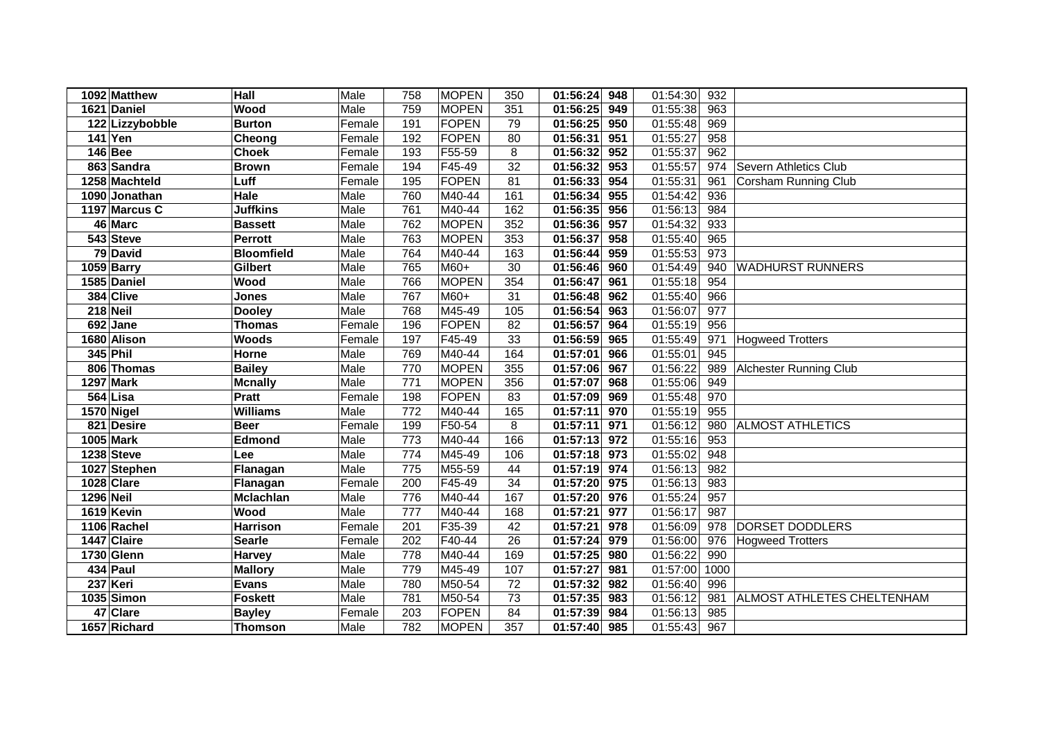|                  | 1092 Matthew     | Hall              | Male   | 758              | <b>MOPEN</b> | 350 | 01:56:24<br>948 | 01:54:30 | 932  |                               |
|------------------|------------------|-------------------|--------|------------------|--------------|-----|-----------------|----------|------|-------------------------------|
|                  | 1621 Daniel      | Wood              | Male   | 759              | <b>MOPEN</b> | 351 | 949<br>01:56:25 | 01:55:38 | 963  |                               |
|                  | 122 Lizzybobble  | <b>Burton</b>     | Female | 191              | <b>FOPEN</b> | 79  | 950<br>01:56:25 | 01:55:48 | 969  |                               |
|                  | 141 Yen          | Cheong            | Female | 192              | <b>FOPEN</b> | 80  | 01:56:31<br>951 | 01:55:27 | 958  |                               |
|                  | <b>146 Bee</b>   | <b>Choek</b>      | Female | 193              | F55-59       | 8   | 952<br>01:56:32 | 01:55:37 | 962  |                               |
|                  | 863 Sandra       | <b>Brown</b>      | Female | 194              | F45-49       | 32  | 953<br>01:56:32 | 01:55:57 | 974  | Severn Athletics Club         |
|                  | 1258 Machteld    | Luff              | Female | 195              | <b>FOPEN</b> | 81  | 01:56:33<br>954 | 01:55:31 | 961  | Corsham Running Club          |
|                  | 1090 Jonathan    | <b>Hale</b>       | Male   | 760              | M40-44       | 161 | 01:56:34<br>955 | 01:54:42 | 936  |                               |
|                  | 1197 Marcus C    | <b>Juffkins</b>   | Male   | 761              | M40-44       | 162 | 01:56:35<br>956 | 01:56:13 | 984  |                               |
|                  | 46 Marc          | <b>Bassett</b>    | Male   | 762              | <b>MOPEN</b> | 352 | 01:56:36<br>957 | 01:54:32 | 933  |                               |
|                  | 543 Steve        | <b>Perrott</b>    | Male   | 763              | <b>MOPEN</b> | 353 | 01:56:37<br>958 | 01:55:40 | 965  |                               |
|                  | 79 David         | <b>Bloomfield</b> | Male   | 764              | M40-44       | 163 | 01:56:44<br>959 | 01:55:53 | 973  |                               |
|                  | 1059 Barry       | <b>Gilbert</b>    | Male   | 765              | $M60+$       | 30  | 01:56:46<br>960 | 01:54:49 | 940  | <b>WADHURST RUNNERS</b>       |
|                  | 1585 Daniel      | Wood              | Male   | 766              | <b>MOPEN</b> | 354 | 01:56:47<br>961 | 01:55:18 | 954  |                               |
|                  | 384 Clive        | <b>Jones</b>      | Male   | 767              | $M60+$       | 31  | 01:56:48<br>962 | 01:55:40 | 966  |                               |
|                  | $218$ Neil       | <b>Dooley</b>     | Male   | 768              | M45-49       | 105 | 01:56:54<br>963 | 01:56:07 | 977  |                               |
|                  | 692 Jane         | <b>Thomas</b>     | Female | 196              | <b>FOPEN</b> | 82  | 01:56:57<br>964 | 01:55:19 | 956  |                               |
|                  | 1680 Alison      | <b>Woods</b>      | Female | 197              | F45-49       | 33  | 01:56:59<br>965 | 01:55:49 | 971  | <b>Hogweed Trotters</b>       |
|                  | 345 Phil         | Horne             | Male   | 769              | M40-44       | 164 | 01:57:01<br>966 | 01:55:01 | 945  |                               |
|                  | 806 Thomas       | <b>Bailey</b>     | Male   | 770              | <b>MOPEN</b> | 355 | 967<br>01:57:06 | 01:56:22 | 989  | <b>Alchester Running Club</b> |
|                  | 1297 Mark        | <b>Mcnally</b>    | Male   | 771              | <b>MOPEN</b> | 356 | 968<br>01:57:07 | 01:55:06 | 949  |                               |
|                  | 564 Lisa         | <b>Pratt</b>      | Female | 198              | <b>FOPEN</b> | 83  | 969<br>01:57:09 | 01:55:48 | 970  |                               |
|                  | 1570 Nigel       | <b>Williams</b>   | Male   | $\overline{772}$ | M40-44       | 165 | 970<br>01:57:11 | 01:55:19 | 955  |                               |
|                  | 821 Desire       | <b>Beer</b>       | Female | 199              | F50-54       | 8   | 01:57:11<br>971 | 01:56:12 | 980  | <b>ALMOST ATHLETICS</b>       |
|                  | <b>1005 Mark</b> | <b>Edmond</b>     | Male   | $\overline{773}$ | M40-44       | 166 | 01:57:13<br>972 | 01:55:16 | 953  |                               |
|                  | 1238 Steve       | Lee               | Male   | 774              | M45-49       | 106 | 01:57:18<br>973 | 01:55:02 | 948  |                               |
|                  | 1027 Stephen     | Flanagan          | Male   | $\overline{775}$ | M55-59       | 44  | 01:57:19<br>974 | 01:56:13 | 982  |                               |
|                  | 1028 Clare       | Flanagan          | Female | 200              | F45-49       | 34  | 01:57:20<br>975 | 01:56:13 | 983  |                               |
| <b>1296 Neil</b> |                  | <b>Mclachlan</b>  | Male   | 776              | M40-44       | 167 | 01:57:20<br>976 | 01:55:24 | 957  |                               |
|                  | 1619 Kevin       | Wood              | Male   | $\overline{777}$ | M40-44       | 168 | 01:57:21<br>977 | 01:56:17 | 987  |                               |
|                  | 1106 Rachel      | <b>Harrison</b>   | Female | 201              | F35-39       | 42  | 01:57:21<br>978 | 01:56:09 | 978  | DORSET DODDLERS               |
|                  | 1447 Claire      | <b>Searle</b>     | Female | 202              | F40-44       | 26  | 01:57:24<br>979 | 01:56:00 | 976  | <b>Hogweed Trotters</b>       |
|                  | 1730 Glenn       | Harvey            | Male   | 778              | M40-44       | 169 | 01:57:25<br>980 | 01:56:22 | 990  |                               |
|                  | 434 Paul         | <b>Mallory</b>    | Male   | 779              | M45-49       | 107 | 01:57:27<br>981 | 01:57:00 | 1000 |                               |
|                  | 237 Keri         | <b>Evans</b>      | Male   | 780              | M50-54       | 72  | 982<br>01:57:32 | 01:56:40 | 996  |                               |
|                  | 1035 Simon       | <b>Foskett</b>    | Male   | 781              | M50-54       | 73  | 983<br>01:57:35 | 01:56:12 | 981  | ALMOST ATHLETES CHELTENHAM    |
|                  | 47 Clare         | <b>Bayley</b>     | Female | 203              | <b>FOPEN</b> | 84  | 984<br>01:57:39 | 01:56:13 | 985  |                               |
|                  | 1657 Richard     | <b>Thomson</b>    | Male   | 782              | <b>MOPEN</b> | 357 | 01:57:40<br>985 | 01:55:43 | 967  |                               |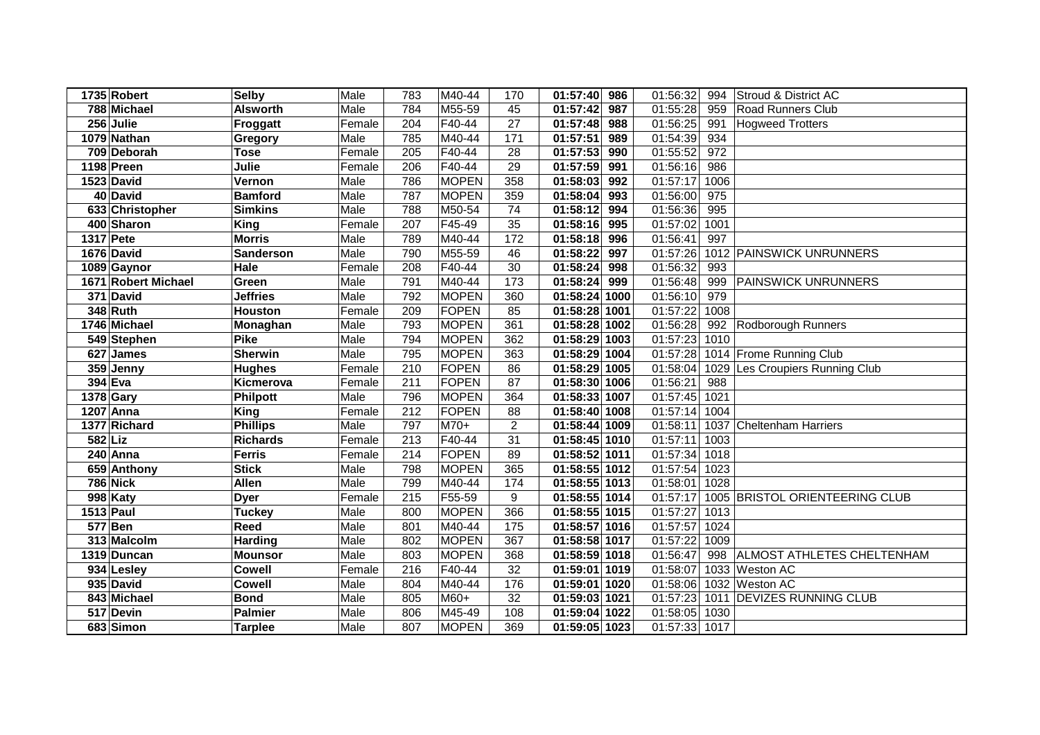|                  | 1735 Robert         | <b>Selby</b>     | Male   | 783              | M40-44       | 170             | 01:57:40      | 986 | 01:56:32      | 994  | Stroud & District AC            |
|------------------|---------------------|------------------|--------|------------------|--------------|-----------------|---------------|-----|---------------|------|---------------------------------|
|                  | 788 Michael         | <b>Alsworth</b>  | Male   | 784              | M55-59       | 45              | 01:57:42      | 987 | 01:55:28      | 959  | <b>Road Runners Club</b>        |
|                  | 256 Julie           | Froggatt         | Female | 204              | F40-44       | 27              | 01:57:48      | 988 | 01:56:25      | 991  | <b>Hogweed Trotters</b>         |
|                  | 1079 Nathan         | Gregory          | Male   | 785              | M40-44       | 171             | 01:57:51      | 989 | 01:54:39      | 934  |                                 |
|                  | 709 Deborah         | <b>Tose</b>      | Female | $\overline{205}$ | F40-44       | 28              | 01:57:53      | 990 | 01:55:52      | 972  |                                 |
|                  | 1198 Preen          | Julie            | Female | 206              | F40-44       | 29              | 01:57:59      | 991 | 01:56:16      | 986  |                                 |
|                  | 1523 David          | Vernon           | Male   | 786              | <b>MOPEN</b> | 358             | 01:58:03      | 992 | 01:57:17      | 1006 |                                 |
|                  | 40 David            | <b>Bamford</b>   | Male   | 787              | <b>MOPEN</b> | 359             | 01:58:04      | 993 | 01:56:00      | 975  |                                 |
|                  | 633 Christopher     | <b>Simkins</b>   | Male   | 788              | M50-54       | 74              | 01:58:12      | 994 | 01:56:36      | 995  |                                 |
|                  | 400 Sharon          | <b>King</b>      | Female | 207              | F45-49       | 35              | 01:58:16      | 995 | 01:57:02      | 1001 |                                 |
| 1317 Pete        |                     | <b>Morris</b>    | Male   | 789              | M40-44       | 172             | 01:58:18      | 996 | 01:56:41      | 997  |                                 |
|                  | 1676 David          | <b>Sanderson</b> | Male   | 790              | M55-59       | 46              | 01:58:22      | 997 | 01:57:26      |      | 1012 PAINSWICK UNRUNNERS        |
|                  | 1089 Gaynor         | Hale             | Female | 208              | F40-44       | 30              | 01:58:24      | 998 | 01:56:32      | 993  |                                 |
|                  | 1671 Robert Michael | Green            | Male   | 791              | M40-44       | 173             | 01:58:24      | 999 | 01:56:48      | 999  | <b>PAINSWICK UNRUNNERS</b>      |
|                  | 371 David           | <b>Jeffries</b>  | Male   | 792              | <b>MOPEN</b> | 360             | 01:58:24 1000 |     | 01:56:10      | 979  |                                 |
|                  | 348 Ruth            | <b>Houston</b>   | Female | 209              | FOPEN        | 85              | 01:58:28 1001 |     | 01:57:22      | 1008 |                                 |
|                  | 1746 Michael        | Monaghan         | Male   | 793              | <b>MOPEN</b> | 361             | 01:58:28 1002 |     | 01:56:28      | 992  | Rodborough Runners              |
|                  | 549 Stephen         | <b>Pike</b>      | Male   | 794              | <b>MOPEN</b> | 362             | 01:58:29 1003 |     | 01:57:23      | 1010 |                                 |
|                  | 627 James           | <b>Sherwin</b>   | Male   | 795              | <b>MOPEN</b> | 363             | 01:58:29 1004 |     | 01:57:28      |      | 1014 Frome Running Club         |
|                  | 359 Jenny           | <b>Hughes</b>    | Female | 210              | FOPEN        | 86              | 01:58:29 1005 |     | 01:58:04      |      | 1029 Les Croupiers Running Club |
| 394 Eva          |                     | Kicmerova        | Female | 211              | FOPEN        | 87              | 01:58:30 1006 |     | 01:56:21      | 988  |                                 |
| 1378 Gary        |                     | Philpott         | Male   | 796              | <b>MOPEN</b> | 364             | 01:58:33 1007 |     | 01:57:45      | 1021 |                                 |
| 1207 Anna        |                     | <b>King</b>      | Female | 212              | FOPEN        | 88              | 01:58:40 1008 |     | 01:57:14      | 1004 |                                 |
|                  | 1377 Richard        | <b>Phillips</b>  | Male   | 797              | M70+         | $\overline{2}$  | 01:58:44 1009 |     | 01:58:11      |      | 1037 Cheltenham Harriers        |
| <b>582 Liz</b>   |                     | <b>Richards</b>  | Female | 213              | $F40-44$     | $\overline{31}$ | 01:58:45 1010 |     | 01:57:11      | 1003 |                                 |
|                  | 240 Anna            | <b>Ferris</b>    | Female | 214              | FOPEN        | 89              | 01:58:52 1011 |     | 01:57:34      | 1018 |                                 |
|                  | 659 Anthony         | <b>Stick</b>     | Male   | 798              | <b>MOPEN</b> | 365             | 01:58:55 1012 |     | 01:57:54      | 1023 |                                 |
|                  | <b>786 Nick</b>     | Allen            | Male   | 799              | M40-44       | 174             | 01:58:55 1013 |     | 01:58:01      | 1028 |                                 |
|                  | 998 Katy            | <b>Dyer</b>      | Female | 215              | F55-59       | 9               | 01:58:55 1014 |     | 01:57:17      |      | 1005 BRISTOL ORIENTEERING CLUB  |
| <b>1513 Paul</b> |                     | <b>Tuckey</b>    | Male   | 800              | <b>MOPEN</b> | 366             | 01:58:55 1015 |     | 01:57:27      | 1013 |                                 |
| 577 Ben          |                     | Reed             | Male   | 801              | M40-44       | 175             | 01:58:57 1016 |     | 01:57:57      | 1024 |                                 |
|                  | 313 Malcolm         | <b>Harding</b>   | Male   | 802              | <b>MOPEN</b> | 367             | 01:58:58 1017 |     | 01:57:22      | 1009 |                                 |
|                  | 1319 Duncan         | <b>Mounsor</b>   | Male   | 803              | <b>MOPEN</b> | 368             | 01:58:59 1018 |     | 01:56:47      | 998  | ALMOST ATHLETES CHELTENHAM      |
|                  | 934 Lesley          | <b>Cowell</b>    | Female | 216              | F40-44       | 32              | 01:59:01 1019 |     | 01:58:07      |      | 1033 Weston AC                  |
|                  | 935 David           | <b>Cowell</b>    | Male   | 804              | M40-44       | 176             | 01:59:01 1020 |     | 01:58:06      |      | 1032 Weston AC                  |
|                  | 843 Michael         | <b>Bond</b>      | Male   | 805              | M60+         | 32              | 01:59:03 1021 |     | 01:57:23      |      | 1011 DEVIZES RUNNING CLUB       |
|                  | 517 Devin           | <b>Palmier</b>   | Male   | 806              | M45-49       | 108             | 01:59:04 1022 |     | 01:58:05      | 1030 |                                 |
|                  | 683 Simon           | <b>Tarplee</b>   | Male   | 807              | <b>MOPEN</b> | 369             | 01:59:05 1023 |     | 01:57:33 1017 |      |                                 |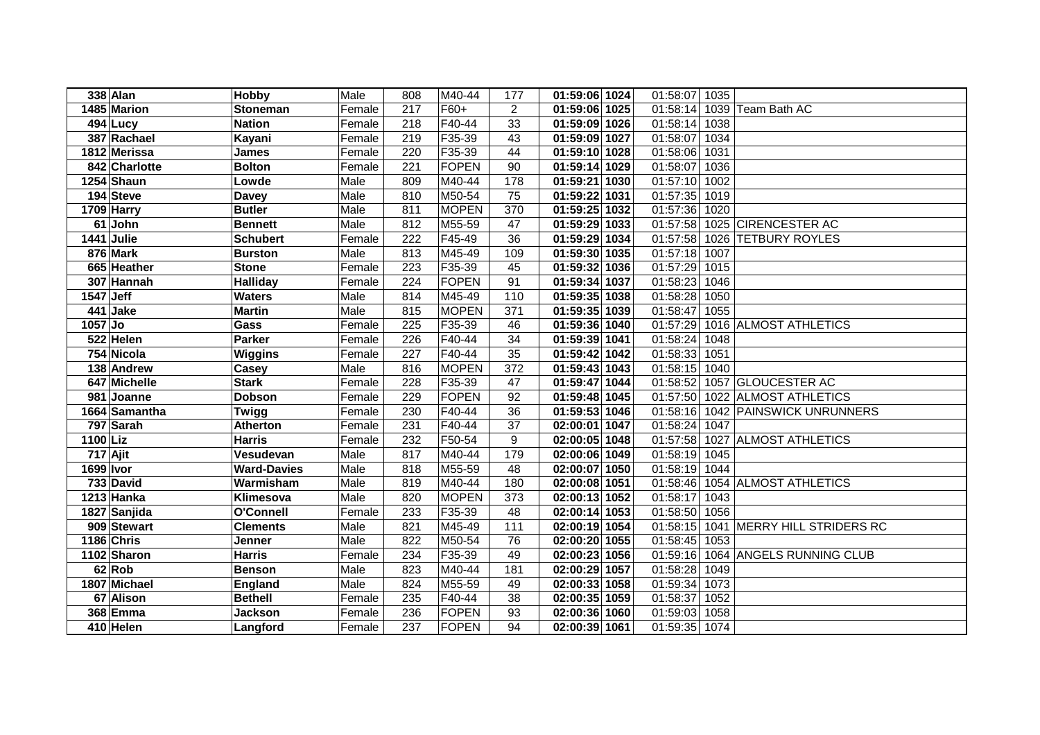|             | 338 Alan      | Hobby              | Male   | 808 | M40-44       | 177            | 01:59:06 1024 | 01:58:07<br>1035 |                                |
|-------------|---------------|--------------------|--------|-----|--------------|----------------|---------------|------------------|--------------------------------|
|             | 1485 Marion   | <b>Stoneman</b>    | Female | 217 | F60+         | $\overline{2}$ | 01:59:06 1025 | 01:58:14         | 1039 Team Bath AC              |
|             | $494$ Lucy    | <b>Nation</b>      | Female | 218 | $F40-44$     | 33             | 01:59:09 1026 | 01:58:14<br>1038 |                                |
|             | 387 Rachael   | Kayani             | Female | 219 | F35-39       | 43             | 01:59:09 1027 | 01:58:07<br>1034 |                                |
|             | 1812 Merissa  | <b>James</b>       | Female | 220 | F35-39       | 44             | 01:59:10 1028 | 01:58:06<br>1031 |                                |
|             | 842 Charlotte | <b>Bolton</b>      | Female | 221 | FOPEN        | 90             | 01:59:14 1029 | 01:58:07<br>1036 |                                |
|             | 1254 Shaun    | Lowde              | Male   | 809 | M40-44       | 178            | 01:59:21 1030 | 01:57:10<br>1002 |                                |
|             | 194 Steve     | <b>Davey</b>       | Male   | 810 | M50-54       | 75             | 01:59:22 1031 | 01:57:35<br>1019 |                                |
|             | 1709 Harry    | <b>Butler</b>      | Male   | 811 | <b>MOPEN</b> | 370            | 01:59:25 1032 | 01:57:36<br>1020 |                                |
|             | 61 John       | <b>Bennett</b>     | Male   | 812 | M55-59       | 47             | 01:59:29 1033 | 01:57:58         | 1025 CIRENCESTER AC            |
|             | 1441 Julie    | <b>Schubert</b>    | Female | 222 | F45-49       | 36             | 01:59:29 1034 | 01:57:58         | 1026 TETBURY ROYLES            |
|             | 876 Mark      | <b>Burston</b>     | Male   | 813 | M45-49       | 109            | 01:59:30 1035 | 01:57:18<br>1007 |                                |
|             | 665 Heather   | <b>Stone</b>       | Female | 223 | F35-39       | 45             | 01:59:32 1036 | 01:57:29<br>1015 |                                |
|             | 307 Hannah    | <b>Halliday</b>    | Female | 224 | FOPEN        | 91             | 01:59:34 1037 | 01:58:23<br>1046 |                                |
| $1547$ Jeff |               | <b>Waters</b>      | Male   | 814 | M45-49       | 110            | 01:59:35 1038 | 01:58:28<br>1050 |                                |
|             | 441 Jake      | <b>Martin</b>      | Male   | 815 | <b>MOPEN</b> | 371            | 01:59:35 1039 | 01:58:47<br>1055 |                                |
| 1057 Jo     |               | Gass               | Female | 225 | F35-39       | 46             | 01:59:36 1040 | 01:57:29         | 1016 ALMOST ATHLETICS          |
|             | 522 Helen     | <b>Parker</b>      | Female | 226 | F40-44       | 34             | 01:59:39 1041 | 01:58:24<br>1048 |                                |
|             | 754 Nicola    | <b>Wiggins</b>     | Female | 227 | F40-44       | 35             | 01:59:42 1042 | 01:58:33<br>1051 |                                |
|             | 138 Andrew    | Casey              | Male   | 816 | <b>MOPEN</b> | 372            | 01:59:43 1043 | 01:58:15<br>1040 |                                |
|             | 647 Michelle  | <b>Stark</b>       | Female | 228 | F35-39       | 47             | 01:59:47 1044 | 01:58:52         | 1057 GLOUCESTER AC             |
|             | 981 Joanne    | <b>Dobson</b>      | Female | 229 | <b>FOPEN</b> | 92             | 01:59:48 1045 | 01:57:50         | 1022 ALMOST ATHLETICS          |
|             | 1664 Samantha | Twigg              | Female | 230 | F40-44       | 36             | 01:59:53 1046 | 01:58:16         | 1042 PAINSWICK UNRUNNERS       |
|             | 797 Sarah     | <b>Atherton</b>    | Female | 231 | F40-44       | 37             | 02:00:01 1047 | 01:58:24<br>1047 |                                |
| $1100$ Liz  |               | <b>Harris</b>      | Female | 232 | F50-54       | 9              | 02:00:05 1048 | 01:57:58         | 1027 ALMOST ATHLETICS          |
|             | 717 Ajit      | Vesudevan          | Male   | 817 | M40-44       | 179            | 02:00:06 1049 | 01:58:19<br>1045 |                                |
| 1699 Ivor   |               | <b>Ward-Davies</b> | Male   | 818 | M55-59       | 48             | 02:00:07 1050 | 01:58:19<br>1044 |                                |
|             | 733 David     | Warmisham          | Male   | 819 | M40-44       | 180            | 02:00:08 1051 |                  | 01:58:46 1054 ALMOST ATHLETICS |
|             | 1213 Hanka    | Klimesova          | Male   | 820 | <b>MOPEN</b> | 373            | 02:00:13 1052 | 01:58:17<br>1043 |                                |
|             | 1827 Sanjida  | O'Connell          | Female | 233 | F35-39       | 48             | 02:00:14 1053 | 01:58:50<br>1056 |                                |
|             | 909 Stewart   | <b>Clements</b>    | Male   | 821 | M45-49       | 111            | 02:00:19 1054 | 01:58:15         | 1041 MERRY HILL STRIDERS RC    |
|             | 1186 Chris    | Jenner             | Male   | 822 | M50-54       | 76             | 02:00:20 1055 | 01:58:45<br>1053 |                                |
|             | 1102 Sharon   | <b>Harris</b>      | Female | 234 | F35-39       | 49             | 02:00:23 1056 | 01:59:16         | 1064 ANGELS RUNNING CLUB       |
|             | 62 Rob        | <b>Benson</b>      | Male   | 823 | M40-44       | 181            | 02:00:29 1057 | 01:58:28<br>1049 |                                |
|             | 1807 Michael  | England            | Male   | 824 | M55-59       | 49             | 02:00:33 1058 | 01:59:34<br>1073 |                                |
|             | 67 Alison     | <b>Bethell</b>     | Female | 235 | F40-44       | 38             | 02:00:35 1059 | 01:58:37<br>1052 |                                |
|             | 368 Emma      | <b>Jackson</b>     | Female | 236 | FOPEN        | 93             | 02:00:36 1060 | 1058<br>01:59:03 |                                |
|             | 410 Helen     | Langford           | Female | 237 | FOPEN        | 94             | 02:00:39 1061 | 01:59:35<br>1074 |                                |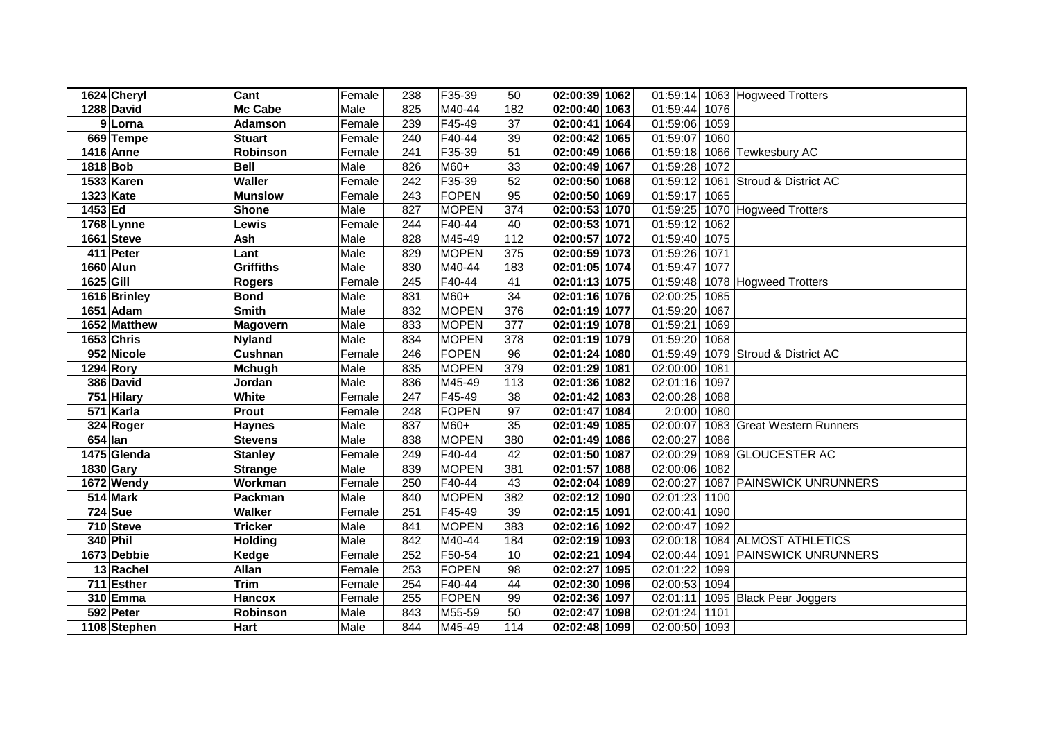|           | 1624 Cheryl          | Cant             | Female | 238              | F35-39       | 50  | 02:00:39 1062              | 01:59:14      |      | 1063 Hogweed Trotters      |
|-----------|----------------------|------------------|--------|------------------|--------------|-----|----------------------------|---------------|------|----------------------------|
|           | 1288 David           | Mc Cabe          | Male   | 825              | M40-44       | 182 | 02:00:40 1063              | 01:59:44      | 1076 |                            |
|           | $\overline{9}$ Lorna | <b>Adamson</b>   | Female | 239              | F45-49       | 37  | 02:00:41 1064              | 01:59:06      | 1059 |                            |
|           | 669 Tempe            | <b>Stuart</b>    | Female | 240              | $F40-44$     | 39  | 02:00:42 1065              | 01:59:07      | 1060 |                            |
|           | 1416 Anne            | Robinson         | Female | 241              | F35-39       | 51  | 02:00:49 1066              | 01:59:18      |      | 1066 Tewkesbury AC         |
| 1818 Bob  |                      | <b>Bell</b>      | Male   | 826              | M60+         | 33  | 02:00:49 1067              | 01:59:28      | 1072 |                            |
|           | 1533 Karen           | <b>Waller</b>    | Female | $\overline{242}$ | F35-39       | 52  | 02:00:50 1068              | 01:59:12      |      | 1061 Stroud & District AC  |
|           | <b>1323 Kate</b>     | <b>Munslow</b>   | Female | $\overline{243}$ | FOPEN        | 95  | 02:00:50 1069              | 01:59:17      | 1065 |                            |
| 1453 Ed   |                      | <b>Shone</b>     | Male   | 827              | <b>MOPEN</b> | 374 | $\overline{02:00:53 1070}$ | 01:59:25      |      | 1070 Hogweed Trotters      |
|           | 1768 Lynne           | Lewis            | Female | 244              | F40-44       | 40  | 02:00:53 1071              | 01:59:12      | 1062 |                            |
|           | 1661 Steve           | Ash              | Male   | 828              | M45-49       | 112 | 02:00:57 1072              | 01:59:40      | 1075 |                            |
|           | 411 Peter            | Lant             | Male   | 829              | <b>MOPEN</b> | 375 | 02:00:59 1073              | 01:59:26      | 1071 |                            |
|           | 1660 Alun            | <b>Griffiths</b> | Male   | 830              | M40-44       | 183 | 02:01:05 1074              | 01:59:47      | 1077 |                            |
| 1625 Gill |                      | <b>Rogers</b>    | Female | 245              | F40-44       | 41  | 02:01:13 1075              | 01:59:48      |      | 1078 Hogweed Trotters      |
|           | 1616 Brinley         | <b>Bond</b>      | Male   | 831              | M60+         | 34  | 02:01:16 1076              | 02:00:25      | 1085 |                            |
|           | 1651 Adam            | <b>Smith</b>     | Male   | 832              | <b>MOPEN</b> | 376 | 02:01:19 1077              | 01:59:20      | 1067 |                            |
|           | 1652 Matthew         | <b>Magovern</b>  | Male   | 833              | <b>MOPEN</b> | 377 | 02:01:19 1078              | 01:59:21      | 1069 |                            |
|           | 1653 Chris           | <b>Nyland</b>    | Male   | 834              | <b>MOPEN</b> | 378 | 02:01:19 1079              | 01:59:20      | 1068 |                            |
|           | 952 Nicole           | Cushnan          | Female | 246              | FOPEN        | 96  | 02:01:24 1080              | 01:59:49      |      | 1079 Stroud & District AC  |
|           | 1294 Rory            | Mchugh           | Male   | 835              | <b>MOPEN</b> | 379 | 02:01:29 1081              | 02:00:00      | 1081 |                            |
|           | 386 David            | Jordan           | Male   | 836              | M45-49       | 113 | 02:01:36 1082              | 02:01:16      | 1097 |                            |
|           | 751 Hilary           | White            | Female | 247              | F45-49       | 38  | 02:01:42 1083              | 02:00:28      | 1088 |                            |
|           | 571 Karla            | Prout            | Female | 248              | FOPEN        | 97  | 02:01:47 1084              | 2:0:00        | 1080 |                            |
|           | 324 Roger            | <b>Haynes</b>    | Male   | 837              | M60+         | 35  | 02:01:49 1085              | 02:00:07      |      | 1083 Great Western Runners |
| 654 Ian   |                      | <b>Stevens</b>   | Male   | 838              | <b>MOPEN</b> | 380 | 02:01:49 1086              | 02:00:27      | 1086 |                            |
|           | 1475 Glenda          | <b>Stanley</b>   | Female | 249              | F40-44       | 42  | 02:01:50 1087              | 02:00:29      |      | 1089 GLOUCESTER AC         |
|           | 1830 Gary            | <b>Strange</b>   | Male   | 839              | <b>MOPEN</b> | 381 | 02:01:57 1088              | 02:00:06      | 1082 |                            |
|           | 1672 Wendy           | Workman          | Female | 250              | F40-44       | 43  | 02:02:04 1089              | 02:00:27      |      | 1087 PAINSWICK UNRUNNERS   |
|           | 514 Mark             | Packman          | Male   | 840              | <b>MOPEN</b> | 382 | 02:02:12 1090              | 02:01:23      | 1100 |                            |
|           | <b>724</b> Sue       | <b>Walker</b>    | Female | 251              | F45-49       | 39  | 02:02:15 1091              | 02:00:41      | 1090 |                            |
|           | 710 Steve            | <b>Tricker</b>   | Male   | 841              | <b>MOPEN</b> | 383 | 02:02:16 1092              | 02:00:47      | 1092 |                            |
|           | 340 Phil             | <b>Holding</b>   | Male   | 842              | M40-44       | 184 | 02:02:19 1093              | 02:00:18      |      | 1084 ALMOST ATHLETICS      |
|           | 1673 Debbie          | Kedge            | Female | 252              | F50-54       | 10  | 02:02:21 1094              | 02:00:44      |      | 1091 PAINSWICK UNRUNNERS   |
|           | 13 Rachel            | Allan            | Female | 253              | FOPEN        | 98  | 02:02:27 1095              | 02:01:22      | 1099 |                            |
|           | 711 Esther           | <b>Trim</b>      | Female | 254              | F40-44       | 44  | 02:02:30 1096              | 02:00:53      | 1094 |                            |
|           | 310 Emma             | <b>Hancox</b>    | Female | 255              | FOPEN        | 99  | 02:02:36 1097              | 02:01:11      |      | 1095 Black Pear Joggers    |
|           | 592 Peter            | Robinson         | Male   | 843              | M55-59       | 50  | 02:02:47 1098              | 02:01:24      | 1101 |                            |
|           | 1108 Stephen         | Hart             | Male   | 844              | M45-49       | 114 | 02:02:48 1099              | 02:00:50 1093 |      |                            |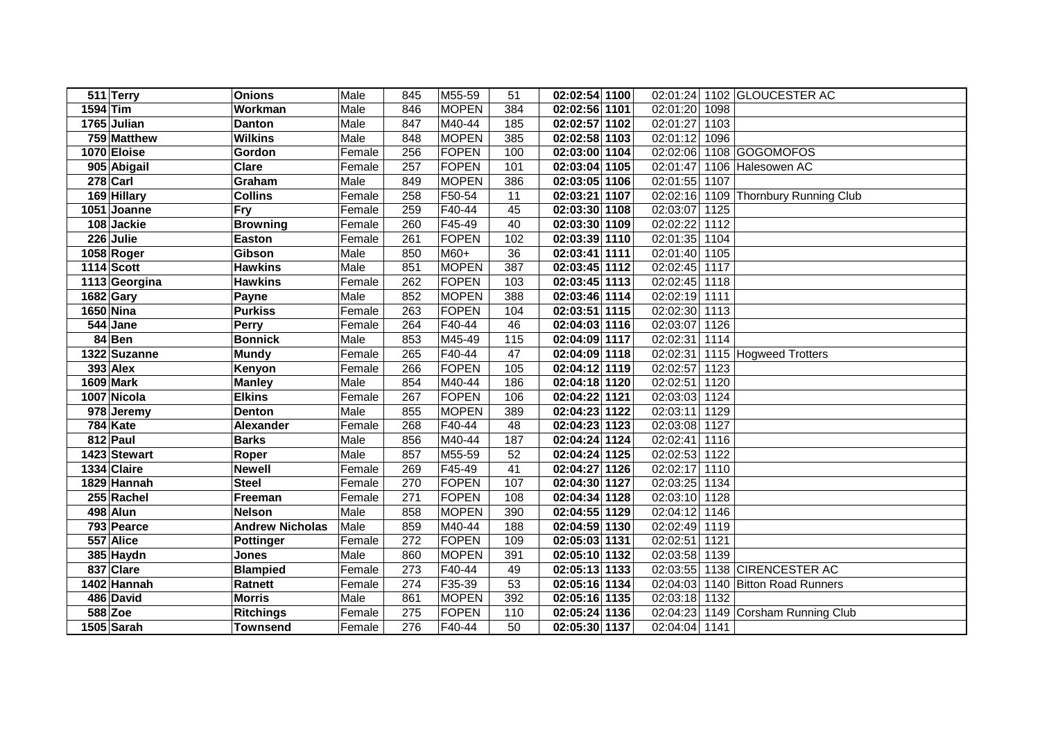| 511 Terry        | <b>Onions</b>          | Male   | 845 | M55-59       | 51  | 02:02:54 1100              |                  | 02:01:24 1102 GLOUCESTER AC          |
|------------------|------------------------|--------|-----|--------------|-----|----------------------------|------------------|--------------------------------------|
| 1594 Tim         | Workman                | Male   | 846 | <b>MOPEN</b> | 384 | 02:02:56 1101              | 02:01:20<br>1098 |                                      |
| 1765 Julian      | <b>Danton</b>          | Male   | 847 | M40-44       | 185 | 02:02:57 1102              | 02:01:27<br>1103 |                                      |
| 759 Matthew      | <b>Wilkins</b>         | Male   | 848 | <b>MOPEN</b> | 385 | 02:02:58 1103              | 02:01:12<br>1096 |                                      |
| 1070 Eloise      | Gordon                 | Female | 256 | FOPEN        | 100 | 02:03:00 1104              | 02:02:06         | 1108 GOGOMOFOS                       |
| 905 Abigail      | <b>Clare</b>           | Female | 257 | FOPEN        | 101 | 02:03:04 1105              | 02:01:47         | 1106 Halesowen AC                    |
| 278 Carl         | Graham                 | Male   | 849 | <b>MOPEN</b> | 386 | 02:03:05 1106              | 02:01:55<br>1107 |                                      |
| 169 Hillary      | <b>Collins</b>         | Female | 258 | F50-54       | 11  | 02:03:21 1107              |                  | 02:02:16 1109 Thornbury Running Club |
| 1051 Joanne      | <b>Fry</b>             | Female | 259 | F40-44       | 45  | 02:03:30 1108              | 02:03:07<br>1125 |                                      |
| 108 Jackie       | <b>Browning</b>        | Female | 260 | F45-49       | 40  | 02:03:30 1109              | 02:02:22<br>1112 |                                      |
| 226 Julie        | Easton                 | Female | 261 | FOPEN        | 102 | 02:03:39 1110              | 02:01:35<br>1104 |                                      |
| 1058 Roger       | Gibson                 | Male   | 850 | $M60+$       | 36  | 02:03:41 1111              | 02:01:40<br>1105 |                                      |
| 1114 Scott       | <b>Hawkins</b>         | Male   | 851 | <b>MOPEN</b> | 387 | 02:03:45 1112              | 02:02:45<br>1117 |                                      |
| 1113 Georgina    | <b>Hawkins</b>         | Female | 262 | FOPEN        | 103 | $\overline{02:}03:45$ 1113 | 02:02:45<br>1118 |                                      |
| 1682 Gary        | Payne                  | Male   | 852 | <b>MOPEN</b> | 388 | 02:03:46 1114              | 02:02:19<br>1111 |                                      |
| 1650 Nina        | <b>Purkiss</b>         | Female | 263 | FOPEN        | 104 | 02:03:51 1115              | 02:02:30<br>1113 |                                      |
| 544 Jane         | Perry                  | Female | 264 | F40-44       | 46  | 02:04:03 1116              | 02:03:07<br>1126 |                                      |
| 84 Ben           | <b>Bonnick</b>         | Male   | 853 | M45-49       | 115 | 02:04:09 1117              | 02:02:31<br>1114 |                                      |
| 1322 Suzanne     | <b>Mundy</b>           | Female | 265 | F40-44       | 47  | 02:04:09 1118              | 02:02:31         | 1115 Hogweed Trotters                |
| <b>393 Alex</b>  | Kenyon                 | Female | 266 | FOPEN        | 105 | 02:04:12 1119              | 02:02:57<br>1123 |                                      |
| <b>1609 Mark</b> | <b>Manley</b>          | Male   | 854 | M40-44       | 186 | 02:04:18 1120              | 02:02:51<br>1120 |                                      |
| 1007 Nicola      | <b>Elkins</b>          | Female | 267 | FOPEN        | 106 | 02:04:22 1121              | 02:03:03<br>1124 |                                      |
| 978 Jeremy       | <b>Denton</b>          | Male   | 855 | <b>MOPEN</b> | 389 | 02:04:23 1122              | 02:03:11<br>1129 |                                      |
| 784 Kate         | Alexander              | Female | 268 | F40-44       | 48  | 02:04:23 1123              | 02:03:08<br>1127 |                                      |
| 812 Paul         | <b>Barks</b>           | Male   | 856 | M40-44       | 187 | 02:04:24 1124              | 02:02:41<br>1116 |                                      |
| 1423 Stewart     | Roper                  | Male   | 857 | M55-59       | 52  | 02:04:24 1125              | 02:02:53<br>1122 |                                      |
| 1334 Claire      | <b>Newell</b>          | Female | 269 | F45-49       | 41  | 02:04:27 1126              | 02:02:17<br>1110 |                                      |
| 1829 Hannah      | <b>Steel</b>           | Female | 270 | FOPEN        | 107 | 02:04:30 1127              | 02:03:25<br>1134 |                                      |
| 255 Rachel       | Freeman                | Female | 271 | FOPEN        | 108 | 02:04:34 1128              | 02:03:10 1128    |                                      |
| 498 Alun         | <b>Nelson</b>          | Male   | 858 | <b>MOPEN</b> | 390 | 02:04:55 1129              | 02:04:12<br>1146 |                                      |
| 793 Pearce       | <b>Andrew Nicholas</b> | Male   | 859 | M40-44       | 188 | 02:04:59 1130              | 02:02:49<br>1119 |                                      |
| 557 Alice        | <b>Pottinger</b>       | Female | 272 | FOPEN        | 109 | 02:05:03 1131              | 02:02:51<br>1121 |                                      |
| 385 Haydn        | Jones                  | Male   | 860 | <b>MOPEN</b> | 391 | 02:05:10 1132              | 02:03:58<br>1139 |                                      |
| 837 Clare        | <b>Blampied</b>        | Female | 273 | F40-44       | 49  | 02:05:13 1133              | 02:03:55         | 1138 CIRENCESTER AC                  |
| 1402 Hannah      | Ratnett                | Female | 274 | F35-39       | 53  | 02:05:16 1134              | 02:04:03         | 1140 Bitton Road Runners             |
| 486 David        | <b>Morris</b>          | Male   | 861 | <b>MOPEN</b> | 392 | 02:05:16 1135              | 02:03:18<br>1132 |                                      |
| 588 Zoe          | <b>Ritchings</b>       | Female | 275 | FOPEN        | 110 | 02:05:24 1136              | 02:04:23         | 1149 Corsham Running Club            |
| 1505 Sarah       | <b>Townsend</b>        | Female | 276 | F40-44       | 50  | 02:05:30 1137              | 02:04:04<br>1141 |                                      |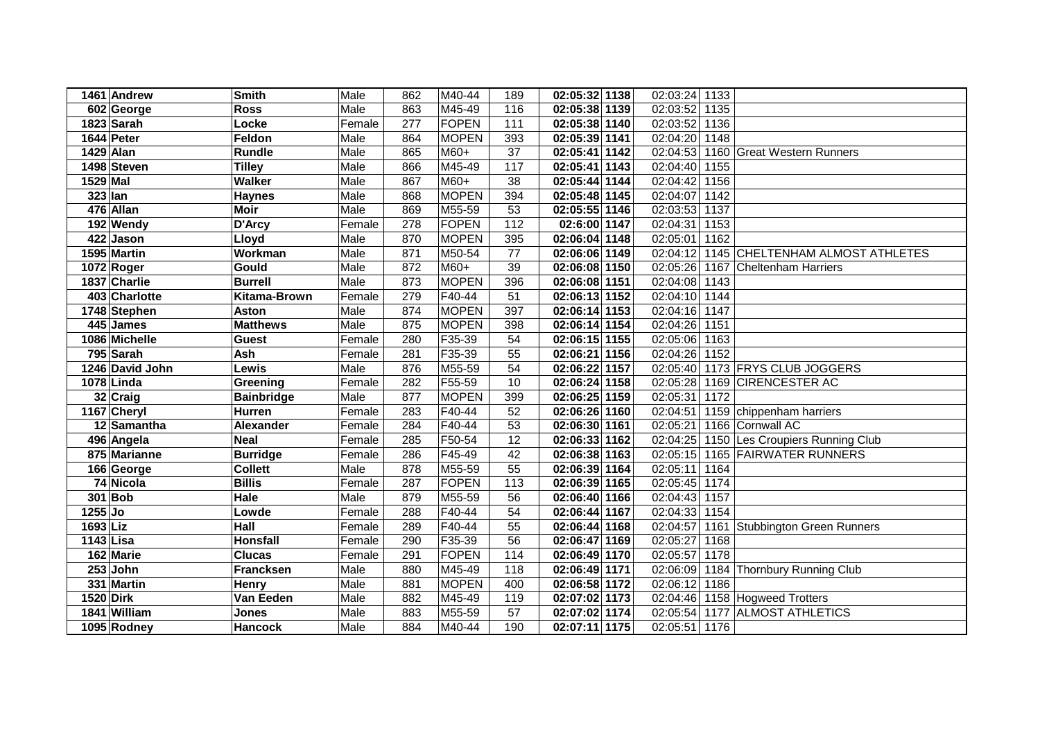|           | 1461 Andrew                | <b>Smith</b>      | Male   | 862 | M40-44       | 189             | 02:05:32 1138 | 02:03:24 1133         |                                          |
|-----------|----------------------------|-------------------|--------|-----|--------------|-----------------|---------------|-----------------------|------------------------------------------|
|           | 602 George                 | <b>Ross</b>       | Male   | 863 | M45-49       | 116             | 02:05:38 1139 | 02:03:52 1135         |                                          |
|           | 1823 Sarah                 | Locke             | Female | 277 | <b>FOPEN</b> | 111             | 02:05:38 1140 | 02:03:52              | 1136                                     |
|           | 1644 Peter                 | Feldon            | Male   | 864 | <b>MOPEN</b> | 393             | 02:05:39 1141 | 02:04:20              | 1148                                     |
| 1429 Alan |                            | <b>Rundle</b>     | Male   | 865 | M60+         | $\overline{37}$ | 02:05:41 1142 | 02:04:53              | 1160 Great Western Runners               |
|           | 1498 Steven                | <b>Tilley</b>     | Male   | 866 | M45-49       | 117             | 02:05:41 1143 | 02:04:40 1155         |                                          |
| 1529 Mal  |                            | <b>Walker</b>     | Male   | 867 | M60+         | $\overline{38}$ | 02:05:44 1144 | 02:04:42              | 1156                                     |
| 323 Ian   |                            | <b>Haynes</b>     | Male   | 868 | <b>MOPEN</b> | 394             | 02:05:48 1145 | 02:04:07              | 1142                                     |
|           | 476 Allan                  | <b>Moir</b>       | Male   | 869 | M55-59       | 53              | 02:05:55 1146 | 02:03:53 1137         |                                          |
|           | 192 Wendy                  | D'Arcy            | Female | 278 | <b>FOPEN</b> | 112             | 02:6:00 1147  | 02:04:31              | 1153                                     |
|           | 422 Jason                  | Lloyd             | Male   | 870 | <b>MOPEN</b> | 395             | 02:06:04 1148 | 02:05:01              | 1162                                     |
|           | 1595 Martin                | Workman           | Male   | 871 | M50-54       | 77              | 02:06:06 1149 |                       | 02:04:12 1145 CHELTENHAM ALMOST ATHLETES |
|           | 1072 Roger                 | Gould             | Male   | 872 | $M60+$       | 39              | 02:06:08 1150 | 02:05:26              | 1167<br>Cheltenham Harriers              |
|           | 1837 Charlie               | <b>Burrell</b>    | Male   | 873 | <b>MOPEN</b> | 396             | 02:06:08 1151 | 02:04:08              | 1143                                     |
|           | 403 Charlotte              | Kitama-Brown      | Female | 279 | F40-44       | 51              | 02:06:13 1152 | 02:04:10 1144         |                                          |
|           | $\overline{17}$ 48 Stephen | <b>Aston</b>      | Male   | 874 | <b>MOPEN</b> | 397             | 02:06:14 1153 | 02:04:16 1147         |                                          |
|           | 445 James                  | <b>Matthews</b>   | Male   | 875 | <b>MOPEN</b> | 398             | 02:06:14 1154 | 02:04:26              | 1151                                     |
|           | 1086 Michelle              | <b>Guest</b>      | Female | 280 | F35-39       | 54              | 02:06:15 1155 | 02:05:06              | 1163                                     |
|           | 795 Sarah                  | Ash               | Female | 281 | F35-39       | 55              | 02:06:21 1156 | 02:04:26              | 1152                                     |
|           | 1246 David John            | Lewis             | Male   | 876 | M55-59       | 54              | 02:06:22 1157 | 02:05:40              | 1173 FRYS CLUB JOGGERS                   |
|           | 1078 Linda                 | Greening          | Female | 282 | F55-59       | 10              | 02:06:24 1158 | 02:05:28              | 1169 CIRENCESTER AC                      |
|           | 32 Craig                   | <b>Bainbridge</b> | Male   | 877 | <b>MOPEN</b> | 399             | 02:06:25 1159 | 02:05:31              | 1172                                     |
|           | 1167 Cheryl                | <b>Hurren</b>     | Female | 283 | F40-44       | 52              | 02:06:26 1160 | 02:04:51              | 1159 chippenham harriers                 |
|           | 12 Samantha                | Alexander         | Female | 284 | F40-44       | 53              | 02:06:30 1161 | 02:05:21              | 1166 Cornwall AC                         |
|           | 496 Angela                 | <b>Neal</b>       | Female | 285 | F50-54       | 12              | 02:06:33 1162 | 02:04:25              | 1150 Les Croupiers Running Club          |
|           | 875 Marianne               | <b>Burridge</b>   | Female | 286 | F45-49       | 42              | 02:06:38 1163 | 02:05:15              | 1165 FAIRWATER RUNNERS                   |
|           | 166 George                 | <b>Collett</b>    | Male   | 878 | M55-59       | 55              | 02:06:39 1164 | 02:05:11              | 1164                                     |
|           | 74 Nicola                  | <b>Billis</b>     | Female | 287 | <b>FOPEN</b> | 113             | 02:06:39 1165 | 02:05:45              | 1174                                     |
|           | $301$ Bob                  | <b>Hale</b>       | Male   | 879 | M55-59       | 56              | 02:06:40 1166 | 02:04:43              | 1157                                     |
| 1255 Jo   |                            | Lowde             | Female | 288 | F40-44       | 54              | 02:06:44 1167 | 02:04:33              | 1154                                     |
| 1693 Liz  |                            | Hall              | Female | 289 | F40-44       | 55              | 02:06:44 1168 | 02:04:57              | 1161 Stubbington Green Runners           |
| 1143 Lisa |                            | <b>Honsfall</b>   | Female | 290 | F35-39       | 56              | 02:06:47 1169 | 02:05:27              | 1168                                     |
|           | 162 Marie                  | <b>Clucas</b>     | Female | 291 | <b>FOPEN</b> | 114             | 02:06:49 1170 | 02:05:57              | 1178                                     |
|           | $253$ John                 | <b>Francksen</b>  | Male   | 880 | M45-49       | 118             | 02:06:49 1171 | $\overline{02:}06:09$ | 1184 Thornbury Running Club              |
|           | 331 Martin                 | Henry             | Male   | 881 | <b>MOPEN</b> | 400             | 02:06:58 1172 | 02:06:12              | 1186                                     |
| 1520 Dirk |                            | Van Eeden         | Male   | 882 | M45-49       | 119             | 02:07:02 1173 |                       | 02:04:46 1158 Hogweed Trotters           |
|           | 1841 William               | Jones             | Male   | 883 | M55-59       | 57              | 02:07:02 1174 | 02:05:54              | 1177 ALMOST ATHLETICS                    |
|           | 1095 Rodney                | <b>Hancock</b>    | Male   | 884 | M40-44       | 190             | 02:07:11 1175 | 02:05:51              | 1176                                     |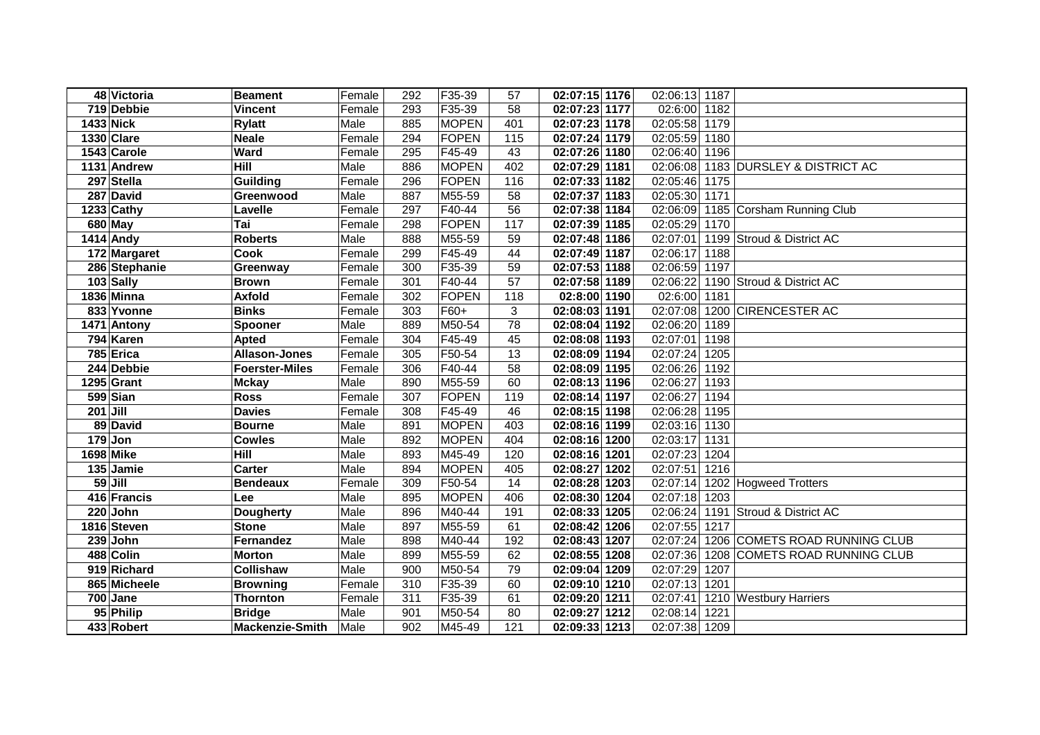|            | 48 Victoria      | <b>Beament</b>         | Female | 292 | F35-39       | 57  | 02:07:15 1176 | 02:06:13 1187         |      |                                     |
|------------|------------------|------------------------|--------|-----|--------------|-----|---------------|-----------------------|------|-------------------------------------|
|            | 719 Debbie       | <b>Vincent</b>         | Female | 293 | F35-39       | 58  | 02:07:23 1177 | 02:6:00 1182          |      |                                     |
| 1433 Nick  |                  | <b>Rylatt</b>          | Male   | 885 | <b>MOPEN</b> | 401 | 02:07:23 1178 | 02:05:58 1179         |      |                                     |
|            | 1330 Clare       | <b>Neale</b>           | Female | 294 | <b>FOPEN</b> | 115 | 02:07:24 1179 | 02:05:59 1180         |      |                                     |
|            | 1543 Carole      | Ward                   | Female | 295 | F45-49       | 43  | 02:07:26 1180 | 02:06:40 1196         |      |                                     |
|            | 1131 Andrew      | Hill                   | Male   | 886 | <b>MOPEN</b> | 402 | 02:07:29 1181 |                       |      | 02:06:08 1183 DURSLEY & DISTRICT AC |
|            | 297 Stella       | Guilding               | Female | 296 | <b>FOPEN</b> | 116 | 02:07:33 1182 | 02:05:46 1175         |      |                                     |
|            | 287 David        | Greenwood              | Male   | 887 | M55-59       | 58  | 02:07:37 1183 | 02:05:30 1171         |      |                                     |
|            | 1233 Cathy       | Lavelle                | Female | 297 | F40-44       | 56  | 02:07:38 1184 |                       |      | 02:06:09 1185 Corsham Running Club  |
|            | 680 May          | Tai                    | Female | 298 | <b>FOPEN</b> | 117 | 02:07:39 1185 | 02:05:29 1170         |      |                                     |
|            | 1414 Andy        | <b>Roberts</b>         | Male   | 888 | M55-59       | 59  | 02:07:48 1186 | 02:07:01              |      | 1199 Stroud & District AC           |
|            | 172 Margaret     | <b>Cook</b>            | Female | 299 | F45-49       | 44  | 02:07:49 1187 | 02:06:17              | 1188 |                                     |
|            | 286 Stephanie    | Greenway               | Female | 300 | F35-39       | 59  | 02:07:53 1188 | 02:06:59 1197         |      |                                     |
|            | 103 Sally        | <b>Brown</b>           | Female | 301 | F40-44       | 57  | 02:07:58 1189 |                       |      | 02:06:22 1190 Stroud & District AC  |
|            | 1836 Minna       | <b>Axfold</b>          | Female | 302 | <b>FOPEN</b> | 118 | 02:8:00 1190  | 02:6:00 1181          |      |                                     |
|            | 833 Yvonne       | <b>Binks</b>           | Female | 303 | F60+         | 3   | 02:08:03 1191 | 02:07:08              |      | 1200 CIRENCESTER AC                 |
|            | 1471 Antony      | <b>Spooner</b>         | Male   | 889 | M50-54       | 78  | 02:08:04 1192 | 02:06:20 1189         |      |                                     |
|            | 794 Karen        | <b>Apted</b>           | Female | 304 | F45-49       | 45  | 02:08:08 1193 | 02:07:01              | 1198 |                                     |
|            | 785 Erica        | <b>Allason-Jones</b>   | Female | 305 | F50-54       | 13  | 02:08:09 1194 | 02:07:24              | 1205 |                                     |
|            | 244 Debbie       | <b>Foerster-Miles</b>  | Female | 306 | F40-44       | 58  | 02:08:09 1195 | 02:06:26              | 1192 |                                     |
|            | 1295 Grant       | <b>Mckay</b>           | Male   | 890 | M55-59       | 60  | 02:08:13 1196 | $\overline{02:}06:27$ | 1193 |                                     |
|            | 599 Sian         | <b>Ross</b>            | Female | 307 | <b>FOPEN</b> | 119 | 02:08:14 1197 | 02:06:27              | 1194 |                                     |
| $201$ Jill |                  | <b>Davies</b>          | Female | 308 | F45-49       | 46  | 02:08:15 1198 | 02:06:28              | 1195 |                                     |
|            | 89 David         | <b>Bourne</b>          | Male   | 891 | <b>MOPEN</b> | 403 | 02:08:16 1199 | 02:03:16 1130         |      |                                     |
|            | $179$ Jon        | <b>Cowles</b>          | Male   | 892 | <b>MOPEN</b> | 404 | 02:08:16 1200 | 02:03:17              | 1131 |                                     |
|            | <b>1698 Mike</b> | Hill                   | Male   | 893 | M45-49       | 120 | 02:08:16 1201 | 02:07:23              | 1204 |                                     |
|            | 135 Jamie        | Carter                 | Male   | 894 | <b>MOPEN</b> | 405 | 02:08:27 1202 | 02:07:51              | 1216 |                                     |
|            | $59$ Jill        | <b>Bendeaux</b>        | Female | 309 | F50-54       | 14  | 02:08:28 1203 | 02:07:14              |      | 1202 Hogweed Trotters               |
|            | 416 Francis      | Lee                    | Male   | 895 | <b>MOPEN</b> | 406 | 02:08:30 1204 | 02:07:18 1203         |      |                                     |
|            | 220 John         | <b>Dougherty</b>       | Male   | 896 | M40-44       | 191 | 02:08:33 1205 |                       |      | 02:06:24 1191 Stroud & District AC  |
|            | 1816 Steven      | <b>Stone</b>           | Male   | 897 | M55-59       | 61  | 02:08:42 1206 | 02:07:55 1217         |      |                                     |
|            | $239$ John       | Fernandez              | Male   | 898 | M40-44       | 192 | 02:08:43 1207 | 02:07:24              |      | 1206 COMETS ROAD RUNNING CLUB       |
|            | 488 Colin        | <b>Morton</b>          | Male   | 899 | M55-59       | 62  | 02:08:55 1208 | 02:07:36              |      | 1208 COMETS ROAD RUNNING CLUB       |
|            | 919 Richard      | Collishaw              | Male   | 900 | M50-54       | 79  | 02:09:04 1209 | 02:07:29              | 1207 |                                     |
|            | 865 Micheele     | <b>Browning</b>        | Female | 310 | F35-39       | 60  | 02:09:10 1210 | 02:07:13              | 1201 |                                     |
|            | $700$ Jane       | <b>Thornton</b>        | Female | 311 | F35-39       | 61  | 02:09:20 1211 | 02:07:41              |      | 1210 Westbury Harriers              |
|            | 95 Philip        | <b>Bridge</b>          | Male   | 901 | M50-54       | 80  | 02:09:27 1212 | 02:08:14              | 1221 |                                     |
|            | 433 Robert       | <b>Mackenzie-Smith</b> | Male   | 902 | M45-49       | 121 | 02:09:33 1213 | 02:07:38 1209         |      |                                     |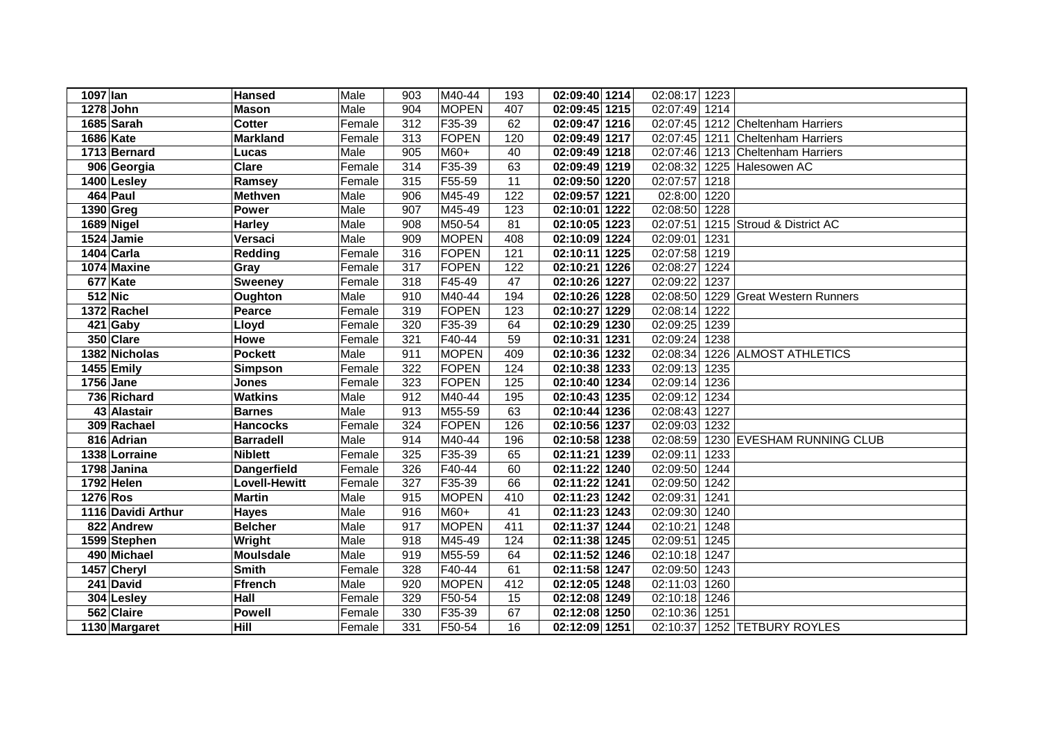| 1097 lan           | <b>Hansed</b>        | Male   | 903              | M40-44       | 193             | 02:09:40 1214 | 02:08:17<br>1223 |                              |
|--------------------|----------------------|--------|------------------|--------------|-----------------|---------------|------------------|------------------------------|
| 1278 John          | <b>Mason</b>         | Male   | 904              | <b>MOPEN</b> | 407             | 02:09:45 1215 | 02:07:49<br>1214 |                              |
| 1685 Sarah         | <b>Cotter</b>        | Female | $\overline{312}$ | F35-39       | 62              | 02:09:47 1216 | 02:07:45         | 1212 Cheltenham Harriers     |
| <b>1686 Kate</b>   | <b>Markland</b>      | Female | 313              | FOPEN        | 120             | 02:09:49 1217 | 02:07:45         | 1211 Cheltenham Harriers     |
| 1713 Bernard       | Lucas                | Male   | 905              | M60+         | 40              | 02:09:49 1218 | 02:07:46         | 1213 Cheltenham Harriers     |
| 906 Georgia        | <b>Clare</b>         | Female | 314              | F35-39       | 63              | 02:09:49 1219 | 02:08:32         | 1225 Halesowen AC            |
| 1400 Lesley        | Ramsey               | Female | 315              | F55-59       | 11              | 02:09:50 1220 | 02:07:57<br>1218 |                              |
| 464 Paul           | <b>Methven</b>       | Male   | 906              | M45-49       | 122             | 02:09:57 1221 | 02:8:00<br>1220  |                              |
| 1390 Greg          | <b>Power</b>         | Male   | 907              | M45-49       | 123             | 02:10:01 1222 | 02:08:50<br>1228 |                              |
| 1689 Nigel         | <b>Harley</b>        | Male   | 908              | M50-54       | 81              | 02:10:05 1223 | 02:07:51         | 1215 Stroud & District AC    |
| 1524 Jamie         | Versaci              | Male   | 909              | <b>MOPEN</b> | 408             | 02:10:09 1224 | 02:09:01<br>1231 |                              |
| 1404 Carla         | <b>Redding</b>       | Female | 316              | FOPEN        | 121             | 02:10:11 1225 | 02:07:58<br>1219 |                              |
| 1074 Maxine        | Gray                 | Female | 317              | FOPEN        | 122             | 02:10:21 1226 | 02:08:27<br>1224 |                              |
| 677 Kate           | <b>Sweeney</b>       | Female | 318              | F45-49       | 47              | 02:10:26 1227 | 02:09:22<br>1237 |                              |
| 512 Nic            | Oughton              | Male   | 910              | M40-44       | 194             | 02:10:26 1228 | 02:08:50         | 1229 Great Western Runners   |
| 1372 Rachel        | Pearce               | Female | 319              | FOPEN        | 123             | 02:10:27 1229 | 02:08:14<br>1222 |                              |
| 421 Gaby           | Lloyd                | Female | 320              | F35-39       | 64              | 02:10:29 1230 | 02:09:25<br>1239 |                              |
| 350 Clare          | Howe                 | Female | 321              | F40-44       | 59              | 02:10:31 1231 | 02:09:24<br>1238 |                              |
| 1382 Nicholas      | <b>Pockett</b>       | Male   | 911              | <b>MOPEN</b> | 409             | 02:10:36 1232 | 02:08:34         | 1226 ALMOST ATHLETICS        |
| 1455 Emily         | <b>Simpson</b>       | Female | 322              | FOPEN        | 124             | 02:10:38 1233 | 02:09:13<br>1235 |                              |
| 1756 Jane          | Jones                | Female | 323              | FOPEN        | 125             | 02:10:40 1234 | 1236<br>02:09:14 |                              |
| 736 Richard        | <b>Watkins</b>       | Male   | 912              | M40-44       | 195             | 02:10:43 1235 | 02:09:12<br>1234 |                              |
| 43 Alastair        | <b>Barnes</b>        | Male   | 913              | M55-59       | 63              | 02:10:44 1236 | 02:08:43<br>1227 |                              |
| 309 Rachael        | <b>Hancocks</b>      | Female | 324              | FOPEN        | 126             | 02:10:56 1237 | 1232<br>02:09:03 |                              |
| 816 Adrian         | <b>Barradell</b>     | Male   | 914              | M40-44       | 196             | 02:10:58 1238 | 02:08:59         | 1230 EVESHAM RUNNING CLUB    |
| 1338 Lorraine      | <b>Niblett</b>       | Female | 325              | F35-39       | 65              | 02:11:21 1239 | 02:09:11<br>1233 |                              |
| 1798 Janina        | <b>Dangerfield</b>   | Female | 326              | F40-44       | 60              | 02:11:22 1240 | 02:09:50<br>1244 |                              |
| 1792 Helen         | <b>Lovell-Hewitt</b> | Female | 327              | F35-39       | 66              | 02:11:22 1241 | 02:09:50<br>1242 |                              |
| 1276 Ros           | <b>Martin</b>        | Male   | 915              | <b>MOPEN</b> | 410             | 02:11:23 1242 | 02:09:31<br>1241 |                              |
| 1116 Davidi Arthur | <b>Hayes</b>         | Male   | 916              | M60+         | $\overline{41}$ | 02:11:23 1243 | 02:09:30<br>1240 |                              |
| 822 Andrew         | <b>Belcher</b>       | Male   | 917              | <b>MOPEN</b> | 411             | 02:11:37 1244 | 02:10:21<br>1248 |                              |
| 1599 Stephen       | Wright               | Male   | 918              | M45-49       | 124             | 02:11:38 1245 | 02:09:51<br>1245 |                              |
| 490 Michael        | <b>Moulsdale</b>     | Male   | 919              | M55-59       | 64              | 02:11:52 1246 | 02:10:18<br>1247 |                              |
| 1457 Cheryl        | <b>Smith</b>         | Female | 328              | F40-44       | 61              | 02:11:58 1247 | 02:09:50<br>1243 |                              |
| 241 David          | <b>Ffrench</b>       | Male   | 920              | <b>MOPEN</b> | 412             | 02:12:05 1248 | 02:11:03<br>1260 |                              |
| 304 Lesley         | Hall                 | Female | 329              | F50-54       | 15              | 02:12:08 1249 | 02:10:18<br>1246 |                              |
| 562 Claire         | <b>Powell</b>        | Female | 330              | F35-39       | 67              | 02:12:08 1250 | 02:10:36<br>1251 |                              |
| 1130 Margaret      | Hill                 | Female | 331              | F50-54       | 16              | 02:12:09 1251 |                  | 02:10:37 1252 TETBURY ROYLES |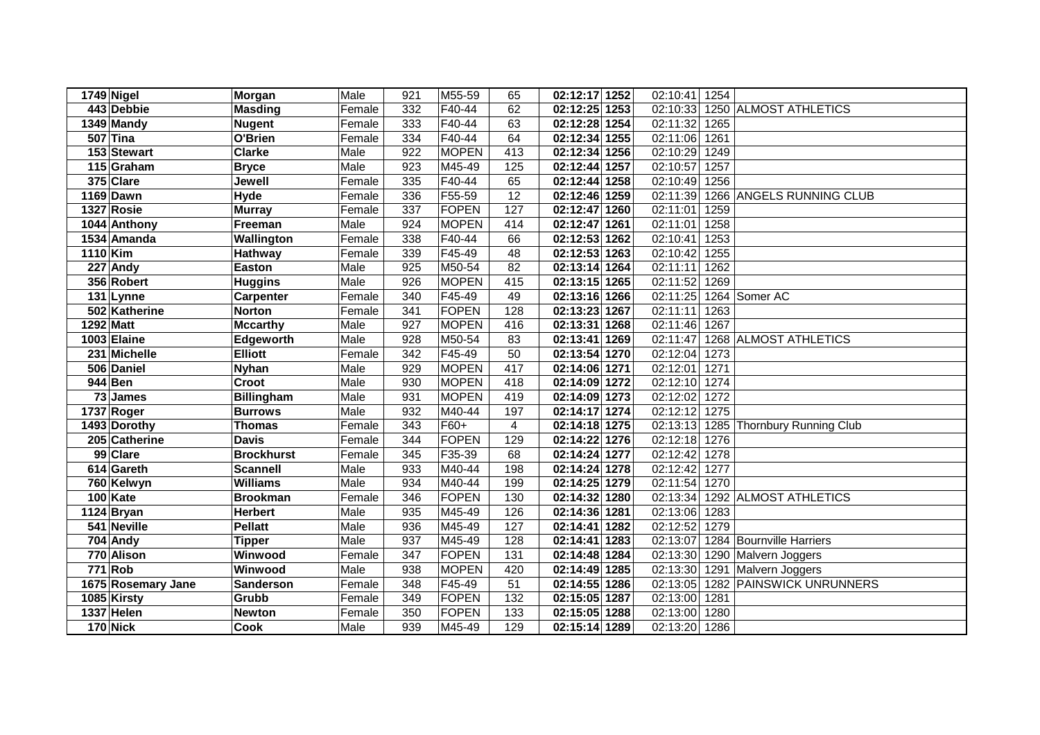|          | 1749 Nigel         | <b>Morgan</b>     | Male   | 921              | M55-59       | 65               | 02:12:17 1252 | 02:10:41              | 1254 |                             |
|----------|--------------------|-------------------|--------|------------------|--------------|------------------|---------------|-----------------------|------|-----------------------------|
|          | 443 Debbie         | <b>Masding</b>    | Female | 332              | F40-44       | 62               | 02:12:25 1253 | 02:10:33              |      | 1250 ALMOST ATHLETICS       |
|          | 1349 Mandy         | <b>Nugent</b>     | Female | $\frac{1}{333}$  | F40-44       | 63               | 02:12:28 1254 | 02:11:32              | 1265 |                             |
|          | 507 Tina           | O'Brien           | Female | 334              | F40-44       | 64               | 02:12:34 1255 | 02:11:06              | 1261 |                             |
|          | 153 Stewart        | <b>Clarke</b>     | Male   | 922              | <b>MOPEN</b> | $\overline{413}$ | 02:12:34 1256 | 02:10:29              | 1249 |                             |
|          | 115 Graham         | <b>Bryce</b>      | Male   | $\overline{923}$ | M45-49       | 125              | 02:12:44 1257 | 02:10:57              | 1257 |                             |
|          | 375 Clare          | Jewell            | Female | 335              | F40-44       | 65               | 02:12:44 1258 | 02:10:49              | 1256 |                             |
|          | <b>1169 Dawn</b>   | <b>Hyde</b>       | Female | 336              | F55-59       | 12               | 02:12:46 1259 | 02:11:39              |      | 1266 ANGELS RUNNING CLUB    |
|          | 1327 Rosie         | <b>Murray</b>     | Female | 337              | FOPEN        | 127              | 02:12:47 1260 | 02:11:01              | 1259 |                             |
|          | 1044 Anthony       | Freeman           | Male   | 924              | <b>MOPEN</b> | 414              | 02:12:47 1261 | $\overline{02:}11:01$ | 1258 |                             |
|          | 1534 Amanda        | Wallington        | Female | 338              | F40-44       | 66               | 02:12:53 1262 | 02:10:41              | 1253 |                             |
| 1110 Kim |                    | Hathway           | Female | 339              | F45-49       | 48               | 02:12:53 1263 | 02:10:42              | 1255 |                             |
|          | 227 Andy           | <b>Easton</b>     | Male   | 925              | M50-54       | 82               | 02:13:14 1264 | 02:11:11              | 1262 |                             |
|          | 356 Robert         | <b>Huggins</b>    | Male   | 926              | <b>MOPEN</b> | 415              | 02:13:15 1265 | 02:11:52              | 1269 |                             |
|          | 131 Lynne          | <b>Carpenter</b>  | Female | 340              | F45-49       | 49               | 02:13:16 1266 | 02:11:25              |      | 1264 Somer AC               |
|          | 502 Katherine      | <b>Norton</b>     | Female | 341              | FOPEN        | 128              | 02:13:23 1267 | 02:11:11              | 1263 |                             |
|          | 1292 Matt          | <b>Mccarthy</b>   | Male   | 927              | <b>MOPEN</b> | 416              | 02:13:31 1268 | $\overline{02:}11:46$ | 1267 |                             |
|          | 1003 Elaine        | Edgeworth         | Male   | 928              | M50-54       | 83               | 02:13:41 1269 | 02:11:47              |      | 1268 ALMOST ATHLETICS       |
|          | 231 Michelle       | <b>Elliott</b>    | Female | $\overline{342}$ | F45-49       | 50               | 02:13:54 1270 | 02:12:04              | 1273 |                             |
|          | 506 Daniel         | <b>Nyhan</b>      | Male   | 929              | <b>MOPEN</b> | 417              | 02:14:06 1271 | 02:12:01              | 1271 |                             |
|          | 944 Ben            | Croot             | Male   | 930              | <b>MOPEN</b> | 418              | 02:14:09 1272 | 02:12:10              | 1274 |                             |
|          | 73 James           | <b>Billingham</b> | Male   | 931              | <b>MOPEN</b> | 419              | 02:14:09 1273 | 02:12:02              | 1272 |                             |
|          | 1737 Roger         | <b>Burrows</b>    | Male   | 932              | M40-44       | 197              | 02:14:17 1274 | 02:12:12              | 1275 |                             |
|          | 1493 Dorothy       | <b>Thomas</b>     | Female | $\frac{1}{343}$  | F60+         | 4                | 02:14:18 1275 | 02:13:13              |      | 1285 Thornbury Running Club |
|          | 205 Catherine      | <b>Davis</b>      | Female | 344              | FOPEN        | 129              | 02:14:22 1276 | 02:12:18              | 1276 |                             |
|          | 99 Clare           | <b>Brockhurst</b> | Female | 345              | F35-39       | 68               | 02:14:24 1277 | 02:12:42              | 1278 |                             |
|          | 614 Gareth         | <b>Scannell</b>   | Male   | 933              | M40-44       | 198              | 02:14:24 1278 | 02:12:42              | 1277 |                             |
|          | 760 Kelwyn         | <b>Williams</b>   | Male   | 934              | M40-44       | 199              | 02:14:25 1279 | 02:11:54              | 1270 |                             |
|          | 100 Kate           | <b>Brookman</b>   | Female | 346              | FOPEN        | 130              | 02:14:32 1280 | 02:13:34              |      | 1292 ALMOST ATHLETICS       |
|          | 1124 Bryan         | <b>Herbert</b>    | Male   | 935              | M45-49       | 126              | 02:14:36 1281 | 02:13:06              | 1283 |                             |
|          | 541 Neville        | <b>Pellatt</b>    | Male   | 936              | M45-49       | 127              | 02:14:41 1282 | 02:12:52              | 1279 |                             |
|          | 704 Andy           | <b>Tipper</b>     | Male   | 937              | M45-49       | 128              | 02:14:41 1283 | 02:13:07              |      | 1284 Bournville Harriers    |
|          | 770 Alison         | Winwood           | Female | 347              | FOPEN        | 131              | 02:14:48 1284 | 02:13:30              |      | 1290 Malvern Joggers        |
|          | <b>771 Rob</b>     | Winwood           | Male   | 938              | <b>MOPEN</b> | 420              | 02:14:49 1285 | 02:13:30              |      | 1291 Malvern Joggers        |
|          | 1675 Rosemary Jane | <b>Sanderson</b>  | Female | 348              | F45-49       | 51               | 02:14:55 1286 | 02:13:05              |      | 1282 PAINSWICK UNRUNNERS    |
|          | 1085 Kirsty        | Grubb             | Female | 349              | FOPEN        | 132              | 02:15:05 1287 | 02:13:00              | 1281 |                             |
|          | 1337 Helen         | <b>Newton</b>     | Female | 350              | FOPEN        | 133              | 02:15:05 1288 | 02:13:00              | 1280 |                             |
|          | <b>170 Nick</b>    | <b>Cook</b>       | Male   | 939              | M45-49       | 129              | 02:15:14 1289 | 02:13:20              | 1286 |                             |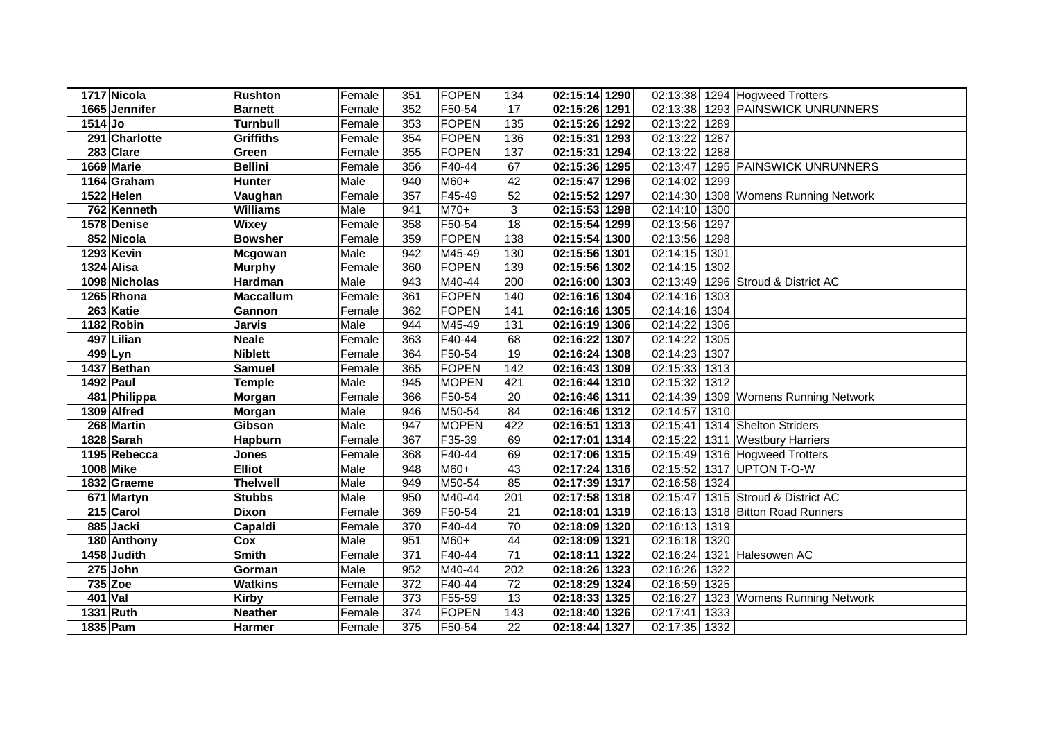|           | 1717 Nicola   | <b>Rushton</b>   | Female | 351 | FOPEN        | 134 | 02:15:14 1290 | 02:13:38         | 1294 Hogweed Trotters       |
|-----------|---------------|------------------|--------|-----|--------------|-----|---------------|------------------|-----------------------------|
|           | 1665 Jennifer | <b>Barnett</b>   | Female | 352 | F50-54       | 17  | 02:15:26 1291 | 02:13:38         | 1293 PAINSWICK UNRUNNERS    |
| $1514$ Jo |               | <b>Turnbull</b>  | Female | 353 | FOPEN        | 135 | 02:15:26 1292 | 02:13:22<br>1289 |                             |
|           | 291 Charlotte | <b>Griffiths</b> | Female | 354 | FOPEN        | 136 | 02:15:31 1293 | 02:13:22<br>1287 |                             |
|           | 283 Clare     | Green            | Female | 355 | FOPEN        | 137 | 02:15:31 1294 | 02:13:22<br>1288 |                             |
|           | 1669 Marie    | <b>Bellini</b>   | Female | 356 | F40-44       | 67  | 02:15:36 1295 | 02:13:47         | 1295 PAINSWICK UNRUNNERS    |
|           | 1164 Graham   | <b>Hunter</b>    | Male   | 940 | M60+         | 42  | 02:15:47 1296 | 02:14:02<br>1299 |                             |
|           | 1522 Helen    | Vaughan          | Female | 357 | F45-49       | 52  | 02:15:52 1297 | 02:14:30         | 1308 Womens Running Network |
|           | 762 Kenneth   | <b>Williams</b>  | Male   | 941 | M70+         | 3   | 02:15:53 1298 | 02:14:10<br>1300 |                             |
|           | 1578 Denise   | <b>Wixey</b>     | Female | 358 | F50-54       | 18  | 02:15:54 1299 | 02:13:56<br>1297 |                             |
|           | 852 Nicola    | <b>Bowsher</b>   | Female | 359 | FOPEN        | 138 | 02:15:54 1300 | 02:13:56<br>1298 |                             |
|           | 1293 Kevin    | Mcgowan          | Male   | 942 | M45-49       | 130 | 02:15:56 1301 | 02:14:15<br>1301 |                             |
|           | 1324 Alisa    | <b>Murphy</b>    | Female | 360 | FOPEN        | 139 | 02:15:56 1302 | 02:14:15<br>1302 |                             |
|           | 1098 Nicholas | Hardman          | Male   | 943 | M40-44       | 200 | 02:16:00 1303 | 02:13:49         | 1296 Stroud & District AC   |
|           | 1265 Rhona    | <b>Maccallum</b> | Female | 361 | FOPEN        | 140 | 02:16:16 1304 | 02:14:16 1303    |                             |
|           | 263 Katie     | Gannon           | Female | 362 | <b>FOPEN</b> | 141 | 02:16:16 1305 | 02:14:16<br>1304 |                             |
|           | 1182 Robin    | <b>Jarvis</b>    | Male   | 944 | M45-49       | 131 | 02:16:19 1306 | 02:14:22<br>1306 |                             |
|           | 497 Lilian    | <b>Neale</b>     | Female | 363 | F40-44       | 68  | 02:16:22 1307 | 02:14:22<br>1305 |                             |
|           | 499 Lyn       | <b>Niblett</b>   | Female | 364 | F50-54       | 19  | 02:16:24 1308 | 02:14:23<br>1307 |                             |
|           | 1437 Bethan   | <b>Samuel</b>    | Female | 365 | FOPEN        | 142 | 02:16:43 1309 | 02:15:33<br>1313 |                             |
|           | 1492 Paul     | <b>Temple</b>    | Male   | 945 | <b>MOPEN</b> | 421 | 02:16:44 1310 | 02:15:32<br>1312 |                             |
|           | 481 Philippa  | Morgan           | Female | 366 | F50-54       | 20  | 02:16:46 1311 | 02:14:39         | 1309 Womens Running Network |
|           | 1309 Alfred   | <b>Morgan</b>    | Male   | 946 | M50-54       | 84  | 02:16:46 1312 | 02:14:57<br>1310 |                             |
|           | 268 Martin    | Gibson           | Male   | 947 | <b>MOPEN</b> | 422 | 02:16:51 1313 | 02:15:41         | 1314 Shelton Striders       |
|           | 1828 Sarah    | Hapburn          | Female | 367 | F35-39       | 69  | 02:17:01 1314 | 02:15:22         | 1311 Westbury Harriers      |
|           | 1195 Rebecca  | <b>Jones</b>     | Female | 368 | F40-44       | 69  | 02:17:06 1315 | 02:15:49         | 1316 Hogweed Trotters       |
|           | 1008 Mike     | <b>Elliot</b>    | Male   | 948 | M60+         | 43  | 02:17:24 1316 | 02:15:52         | 1317 UPTON T-O-W            |
|           | 1832 Graeme   | <b>Thelwell</b>  | Male   | 949 | M50-54       | 85  | 02:17:39 1317 | 02:16:58<br>1324 |                             |
|           | 671 Martyn    | <b>Stubbs</b>    | Male   | 950 | M40-44       | 201 | 02:17:58 1318 | 02:15:47         | 1315 Stroud & District AC   |
|           | 215 Carol     | <b>Dixon</b>     | Female | 369 | F50-54       | 21  | 02:18:01 1319 | 02:16:13         | 1318 Bitton Road Runners    |
|           | 885 Jacki     | Capaldi          | Female | 370 | F40-44       | 70  | 02:18:09 1320 | 02:16:13 1319    |                             |
|           | 180 Anthony   | Cox              | Male   | 951 | M60+         | 44  | 02:18:09 1321 | 02:16:18 1320    |                             |
|           | 1458 Judith   | <b>Smith</b>     | Female | 371 | F40-44       | 71  | 02:18:11 1322 | 02:16:24         | 1321 Halesowen AC           |
|           | $275$ John    | Gorman           | Male   | 952 | M40-44       | 202 | 02:18:26 1323 | 02:16:26<br>1322 |                             |
|           | 735 Zoe       | <b>Watkins</b>   | Female | 372 | F40-44       | 72  | 02:18:29 1324 | 1325<br>02:16:59 |                             |
|           | 401 Val       | <b>Kirby</b>     | Female | 373 | F55-59       | 13  | 02:18:33 1325 | 02:16:27         | 1323 Womens Running Network |
|           | 1331 Ruth     | <b>Neather</b>   | Female | 374 | FOPEN        | 143 | 02:18:40 1326 | 02:17:41<br>1333 |                             |
|           | 1835 Pam      | Harmer           | Female | 375 | F50-54       | 22  | 02:18:44 1327 | 02:17:35<br>1332 |                             |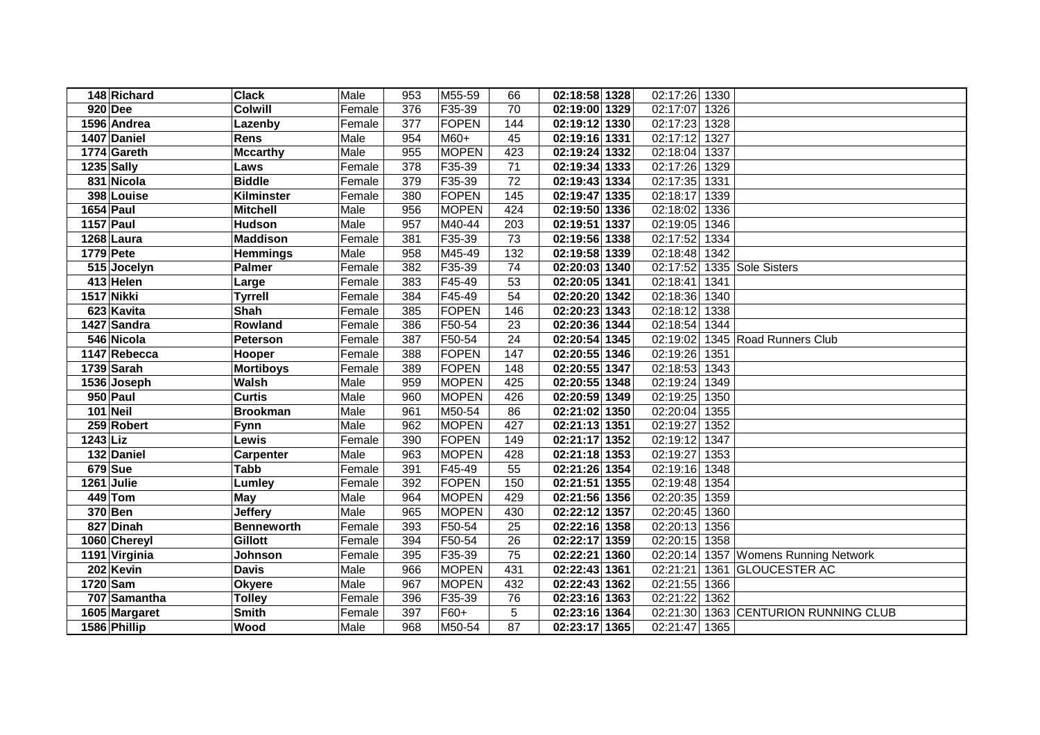|                 | 148 Richard      | <b>Clack</b>      | Male   | 953              | M55-59       | 66  | 02:18:58 1328 | 02:17:26 | 1330 |                             |
|-----------------|------------------|-------------------|--------|------------------|--------------|-----|---------------|----------|------|-----------------------------|
|                 | <b>920 Dee</b>   | <b>Colwill</b>    | Female | 376              | F35-39       | 70  | 02:19:00 1329 | 02:17:07 | 1326 |                             |
|                 | 1596 Andrea      | Lazenby           | Female | $\overline{377}$ | FOPEN        | 144 | 02:19:12 1330 | 02:17:23 | 1328 |                             |
|                 | 1407 Daniel      | <b>Rens</b>       | Male   | 954              | $M60+$       | 45  | 02:19:16 1331 | 02:17:12 | 1327 |                             |
|                 | 1774 Gareth      | <b>Mccarthy</b>   | Male   | 955              | <b>MOPEN</b> | 423 | 02:19:24 1332 | 02:18:04 | 1337 |                             |
|                 | 1235 Sally       | Laws              | Female | $\overline{378}$ | F35-39       | 71  | 02:19:34 1333 | 02:17:26 | 1329 |                             |
|                 | 831 Nicola       | <b>Biddle</b>     | Female | 379              | F35-39       | 72  | 02:19:43 1334 | 02:17:35 | 1331 |                             |
|                 | 398 Louise       | Kilminster        | Female | 380              | <b>FOPEN</b> | 145 | 02:19:47 1335 | 02:18:17 | 1339 |                             |
|                 | <b>1654 Paul</b> | <b>Mitchell</b>   | Male   | 956              | <b>MOPEN</b> | 424 | 02:19:50 1336 | 02:18:02 | 1336 |                             |
|                 | 1157 Paul        | <b>Hudson</b>     | Male   | 957              | M40-44       | 203 | 02:19:51 1337 | 02:19:05 | 1346 |                             |
|                 | 1268 Laura       | <b>Maddison</b>   | Female | 381              | F35-39       | 73  | 02:19:56 1338 | 02:17:52 | 1334 |                             |
|                 | 1779 Pete        | <b>Hemmings</b>   | Male   | 958              | M45-49       | 132 | 02:19:58 1339 | 02:18:48 | 1342 |                             |
|                 | 515 Jocelyn      | <b>Palmer</b>     | Female | 382              | F35-39       | 74  | 02:20:03 1340 | 02:17:52 |      | 1335 Sole Sisters           |
|                 | 413 Helen        | Large             | Female | 383              | F45-49       | 53  | 02:20:05 1341 | 02:18:41 | 1341 |                             |
|                 | 1517 Nikki       | <b>Tyrrell</b>    | Female | 384              | F45-49       | 54  | 02:20:20 1342 | 02:18:36 | 1340 |                             |
|                 | 623 Kavita       | Shah              | Female | 385              | FOPEN        | 146 | 02:20:23 1343 | 02:18:12 | 1338 |                             |
|                 | 1427 Sandra      | Rowland           | Female | 386              | F50-54       | 23  | 02:20:36 1344 | 02:18:54 | 1344 |                             |
|                 | 546 Nicola       | Peterson          | Female | 387              | F50-54       | 24  | 02:20:54 1345 | 02:19:02 |      | 1345 Road Runners Club      |
|                 | 1147 Rebecca     | Hooper            | Female | 388              | <b>FOPEN</b> | 147 | 02:20:55 1346 | 02:19:26 | 1351 |                             |
|                 | 1739 Sarah       | <b>Mortiboys</b>  | Female | 389              | FOPEN        | 148 | 02:20:55 1347 | 02:18:53 | 1343 |                             |
|                 | 1536 Joseph      | <b>Walsh</b>      | Male   | 959              | <b>MOPEN</b> | 425 | 02:20:55 1348 | 02:19:24 | 1349 |                             |
|                 | 950 Paul         | <b>Curtis</b>     | Male   | 960              | <b>MOPEN</b> | 426 | 02:20:59 1349 | 02:19:25 | 1350 |                             |
|                 | 101 Neil         | <b>Brookman</b>   | Male   | 961              | M50-54       | 86  | 02:21:02 1350 | 02:20:04 | 1355 |                             |
|                 | 259 Robert       | Fynn              | Male   | 962              | <b>MOPEN</b> | 427 | 02:21:13 1351 | 02:19:27 | 1352 |                             |
| <b>1243 Liz</b> |                  | Lewis             | Female | 390              | FOPEN        | 149 | 02:21:17 1352 | 02:19:12 | 1347 |                             |
|                 | 132 Daniel       | <b>Carpenter</b>  | Male   | 963              | <b>MOPEN</b> | 428 | 02:21:18 1353 | 02:19:27 | 1353 |                             |
|                 | <b>679</b> Sue   | <b>Tabb</b>       | Female | 391              | F45-49       | 55  | 02:21:26 1354 | 02:19:16 | 1348 |                             |
|                 | 1261 Julie       | Lumley            | Female | 392              | FOPEN        | 150 | 02:21:51 1355 | 02:19:48 | 1354 |                             |
|                 | 449 Tom          | <b>May</b>        | Male   | 964              | <b>MOPEN</b> | 429 | 02:21:56 1356 | 02:20:35 | 1359 |                             |
|                 | 370 Ben          | <b>Jeffery</b>    | Male   | 965              | <b>MOPEN</b> | 430 | 02:22:12 1357 | 02:20:45 | 1360 |                             |
|                 | 827 Dinah        | <b>Benneworth</b> | Female | 393              | F50-54       | 25  | 02:22:16 1358 | 02:20:13 | 1356 |                             |
|                 | 1060 Chereyl     | <b>Gillott</b>    | Female | 394              | F50-54       | 26  | 02:22:17 1359 | 02:20:15 | 1358 |                             |
|                 | 1191 Virginia    | Johnson           | Female | 395              | F35-39       | 75  | 02:22:21 1360 | 02:20:14 |      | 1357 Womens Running Network |
|                 | 202 Kevin        | <b>Davis</b>      | Male   | 966              | <b>MOPEN</b> | 431 | 02:22:43 1361 | 02:21:21 | 1361 | <b>GLOUCESTER AC</b>        |
|                 | 1720 Sam         | <b>Okyere</b>     | Male   | 967              | <b>MOPEN</b> | 432 | 02:22:43 1362 | 02:21:55 | 1366 |                             |
|                 | 707 Samantha     | <b>Tolley</b>     | Female | 396              | F35-39       | 76  | 02:23:16 1363 | 02:21:22 | 1362 |                             |
|                 | 1605 Margaret    | <b>Smith</b>      | Female | 397              | F60+         | 5   | 02:23:16 1364 | 02:21:30 |      | 1363 CENTURION RUNNING CLUB |
|                 | 1586 Phillip     | Wood              | Male   | 968              | M50-54       | 87  | 02:23:17 1365 | 02:21:47 | 1365 |                             |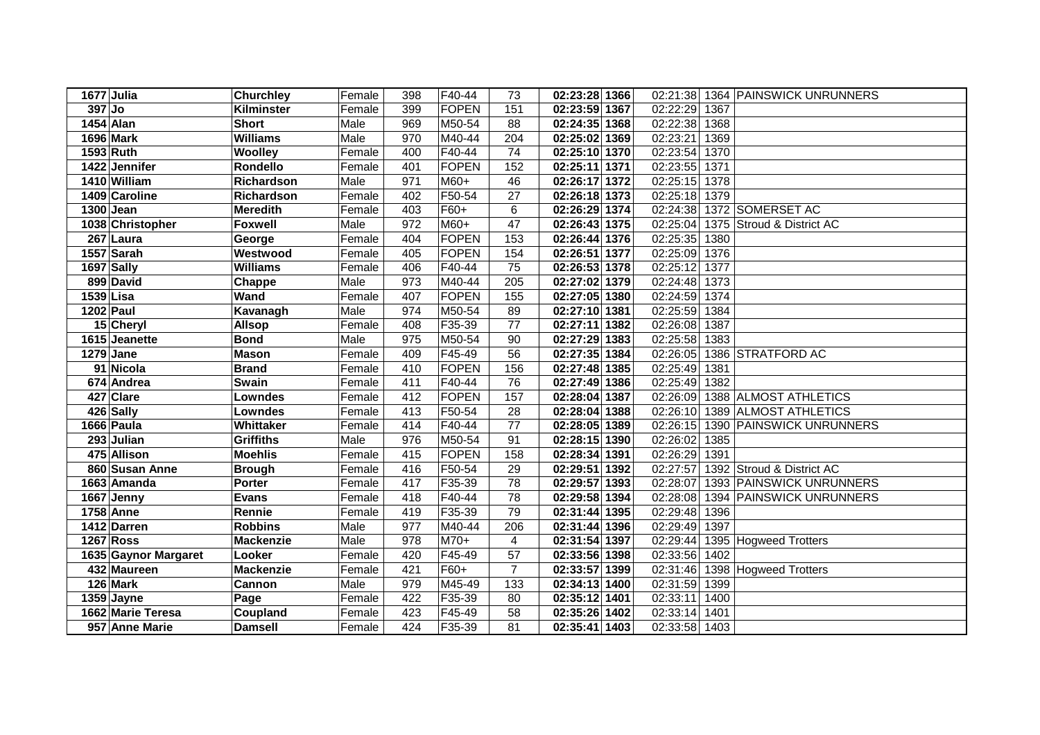| 1677 Julia             | <b>Churchley</b> | Female | 398 | F40-44       | 73             | 02:23:28 1366 | 02:21:38      | 1364 PAINSWICK UNRUNNERS  |
|------------------------|------------------|--------|-----|--------------|----------------|---------------|---------------|---------------------------|
| $397$ Jo               | Kilminster       | Female | 399 | FOPEN        | 151            | 02:23:59 1367 | 02:22:29      | 1367                      |
| <b>1454 Alan</b>       | <b>Short</b>     | Male   | 969 | M50-54       | 88             | 02:24:35 1368 | 02:22:38      | 1368                      |
| 1696 Mark              | <b>Williams</b>  | Male   | 970 | M40-44       | 204            | 02:25:02 1369 | 02:23:21      | 1369                      |
| 1593 Ruth              | Woolley          | Female | 400 | F40-44       | 74             | 02:25:10 1370 | 02:23:54      | 1370                      |
| 1422 Jennifer          | Rondello         | Female | 401 | <b>FOPEN</b> | 152            | 02:25:11 1371 | 02:23:55      | 1371                      |
| 1410 William           | Richardson       | Male   | 971 | M60+         | 46             | 02:26:17 1372 | 02:25:15      | 1378                      |
| 1409 Caroline          | Richardson       | Female | 402 | F50-54       | 27             | 02:26:18 1373 | 02:25:18      | 1379                      |
| 1300 Jean              | <b>Meredith</b>  | Female | 403 | $F60+$       | 6              | 02:26:29 1374 | 02:24:38      | 1372 SOMERSET AC          |
| 1038 Christopher       | <b>Foxwell</b>   | Male   | 972 | M60+         | 47             | 02:26:43 1375 | 02:25:04      | 1375 Stroud & District AC |
| $\overline{267}$ Laura | George           | Female | 404 | FOPEN        | 153            | 02:26:44 1376 | 02:25:35      | 1380                      |
| 1557 Sarah             | Westwood         | Female | 405 | <b>FOPEN</b> | 154            | 02:26:51 1377 | 02:25:09      | 1376                      |
| 1697 Sally             | <b>Williams</b>  | Female | 406 | F40-44       | 75             | 02:26:53 1378 | 02:25:12      | 1377                      |
| 899 David              | Chappe           | Male   | 973 | M40-44       | 205            | 02:27:02 1379 | 02:24:48      | 1373                      |
| 1539 Lisa              | Wand             | Female | 407 | FOPEN        | 155            | 02:27:05 1380 | 02:24:59      | 1374                      |
| 1202 Paul              | Kavanagh         | Male   | 974 | M50-54       | 89             | 02:27:10 1381 | 02:25:59      | 1384                      |
| 15 Cheryl              | <b>Allsop</b>    | Female | 408 | F35-39       | 77             | 02:27:11 1382 | 02:26:08      | 1387                      |
| 1615 Jeanette          | <b>Bond</b>      | Male   | 975 | M50-54       | 90             | 02:27:29 1383 | 02:25:58      | 1383                      |
| 1279 Jane              | <b>Mason</b>     | Female | 409 | F45-49       | 56             | 02:27:35 1384 | 02:26:05      | 1386 STRATFORD AC         |
| 91 Nicola              | <b>Brand</b>     | Female | 410 | <b>FOPEN</b> | 156            | 02:27:48 1385 | 02:25:49      | 1381                      |
| 674 Andrea             | Swain            | Female | 411 | F40-44       | 76             | 02:27:49 1386 | 02:25:49      | 1382                      |
| 427 Clare              | <b>Lowndes</b>   | Female | 412 | <b>FOPEN</b> | 157            | 02:28:04 1387 | 02:26:09      | 1388 ALMOST ATHLETICS     |
| 426 Sally              | <b>Lowndes</b>   | Female | 413 | F50-54       | 28             | 02:28:04 1388 | 02:26:10      | 1389 ALMOST ATHLETICS     |
| 1666 Paula             | Whittaker        | Female | 414 | F40-44       | 77             | 02:28:05 1389 | 02:26:15      | 1390 PAINSWICK UNRUNNERS  |
| 293 Julian             | <b>Griffiths</b> | Male   | 976 | M50-54       | 91             | 02:28:15 1390 | 02:26:02      | 1385                      |
| 475 Allison            | <b>Moehlis</b>   | Female | 415 | FOPEN        | 158            | 02:28:34 1391 | 02:26:29      | 1391                      |
| 860 Susan Anne         | <b>Brough</b>    | Female | 416 | F50-54       | 29             | 02:29:51 1392 | 02:27:57      | 1392 Stroud & District AC |
| 1663 Amanda            | Porter           | Female | 417 | F35-39       | 78             | 02:29:57 1393 | 02:28:07      | 1393 PAINSWICK UNRUNNERS  |
| 1667 Jenny             | <b>Evans</b>     | Female | 418 | F40-44       | 78             | 02:29:58 1394 | 02:28:08      | 1394 PAINSWICK UNRUNNERS  |
| $1758$ Anne            | Rennie           | Female | 419 | F35-39       | 79             | 02:31:44 1395 | 02:29:48      | 1396                      |
| 1412 Darren            | <b>Robbins</b>   | Male   | 977 | M40-44       | 206            | 02:31:44 1396 | 02:29:49      | 1397                      |
| <b>1267 Ross</b>       | <b>Mackenzie</b> | Male   | 978 | M70+         | 4              | 02:31:54 1397 | 02:29:44      | 1395 Hogweed Trotters     |
| 1635 Gaynor Margaret   | Looker           | Female | 420 | F45-49       | 57             | 02:33:56 1398 | 02:33:56      | 1402                      |
| 432 Maureen            | <b>Mackenzie</b> | Female | 421 | F60+         | $\overline{7}$ | 02:33:57 1399 | 02:31:46      | 1398 Hogweed Trotters     |
| 126 Mark               | Cannon           | Male   | 979 | M45-49       | 133            | 02:34:13 1400 | 02:31:59      | 1399                      |
| 1359 Jayne             | Page             | Female | 422 | F35-39       | 80             | 02:35:12 1401 | 02:33:11      | 1400                      |
| 1662 Marie Teresa      | Coupland         | Female | 423 | F45-49       | 58             | 02:35:26 1402 | 02:33:14      | 1401                      |
| 957 Anne Marie         | <b>Damsell</b>   | Female | 424 | F35-39       | 81             | 02:35:41 1403 | 02:33:58 1403 |                           |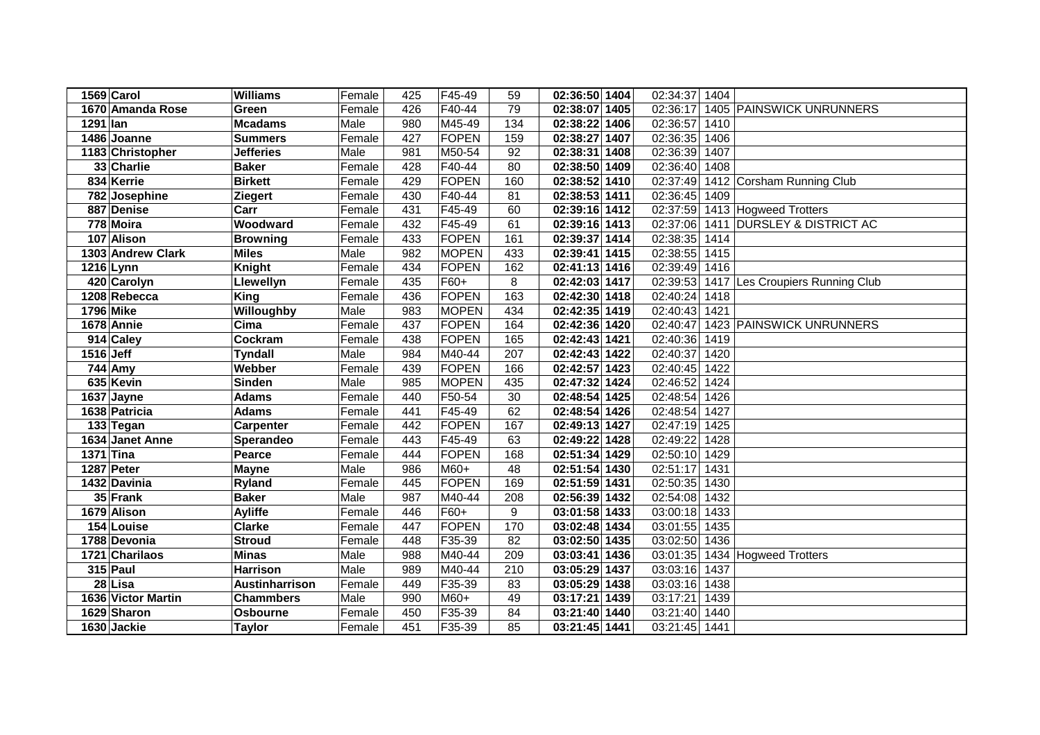| 1569 Carol         | <b>Williams</b>  | Female | 425 | F45-49       | 59              | 02:36:50 1404   | 02:34:37<br>1404              |                                 |
|--------------------|------------------|--------|-----|--------------|-----------------|-----------------|-------------------------------|---------------------------------|
| 1670 Amanda Rose   | Green            | Female | 426 | F40-44       | $\overline{79}$ | 02:38:07 1405   | 02:36:17                      | 1405 PAINSWICK UNRUNNERS        |
| 1291 lan           | <b>Mcadams</b>   | Male   | 980 | M45-49       | 134             | 02:38:22 1406   | 02:36:57<br>1410              |                                 |
| 1486 Joanne        | <b>Summers</b>   | Female | 427 | FOPEN        | 159             | 02:38:27 1407   | 02:36:35<br>1406              |                                 |
| 1183 Christopher   | <b>Jefferies</b> | Male   | 981 | M50-54       | 92              | 02:38:31 1408   | 02:36:39<br>1407              |                                 |
| 33 Charlie         | <b>Baker</b>     | Female | 428 | F40-44       | $\overline{80}$ | 02:38:50 1409   | 02:36:40<br>1408              |                                 |
| 834 Kerrie         | <b>Birkett</b>   | Female | 429 | FOPEN        | 160             | 02:38:52 1410   | 02:37:49                      | 1412 Corsham Running Club       |
| 782 Josephine      | <b>Ziegert</b>   | Female | 430 | F40-44       | 81              | $02:38:53$ 1411 | 02:36:45<br>1409              |                                 |
| 887 Denise         | Carr             | Female | 431 | F45-49       | 60              | 02:39:16 1412   | 02:37:59                      | 1413 Hogweed Trotters           |
| 778 Moira          | Woodward         | Female | 432 | F45-49       | 61              | 02:39:16 1413   | 02:37:06                      | 1411 DURSLEY & DISTRICT AC      |
| 107 Alison         | <b>Browning</b>  | Female | 433 | FOPEN        | 161             | 02:39:37 1414   | 02:38:35<br>1414              |                                 |
| 1303 Andrew Clark  | <b>Miles</b>     | Male   | 982 | <b>MOPEN</b> | 433             | 02:39:41 1415   | 02:38:55<br>1415              |                                 |
| 1216 Lynn          | <b>Knight</b>    | Female | 434 | FOPEN        | 162             | 02:41:13 1416   | 02:39:49<br>1416              |                                 |
| 420 Carolyn        | Llewellyn        | Female | 435 | F60+         | 8               | 02:42:03 1417   | 02:39:53                      | 1417 Les Croupiers Running Club |
| 1208 Rebecca       | King             | Female | 436 | FOPEN        | 163             | 02:42:30 1418   | 02:40:24<br>1418              |                                 |
| <b>1796 Mike</b>   | Willoughby       | Male   | 983 | <b>MOPEN</b> | 434             | 02:42:35 1419   | 02:40:43<br>1421              |                                 |
| 1678 Annie         | Cima             | Female | 437 | FOPEN        | 164             | 02:42:36 1420   | 02:40:47                      | 1423 PAINSWICK UNRUNNERS        |
| 914 Caley          | Cockram          | Female | 438 | <b>FOPEN</b> | 165             | 02:42:43 1421   | 02:40:36<br>1419              |                                 |
| 1516 Jeff          | <b>Tyndall</b>   | Male   | 984 | M40-44       | 207             | 02:42:43 1422   | 02:40:37<br>1420              |                                 |
| 744 Amy            | Webber           | Female | 439 | FOPEN        | 166             | 02:42:57 1423   | 02:40:45<br>1422              |                                 |
| 635 Kevin          | <b>Sinden</b>    | Male   | 985 | <b>MOPEN</b> | 435             | 02:47:32 1424   | 02:46:52<br>1424              |                                 |
| 1637 Jayne         | <b>Adams</b>     | Female | 440 | F50-54       | 30              | 02:48:54 1425   | 02:48:54<br>1426              |                                 |
| 1638 Patricia      | <b>Adams</b>     | Female | 441 | F45-49       | 62              | 02:48:54 1426   | 02:48:54<br>1427              |                                 |
| 133 Tegan          | <b>Carpenter</b> | Female | 442 | FOPEN        | 167             | 02:49:13 1427   | 1425<br>02:47:19              |                                 |
| 1634 Janet Anne    | Sperandeo        | Female | 443 | F45-49       | 63              | 02:49:22 1428   | 1428<br>02:49:22              |                                 |
| <b>1371 Tina</b>   | Pearce           | Female | 444 | FOPEN        | 168             | 02:51:34 1429   | 02:50:10<br>1429              |                                 |
| 1287 Peter         | <b>Mayne</b>     | Male   | 986 | $M60+$       | 48              | 02:51:54 1430   | 02:51:17<br>1431              |                                 |
| 1432 Davinia       | <b>Ryland</b>    | Female | 445 | FOPEN        | 169             | 02:51:59 1431   | 02:50:35<br>1430              |                                 |
| 35 Frank           | <b>Baker</b>     | Male   | 987 | M40-44       | 208             | 02:56:39 1432   | 02:54:08<br>1432              |                                 |
| 1679 Alison        | <b>Ayliffe</b>   | Female | 446 | F60+         | 9               | 03:01:58 1433   | 03:00:18<br>1433              |                                 |
| 154 Louise         | <b>Clarke</b>    | Female | 447 | FOPEN        | 170             | 03:02:48 1434   | 03:01:55<br>1435              |                                 |
| 1788 Devonia       | <b>Stroud</b>    | Female | 448 | F35-39       | 82              | 03:02:50 1435   | 03:02:50<br>1436              |                                 |
| 1721 Charilaos     | <b>Minas</b>     | Male   | 988 | M40-44       | 209             | 03:03:41 1436   | 03:01:35                      | 1434 Hogweed Trotters           |
| $315$ Paul         | <b>Harrison</b>  | Male   | 989 | M40-44       | 210             | 03:05:29 1437   | 03:03:16<br>1437              |                                 |
| 28 Lisa            | Austinharrison   | Female | 449 | F35-39       | 83              | 03:05:29 1438   | $\overline{0}3:03:16$<br>1438 |                                 |
| 1636 Victor Martin | <b>Chammbers</b> | Male   | 990 | M60+         | 49              | 03:17:21 1439   | 03:17:21<br>1439              |                                 |
| 1629 Sharon        | <b>Osbourne</b>  | Female | 450 | F35-39       | 84              | 03:21:40 1440   | 03:21:40<br>1440              |                                 |
| 1630 Jackie        | <b>Taylor</b>    | Female | 451 | F35-39       | 85              | 03:21:45 1441   | 03:21:45<br>1441              |                                 |